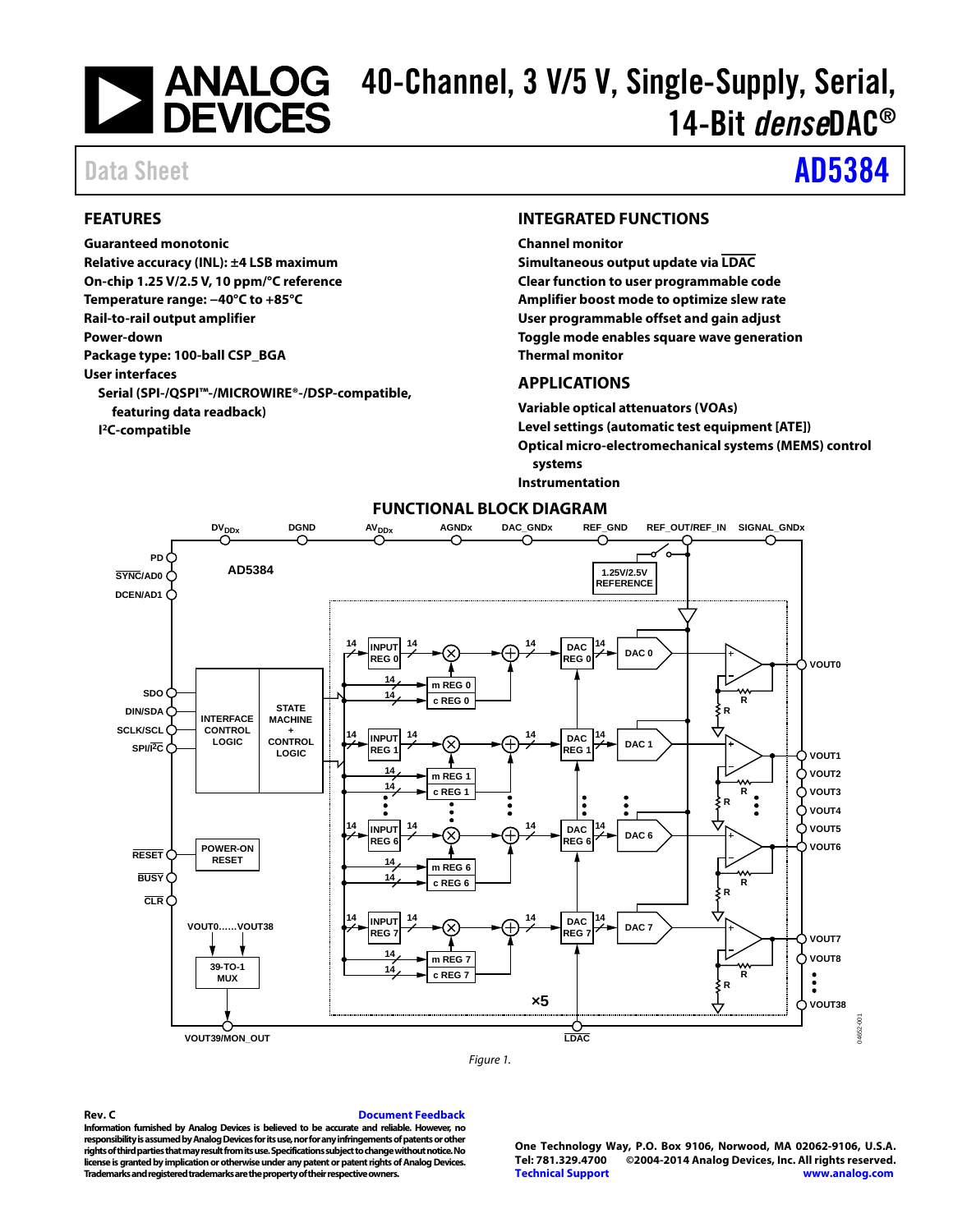# 40-Channel, 3 V/5 V, Single-Supply, Serial, 14-Bit *dense*DAC®

# Data Sheet **[AD5384](http://www.analog.com/AD5384?doc=AD5384.pdf)**

### <span id="page-0-0"></span>**FEATURES**

### **Guaranteed monotonic**

**Relative accuracy (INL): ±4 LSB maximum On-chip 1.25 V/2.5 V, 10 ppm/°C reference Temperature range: −40°C to +85°C Rail-to-rail output amplifier Power-down Package type: 100-ball CSP\_BGA User interfaces Serial (SPI-/QSPI™-/MICROWIRE®-/DSP-compatible, featuring data readback) I 2C-compatible**

### <span id="page-0-1"></span>**INTEGRATED FUNCTIONS**

**Channel monitor**

**Simultaneous output update via LDAC Clear function to user programmable code Amplifier boost mode to optimize slew rate User programmable offset and gain adjust Toggle mode enables square wave generation Thermal monitor**

### <span id="page-0-2"></span>**APPLICATIONS**

**Variable optical attenuators (VOAs) Level settings (automatic test equipment [ATE]) Optical micro-electromechanical systems (MEMS) control systems Instrumentation**

<span id="page-0-3"></span>

**FUNCTIONAL BLOCK DIAGRAM**

#### *Figure 1.*

**Information furnished by Analog Devices is believed to be accurate and reliable. However, no responsibility is assumed by Analog Devices for its use, nor for any infringements of patents or other rights of third parties that may result from its use. Specifications subject to change without notice. No license is granted by implication or otherwise under any patent or patent rights of Analog Devices. Trademarks and registered trademarks are the property of their respective owners.**

**One Technology Way, P.O. Box 9106, Norwood, MA 02062-9106, U.S.A. Tel: 781.329.4700 ©2004-2014 Analog Devices, Inc. All rights reserved. [Technical Support](http://www.analog.com/en/content/technical_support_page/fca.html) [www.analog.com](http://www.analog.com/)**

# **Rev. C [Document Feedback](https://form.analog.com/Form_Pages/feedback/documentfeedback.aspx?doc=AD5384.pdf&product=AD5384&rev=C)**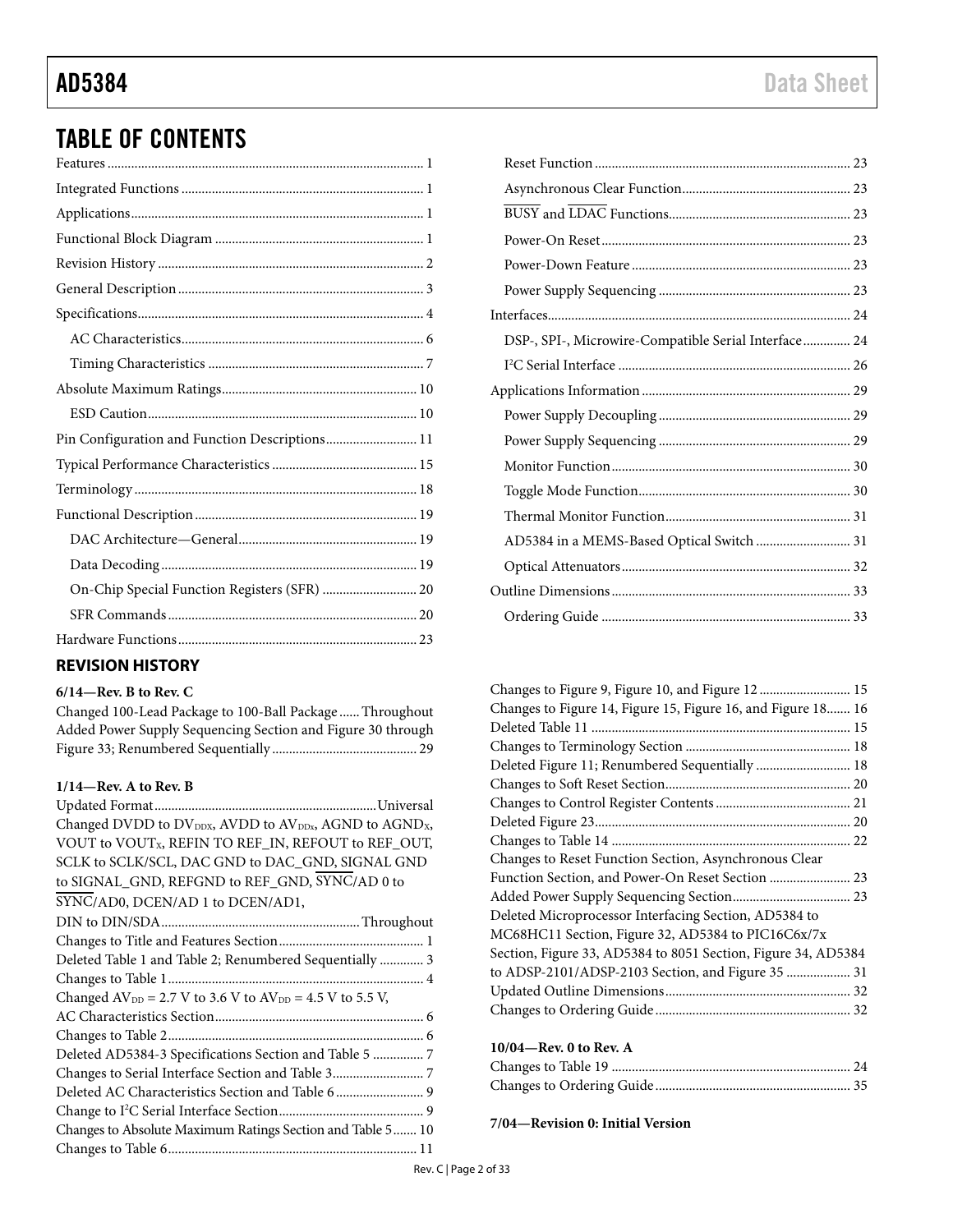# TABLE OF CONTENTS

| Pin Configuration and Function Descriptions 11 |  |
|------------------------------------------------|--|
|                                                |  |
|                                                |  |
|                                                |  |
|                                                |  |
|                                                |  |
| On-Chip Special Function Registers (SFR)  20   |  |
|                                                |  |
|                                                |  |
|                                                |  |

# <span id="page-1-0"></span>**REVISION HISTORY**

### **6/14—Rev. B to Rev. C**

Changed 100-Lead Package to 100-Ball Package ......Throughout Added Power Supply Sequencing Section and Figure 30 through Figure 33; Renumbered Sequentially ........................................... 29

# **1/14—Rev. A to Rev. B**

| Changed DVDD to DV <sub>DDX</sub> , AVDD to AV <sub>DDx</sub> , AGND to AGND <sub>X</sub> , |
|---------------------------------------------------------------------------------------------|
| VOUT to VOUTx, REFIN TO REF_IN, REFOUT to REF_OUT,                                          |
| SCLK to SCLK/SCL, DAC GND to DAC_GND, SIGNAL GND                                            |
| to SIGNAL_GND, REFGND to REF_GND, SYNC/AD 0 to                                              |
| SYNC/AD0, DCEN/AD 1 to DCEN/AD1,                                                            |
|                                                                                             |
|                                                                                             |
| Deleted Table 1 and Table 2; Renumbered Sequentially  3                                     |
|                                                                                             |
| Changed $AV_{DD} = 2.7 V$ to 3.6 V to $AV_{DD} = 4.5 V$ to 5.5 V,                           |
|                                                                                             |
|                                                                                             |
| Deleted AD5384-3 Specifications Section and Table 5  7                                      |
|                                                                                             |
| Deleted AC Characteristics Section and Table 6 9                                            |
|                                                                                             |
| Changes to Absolute Maximum Ratings Section and Table 5 10                                  |
|                                                                                             |
|                                                                                             |

| DSP-, SPI-, Microwire-Compatible Serial Interface 24 |  |
|------------------------------------------------------|--|
|                                                      |  |
|                                                      |  |
|                                                      |  |
|                                                      |  |
|                                                      |  |
|                                                      |  |
|                                                      |  |
| AD5384 in a MEMS-Based Optical Switch  31            |  |
|                                                      |  |
|                                                      |  |
|                                                      |  |

| Changes to Figure 9, Figure 10, and Figure 12  15             |  |
|---------------------------------------------------------------|--|
| Changes to Figure 14, Figure 15, Figure 16, and Figure 18 16  |  |
|                                                               |  |
|                                                               |  |
| Deleted Figure 11; Renumbered Sequentially  18                |  |
|                                                               |  |
|                                                               |  |
|                                                               |  |
|                                                               |  |
| Changes to Reset Function Section, Asynchronous Clear         |  |
| Function Section, and Power-On Reset Section  23              |  |
|                                                               |  |
| Deleted Microprocessor Interfacing Section, AD5384 to         |  |
| MC68HC11 Section, Figure 32, AD5384 to PIC16C6x/7x            |  |
| Section, Figure 33, AD5384 to 8051 Section, Figure 34, AD5384 |  |
| to ADSP-2101/ADSP-2103 Section, and Figure 35  31             |  |
|                                                               |  |
|                                                               |  |

### **10/04—Rev. 0 to Rev. A**

**7/04—Revision 0: Initial Version**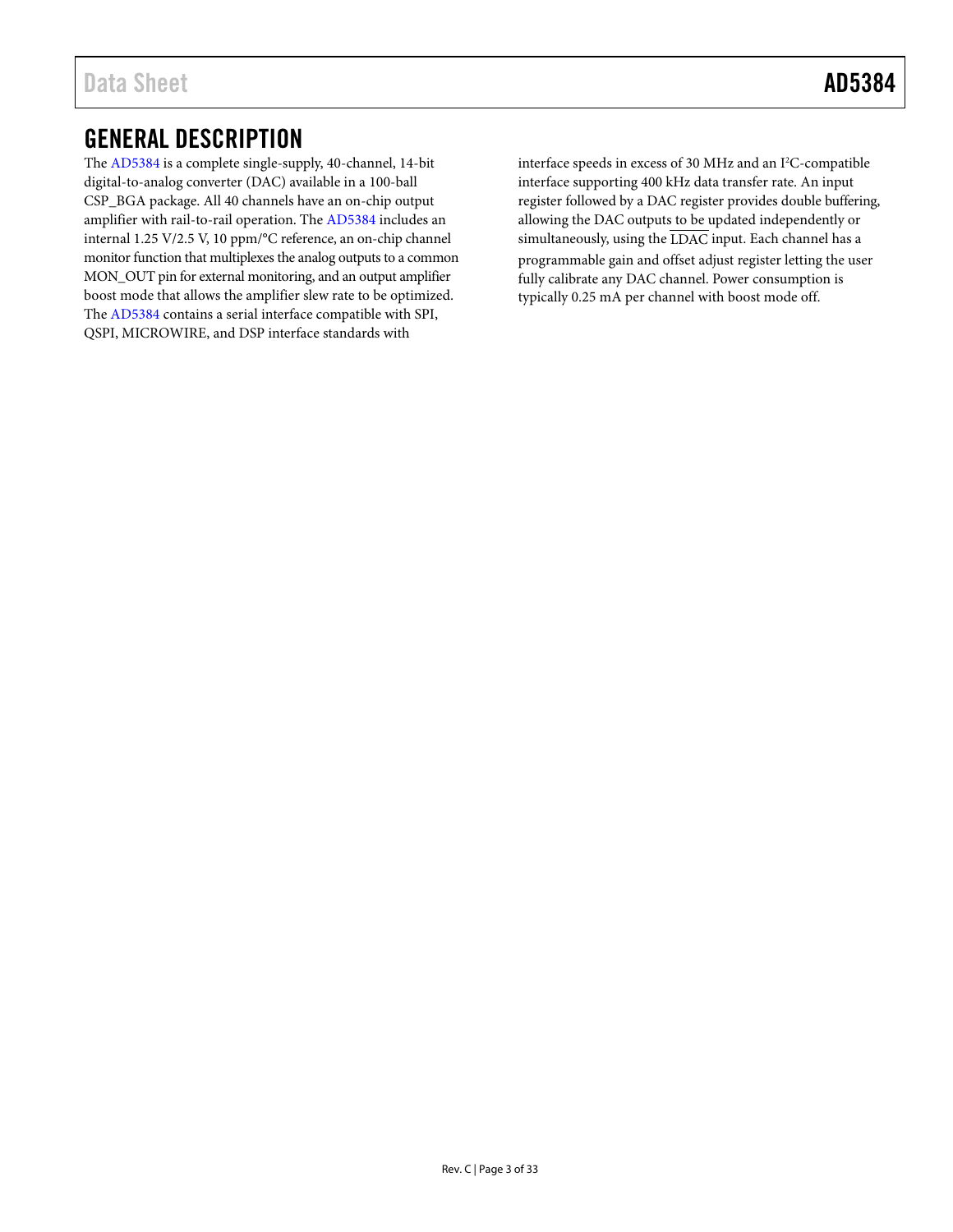# <span id="page-2-0"></span>GENERAL DESCRIPTION

The [AD5384](http://www.analog.com/AD5384?doc=AD5384.pdf) is a complete single-supply, 40-channel, 14-bit digital-to-analog converter (DAC) available in a 100-ball CSP\_BGA package. All 40 channels have an on-chip output amplifier with rail-to-rail operation. The [AD5384](http://www.analog.com/AD5384?doc=AD5384.pdf) includes an internal 1.25 V/2.5 V, 10 ppm/°C reference, an on-chip channel monitor function that multiplexes the analog outputs to a common MON\_OUT pin for external monitoring, and an output amplifier boost mode that allows the amplifier slew rate to be optimized. The [AD5384](http://www.analog.com/AD5384?doc=AD5384.pdf) contains a serial interface compatible with SPI, QSPI, MICROWIRE, and DSP interface standards with

interface speeds in excess of 30 MHz and an I<sup>2</sup>C-compatible interface supporting 400 kHz data transfer rate. An input register followed by a DAC register provides double buffering, allowing the DAC outputs to be updated independently or simultaneously, using the  $\overline{\text{LDAC}}$  input. Each channel has a programmable gain and offset adjust register letting the user fully calibrate any DAC channel. Power consumption is typically 0.25 mA per channel with boost mode off.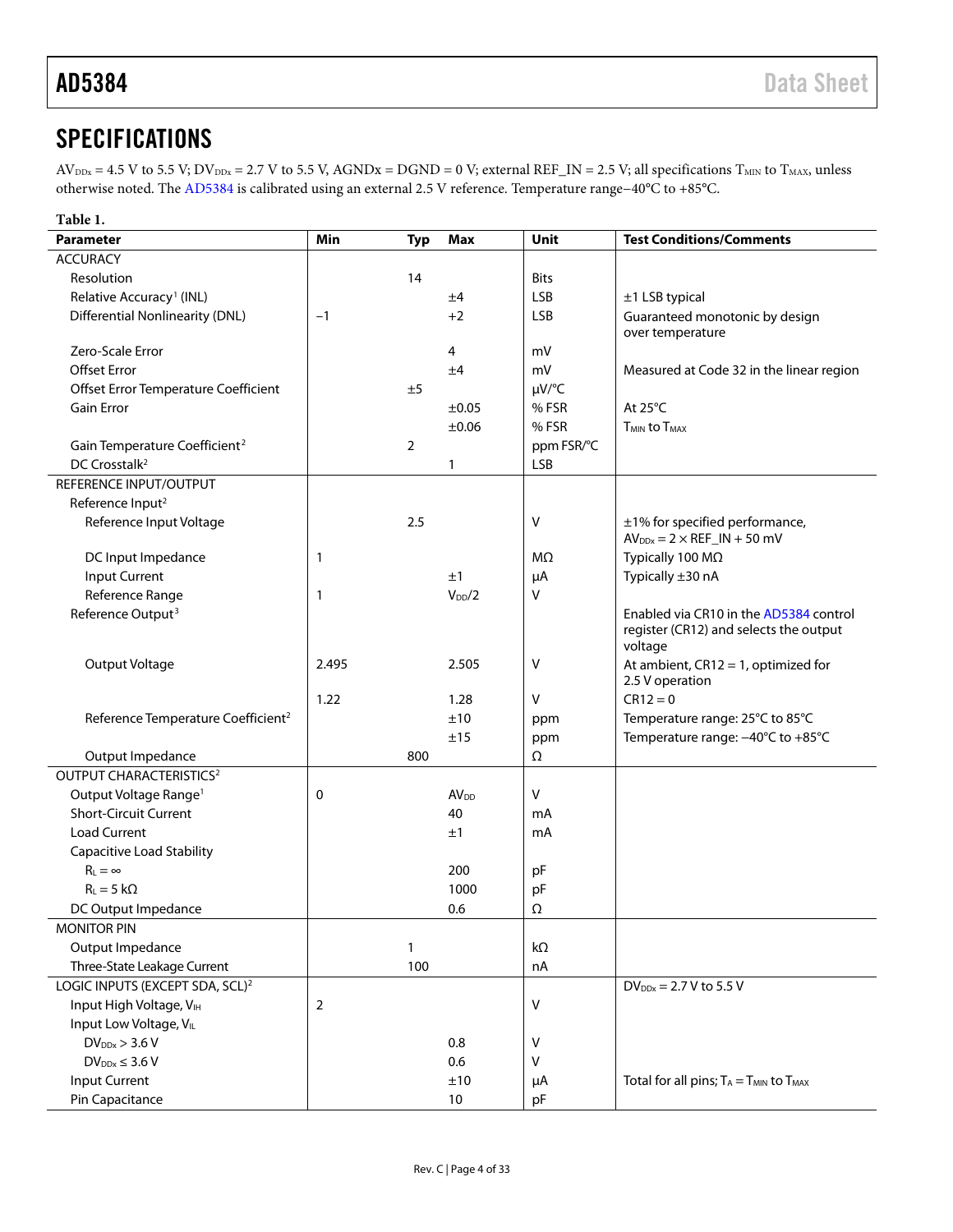# <span id="page-3-0"></span>**SPECIFICATIONS**

 $AV_{\text{DDx}} = 4.5 \text{ V}$  to 5.5 V;  $DV_{\text{DDx}} = 2.7 \text{ V}$  to 5.5 V,  $AGNDx = DGND = 0$  V; external REF\_IN = 2.5 V; all specifications  $T_{\text{MIN}}$  to  $T_{\text{MAX}}$ , unless otherwise noted. Th[e AD5384](http://www.analog.com/AD5384?doc=AD5384.pdf) is calibrated using an external 2.5 V reference. Temperature range−40°C to +85°C.

| Table 1.                                                          |       |                |                  |             |                                                                      |
|-------------------------------------------------------------------|-------|----------------|------------------|-------------|----------------------------------------------------------------------|
| <b>Parameter</b>                                                  | Min   | <b>Typ</b>     | <b>Max</b>       | Unit        | <b>Test Conditions/Comments</b>                                      |
| <b>ACCURACY</b>                                                   |       |                |                  |             |                                                                      |
| Resolution                                                        |       | 14             |                  | <b>Bits</b> |                                                                      |
| Relative Accuracy <sup>1</sup> (INL)                              |       |                | ±4               | <b>LSB</b>  | ±1 LSB typical                                                       |
| <b>Differential Nonlinearity (DNL)</b>                            | $-1$  |                | $+2$             | <b>LSB</b>  | Guaranteed monotonic by design                                       |
|                                                                   |       |                |                  |             | over temperature                                                     |
| Zero-Scale Error                                                  |       |                | 4                | mV          |                                                                      |
| <b>Offset Error</b>                                               |       |                | ±4               | mV          | Measured at Code 32 in the linear region                             |
| Offset Error Temperature Coefficient                              |       | ±5             |                  | $\mu V$ /°C |                                                                      |
| <b>Gain Error</b>                                                 |       |                | $\pm 0.05$       | % FSR       | At 25°C                                                              |
|                                                                   |       |                | $\pm 0.06$       | % FSR       | <b>TMIN to TMAX</b>                                                  |
| Gain Temperature Coefficient <sup>2</sup>                         |       | $\overline{2}$ |                  | ppm FSR/°C  |                                                                      |
| DC Crosstalk <sup>2</sup>                                         |       |                | 1                | <b>LSB</b>  |                                                                      |
| REFERENCE INPUT/OUTPUT                                            |       |                |                  |             |                                                                      |
| Reference Input <sup>2</sup>                                      |       |                |                  |             |                                                                      |
| Reference Input Voltage                                           |       | 2.5            |                  | V           | ±1% for specified performance,                                       |
|                                                                   |       |                |                  |             | $AV_{DDx} = 2 \times REF\_IN + 50$ mV                                |
| DC Input Impedance                                                | 1     |                |                  | MΩ          | Typically 100 MΩ                                                     |
| Input Current                                                     |       |                | ±1               | μA          | Typically ±30 nA                                                     |
| Reference Range                                                   | 1     |                | $V_{DD}/2$       | v           |                                                                      |
| Reference Output <sup>3</sup>                                     |       |                |                  |             | Enabled via CR10 in the AD5384 control                               |
|                                                                   |       |                |                  |             | register (CR12) and selects the output                               |
|                                                                   |       |                |                  |             | voltage                                                              |
| Output Voltage                                                    | 2.495 |                | 2.505            | V           | At ambient, $CR12 = 1$ , optimized for<br>2.5 V operation            |
|                                                                   | 1.22  |                |                  | V           | $CR12 = 0$                                                           |
|                                                                   |       |                | 1.28<br>±10      |             |                                                                      |
| Reference Temperature Coefficient <sup>2</sup>                    |       |                | ±15              | ppm         | Temperature range: 25°C to 85°C<br>Temperature range: -40°C to +85°C |
|                                                                   |       |                |                  | ppm         |                                                                      |
| Output Impedance<br>OUTPUT CHARACTERISTICS <sup>2</sup>           |       | 800            |                  | Ω           |                                                                      |
|                                                                   |       |                |                  |             |                                                                      |
| Output Voltage Range <sup>1</sup><br><b>Short-Circuit Current</b> | 0     |                | AV <sub>DD</sub> | $\vee$      |                                                                      |
|                                                                   |       |                | 40               | mA          |                                                                      |
| <b>Load Current</b>                                               |       |                | ±1               | mA          |                                                                      |
| <b>Capacitive Load Stability</b>                                  |       |                |                  |             |                                                                      |
| $R_{\perp} = \infty$                                              |       |                | 200              | pF          |                                                                      |
| $R_L = 5 k\Omega$                                                 |       |                | 1000             | pF          |                                                                      |
| DC Output Impedance                                               |       |                | 0.6              | Ω           |                                                                      |
| <b>MONITOR PIN</b>                                                |       |                |                  |             |                                                                      |
| Output Impedance                                                  |       | 1              |                  | kΩ          |                                                                      |
| Three-State Leakage Current                                       |       | 100            |                  | nA          |                                                                      |
| LOGIC INPUTS (EXCEPT SDA, SCL) <sup>2</sup>                       |       |                |                  |             | $DV_{DDx} = 2.7 V$ to 5.5 V                                          |
| Input High Voltage, VIH                                           | 2     |                |                  | V           |                                                                      |
| Input Low Voltage, VLL                                            |       |                |                  |             |                                                                      |
| $DV_{DDx}$ > 3.6 V                                                |       |                | 0.8              | V           |                                                                      |
| $DV_{DDx} \leq 3.6 V$                                             |       |                | 0.6              | $\vee$      |                                                                      |
| <b>Input Current</b>                                              |       |                | ±10              | μA          | Total for all pins; $T_A = T_{MIN}$ to $T_{MAX}$                     |
| Pin Capacitance                                                   |       |                | 10               | pF          |                                                                      |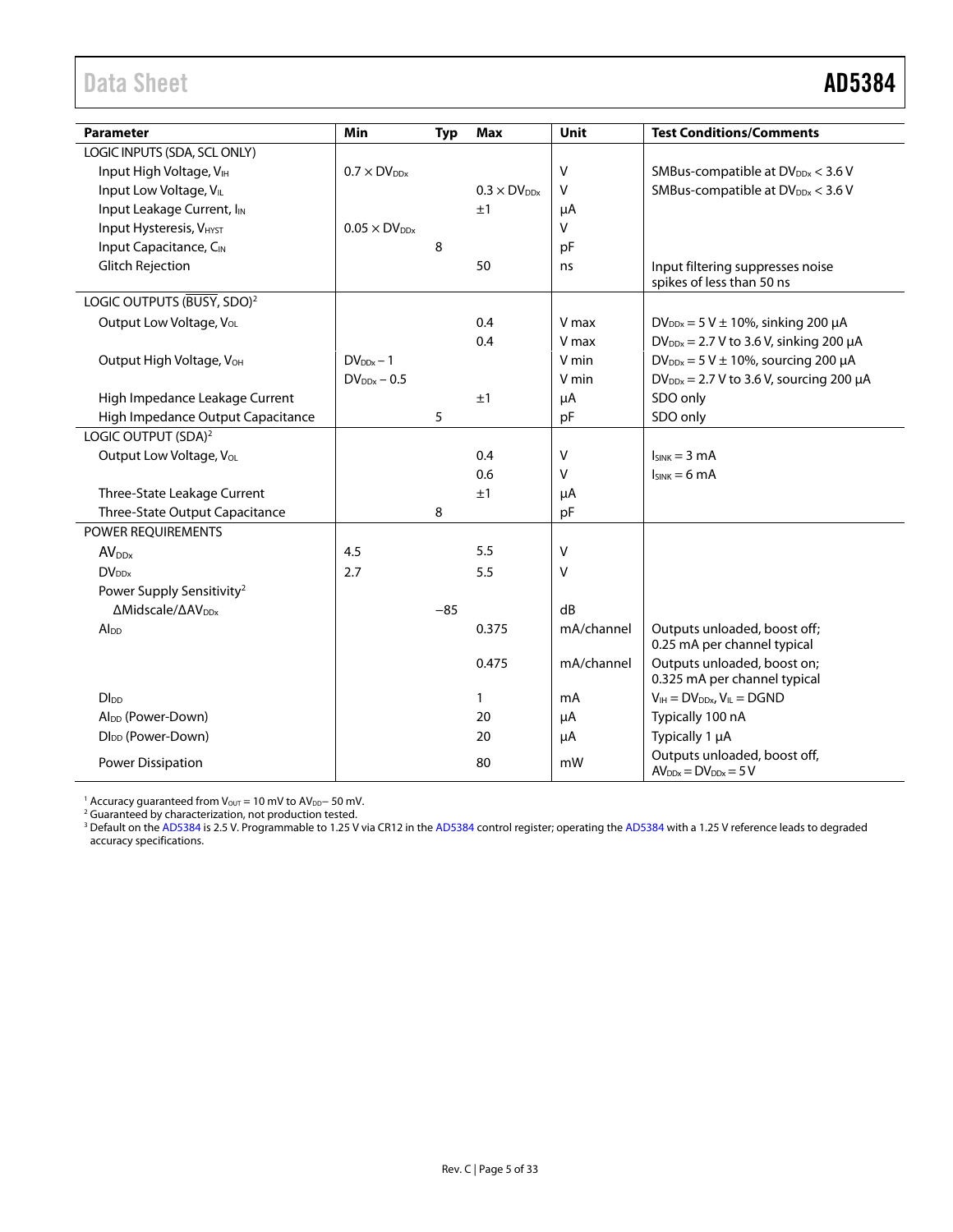# <span id="page-4-0"></span>Data Sheet **AD5384**

| <b>Parameter</b>                              | Min                    | <b>Typ</b> | <b>Max</b>           | Unit       | <b>Test Conditions/Comments</b>                               |
|-----------------------------------------------|------------------------|------------|----------------------|------------|---------------------------------------------------------------|
| LOGIC INPUTS (SDA, SCL ONLY)                  |                        |            |                      |            |                                                               |
| Input High Voltage, VIH                       | $0.7 \times DV_{DDx}$  |            |                      | v          | SMBus-compatible at DV <sub>DDx</sub> < 3.6 V                 |
| Input Low Voltage, VL                         |                        |            | $0.3 \times DV_{DN}$ | V          | SMBus-compatible at DV <sub>DDx</sub> < 3.6 V                 |
| Input Leakage Current, I <sub>IN</sub>        |                        |            | ±1                   | μA         |                                                               |
| <b>Input Hysteresis, VHYST</b>                | $0.05 \times DV_{DDx}$ |            |                      | V          |                                                               |
| Input Capacitance, CIN                        |                        | 8          |                      | pF         |                                                               |
| <b>Glitch Rejection</b>                       |                        |            | 50                   | ns         | Input filtering suppresses noise<br>spikes of less than 50 ns |
| LOGIC OUTPUTS (BUSY, SDO) <sup>2</sup>        |                        |            |                      |            |                                                               |
| Output Low Voltage, V <sub>OL</sub>           |                        |            | 0.4                  | V max      | $DV_{DDx} = 5 V \pm 10\%$ , sinking 200 µA                    |
|                                               |                        |            | 0.4                  | V max      | $DV_{DDx}$ = 2.7 V to 3.6 V, sinking 200 $\mu$ A              |
| Output High Voltage, V <sub>OH</sub>          | $DV_{DDx} - 1$         |            |                      | V min      | $DV_{DDx} = 5 V \pm 10\%$ , sourcing 200 µA                   |
|                                               | $DV_{DDx} - 0.5$       |            |                      | V min      | $DV_{DDx}$ = 2.7 V to 3.6 V, sourcing 200 $\mu$ A             |
| High Impedance Leakage Current                |                        |            | ±1                   | μA         | SDO only                                                      |
| High Impedance Output Capacitance             |                        | 5          |                      | pF         | SDO only                                                      |
| LOGIC OUTPUT (SDA) <sup>2</sup>               |                        |            |                      |            |                                                               |
| Output Low Voltage, V <sub>OL</sub>           |                        |            | 0.4                  | v          | $I_{SINK} = 3 mA$                                             |
|                                               |                        |            | 0.6                  | v          | $Isink = 6 mA$                                                |
| Three-State Leakage Current                   |                        |            | ±1                   | μA         |                                                               |
| Three-State Output Capacitance                |                        | 8          |                      | pF         |                                                               |
| POWER REQUIREMENTS                            |                        |            |                      |            |                                                               |
| AV <sub>DDx</sub>                             | 4.5                    |            | 5.5                  | v          |                                                               |
| $DV_{DN}$                                     | 2.7                    |            | 5.5                  | $\vee$     |                                                               |
| Power Supply Sensitivity <sup>2</sup>         |                        |            |                      |            |                                                               |
| $\Delta$ Midscale/ $\Delta$ AV <sub>DDx</sub> |                        | $-85$      |                      | dB         |                                                               |
| Alpp                                          |                        |            | 0.375                | mA/channel | Outputs unloaded, boost off;<br>0.25 mA per channel typical   |
|                                               |                        |            | 0.475                | mA/channel | Outputs unloaded, boost on;<br>0.325 mA per channel typical   |
| <b>D</b> I <sub>DD</sub>                      |                        |            | 1                    | mA         | $V_{IH} = DV_{DDx}$ , $V_{IL} = DGND$                         |
| Al <sub>DD</sub> (Power-Down)                 |                        |            | 20                   | μA         | Typically 100 nA                                              |
| DI <sub>DD</sub> (Power-Down)                 |                        |            | 20                   | μA         | Typically 1 µA                                                |
| Power Dissipation                             |                        |            | 80                   | mW         | Outputs unloaded, boost off,<br>$AV_{DDx} = DV_{DDx} = 5V$    |

<sup>1</sup> Accuracy guaranteed from V<sub>OUT</sub> = 10 mV to AV<sub>DD</sub>− 50 mV.<br><sup>2</sup> Guaranteed by characterization, not production tested.

<sup>3</sup> Default on th[e AD5384](http://www.analog.com/AD5384?doc=AD5384.pdf) is 2.5 V. Programmable to 1.25 V via CR12 in the AD5384 control register; operating the AD5384 with a 1.25 V reference leads to degraded accuracy specifications.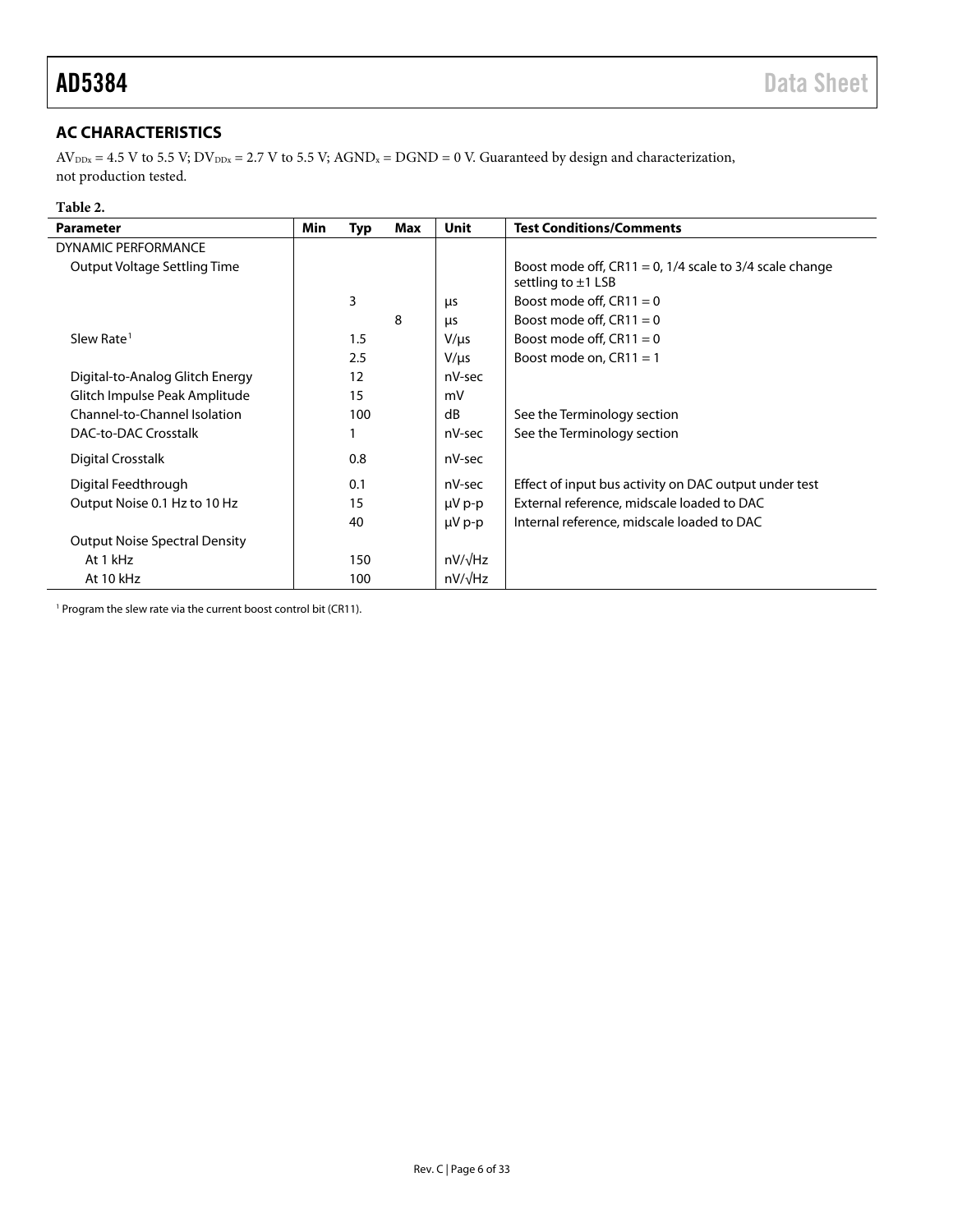# <span id="page-5-0"></span>**AC CHARACTERISTICS**

 $AV_{DDx} = 4.5 V$  to 5.5 V;  $DV_{DDx} = 2.7 V$  to 5.5 V;  $AGND_x = DGND = 0 V$ . Guaranteed by design and characterization, not production tested.

# **Table 2.**

i.

| <b>Parameter</b>                     | Min | Typ | Max | <b>Unit</b>    | <b>Test Conditions/Comments</b>                                                       |
|--------------------------------------|-----|-----|-----|----------------|---------------------------------------------------------------------------------------|
| <b>DYNAMIC PERFORMANCE</b>           |     |     |     |                |                                                                                       |
| Output Voltage Settling Time         |     |     |     |                | Boost mode off, $CR11 = 0$ , 1/4 scale to 3/4 scale change<br>settling to $\pm$ 1 LSB |
|                                      |     | 3   |     | μs             | Boost mode off, $CR11 = 0$                                                            |
|                                      |     |     | 8   | μs             | Boost mode off, $CR11 = 0$                                                            |
| Slew Rate <sup>1</sup>               |     | 1.5 |     | $V/\mu s$      | Boost mode off, $CR11 = 0$                                                            |
|                                      |     | 2.5 |     | $V/\mu s$      | Boost mode on, $CR11 = 1$                                                             |
| Digital-to-Analog Glitch Energy      |     | 12  |     | nV-sec         |                                                                                       |
| Glitch Impulse Peak Amplitude        |     | 15  |     | mV             |                                                                                       |
| Channel-to-Channel Isolation         |     | 100 |     | dB             | See the Terminology section                                                           |
| DAC-to-DAC Crosstalk                 |     |     |     | nV-sec         | See the Terminology section                                                           |
| Digital Crosstalk                    |     | 0.8 |     | nV-sec         |                                                                                       |
| Digital Feedthrough                  |     | 0.1 |     | nV-sec         | Effect of input bus activity on DAC output under test                                 |
| Output Noise 0.1 Hz to 10 Hz         |     | 15  |     | $\mu V$ p-p    | External reference, midscale loaded to DAC                                            |
|                                      |     | 40  |     | $\mu V$ p-p    | Internal reference, midscale loaded to DAC                                            |
| <b>Output Noise Spectral Density</b> |     |     |     |                |                                                                                       |
| At 1 kHz                             |     | 150 |     | $nV/\sqrt{Hz}$ |                                                                                       |
| At 10 kHz                            |     | 100 |     | $nV/\sqrt{Hz}$ |                                                                                       |

<sup>1</sup> Program the slew rate via the current boost control bit (CR11).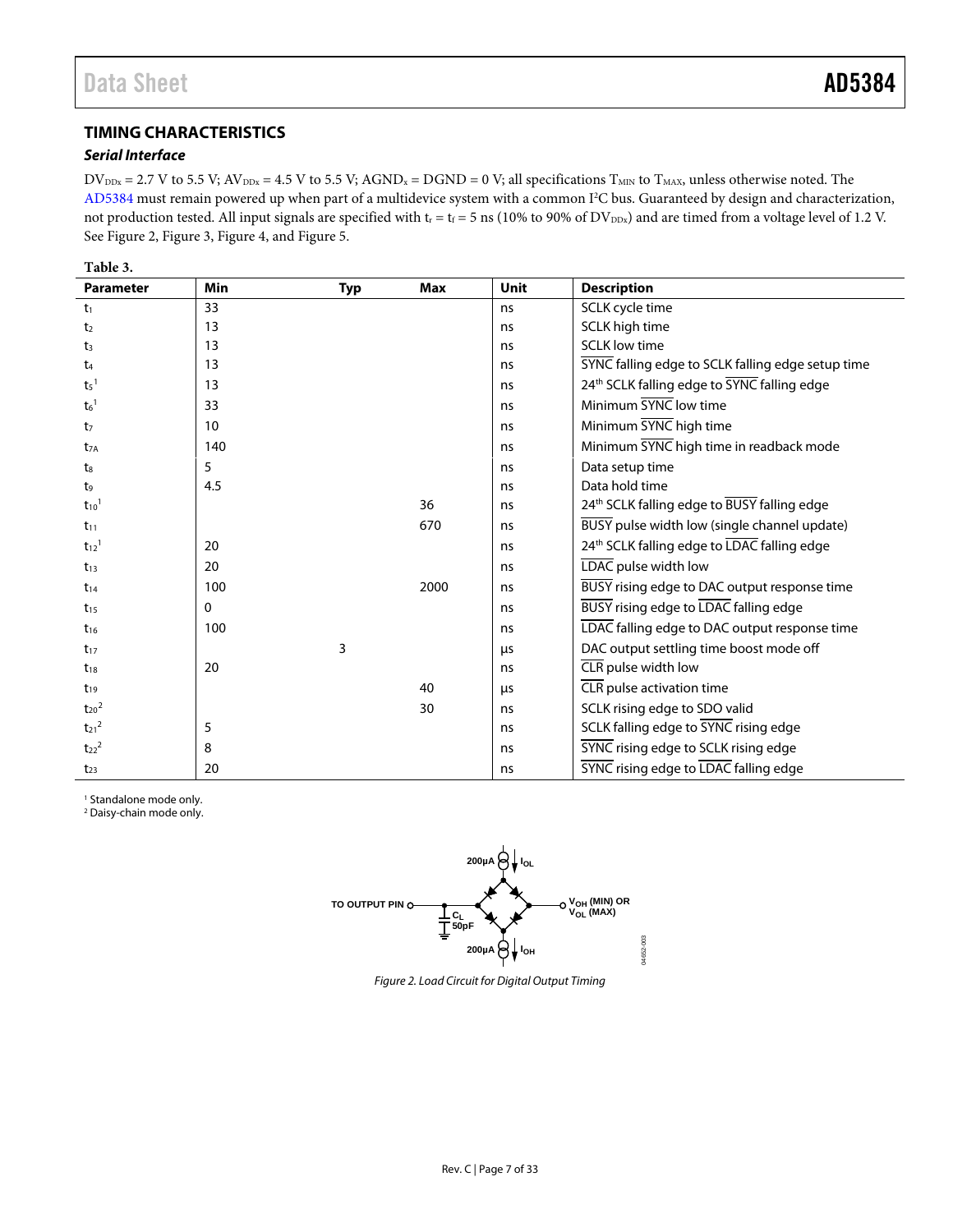# <span id="page-6-0"></span>**TIMING CHARACTERISTICS**

# *Serial Interface*

 $DV_{\text{DDx}} = 2.7 \text{ V}$  to 5.5 V;  $AV_{\text{DDx}} = 4.5 \text{ V}$  to 5.5 V;  $AGND_x = DGND = 0 \text{ V}$ ; all specifications  $T_{\text{MIN}}$  to  $T_{\text{MAX}}$ , unless otherwise noted. The [AD5384](http://www.analog.com/AD5384?doc=AD5384.pdf) must remain powered up when part of a multidevice system with a common I<sup>2</sup>C bus. Guaranteed by design and characterization, not production tested. All input signals are specified with  $t_r = t_f = 5$  ns (10% to 90% of DV<sub>DDx</sub>) and are timed from a voltage level of 1.2 V. See [Figure 2,](#page-6-1) [Figure 3,](#page-7-0) [Figure 4,](#page-7-1) an[d Figure 5.](#page-7-2)

| <b>Parameter</b>      | Min | <b>Typ</b> | <b>Max</b> | Unit | <b>Description</b>                                |
|-----------------------|-----|------------|------------|------|---------------------------------------------------|
| $t_1$                 | 33  |            |            | ns   | SCLK cycle time                                   |
| t <sub>2</sub>        | 13  |            |            | ns   | SCLK high time                                    |
| $t_3$                 | 13  |            |            | ns   | <b>SCLK</b> low time                              |
| t4                    | 13  |            |            | ns   | SYNC falling edge to SCLK falling edge setup time |
| $t_5$ <sup>1</sup>    | 13  |            |            | ns   | 24th SCLK falling edge to SYNC falling edge       |
| $t6$ <sup>1</sup>     | 33  |            |            | ns   | Minimum SYNC low time                             |
| t <sub>7</sub>        | 10  |            |            | ns   | Minimum SYNC high time                            |
| $t_{7A}$              | 140 |            |            | ns   | Minimum SYNC high time in readback mode           |
| $t_8$                 | 5   |            |            | ns   | Data setup time                                   |
| t9                    | 4.5 |            |            | ns   | Data hold time                                    |
| $t_{10}$ <sup>1</sup> |     |            | 36         | ns   | 24th SCLK falling edge to BUSY falling edge       |
| $t_{11}$              |     |            | 670        | ns   | BUSY pulse width low (single channel update)      |
| $t_{12}$ <sup>1</sup> | 20  |            |            | ns   | 24th SCLK falling edge to LDAC falling edge       |
| $t_{13}$              | 20  |            |            | ns   | LDAC pulse width low                              |
| $t_{14}$              | 100 |            | 2000       | ns   | BUSY rising edge to DAC output response time      |
| $t_{15}$              | 0   |            |            | ns   | <b>BUSY</b> rising edge to LDAC falling edge      |
| $t_{16}$              | 100 |            |            | ns   | LDAC falling edge to DAC output response time     |
| $t_{17}$              |     | 3          |            | μs   | DAC output settling time boost mode off           |
| $t_{18}$              | 20  |            |            | ns   | CLR pulse width low                               |
| $t_{19}$              |     |            | 40         | μs   | CLR pulse activation time                         |
| $t_{20}$ <sup>2</sup> |     |            | 30         | ns   | SCLK rising edge to SDO valid                     |
| $t_{21}^2$            | 5   |            |            | ns   | SCLK falling edge to SYNC rising edge             |
| $t_{22}^2$            | 8   |            |            | ns   | SYNC rising edge to SCLK rising edge              |
| $t_{23}$              | 20  |            |            | ns   | <b>SYNC</b> rising edge to LDAC falling edge      |

<sup>1</sup> Standalone mode only.

<span id="page-6-1"></span><sup>2</sup> Daisy-chain mode only.



*Figure 2. Load Circuit for Digital Output Timing*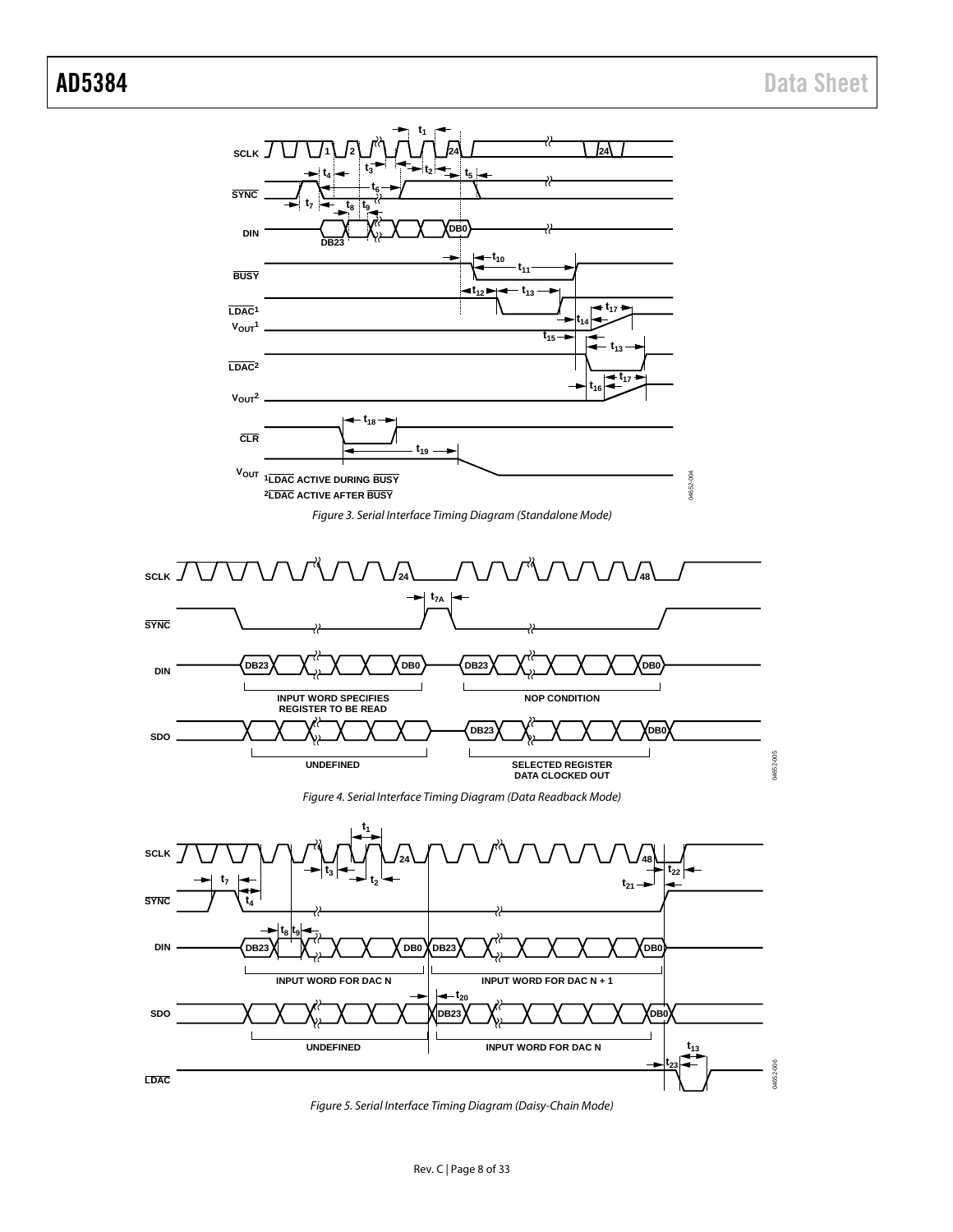



<span id="page-7-0"></span>

*Figure 4. Serial Interface Timing Diagram (Data Readback Mode)*

<span id="page-7-1"></span>

<span id="page-7-2"></span>*Figure 5. Serial Interface Timing Diagram (Daisy-Chain Mode)*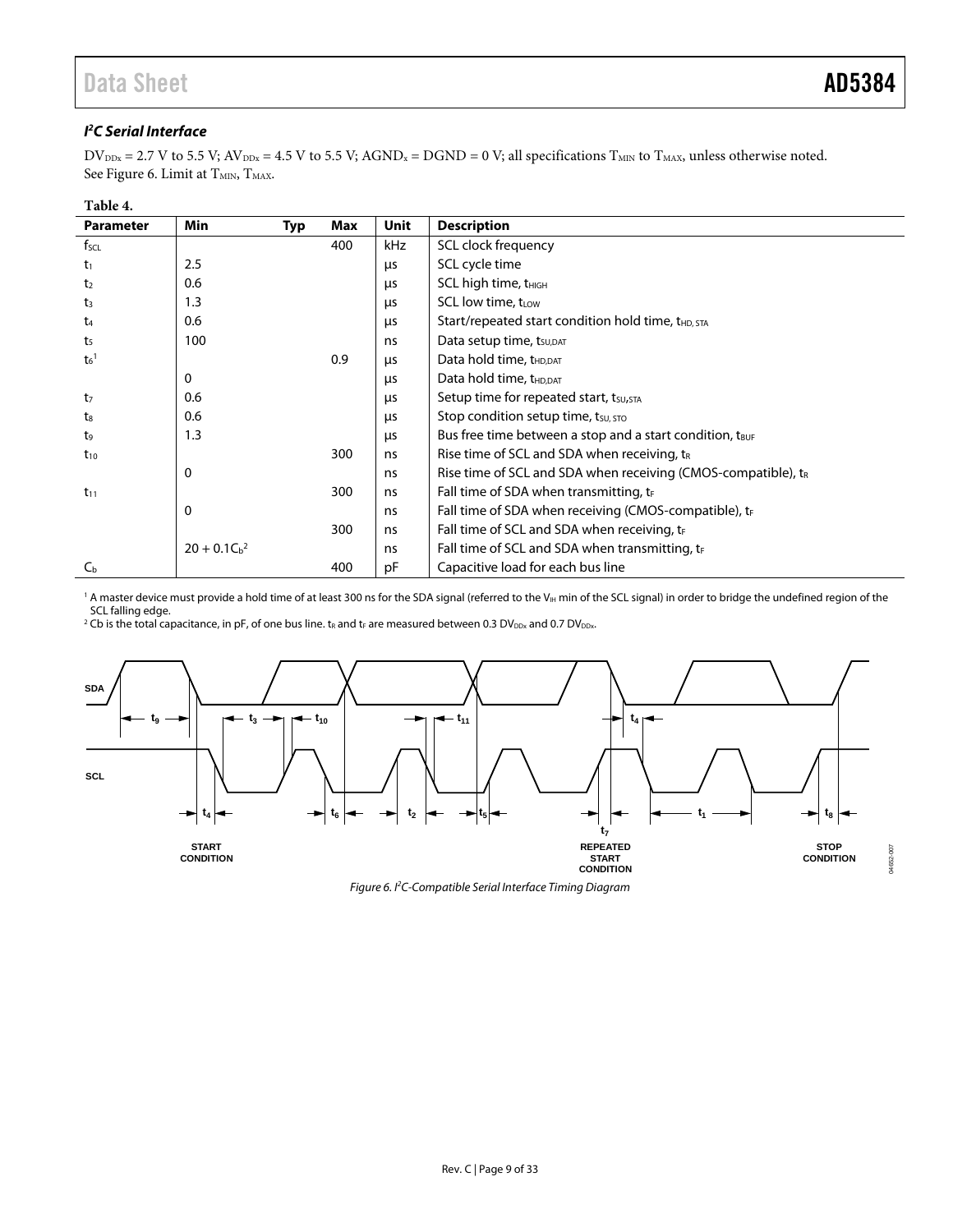### **I 2 C Serial Interface**

 $DV_{\text{DDx}} = 2.7 \text{ V}$  to 5.5 V;  $AV_{\text{DDx}} = 4.5 \text{ V}$  to 5.5 V;  $AGND_x = DGND = 0$  V; all specifications  $T_{\text{MIN}}$  to  $T_{\text{MAX}}$ , unless otherwise noted. Se[e Figure 6.](#page-8-0) Limit at T<sub>MIN</sub>, T<sub>MAX</sub>.

### **Table 4.**

| <b>Parameter</b>  | <b>Min</b>    | Max<br>Typ | <b>Unit</b> | <b>Description</b>                                                        |
|-------------------|---------------|------------|-------------|---------------------------------------------------------------------------|
| $f_{\text{SCL}}$  |               | 400        | kHz         | SCL clock frequency                                                       |
| $t_1$             | 2.5           |            | μs          | SCL cycle time                                                            |
| t <sub>2</sub>    | 0.6           |            | μs          | SCL high time, t <sub>HIGH</sub>                                          |
| $t_3$             | 1.3           |            | μs          | SCL low time, $t_{low}$                                                   |
| $t_{4}$           | 0.6           |            | μs          | Start/repeated start condition hold time, t <sub>HD, STA</sub>            |
| t <sub>5</sub>    | 100           |            | ns          | Data setup time, t <sub>su, DAT</sub>                                     |
| $t6$ <sup>1</sup> |               | 0.9        | μs          | Data hold time, t <sub>HD,DAT</sub>                                       |
|                   | 0             |            | μs          | Data hold time, t <sub>HD,DAT</sub>                                       |
| t <sub>7</sub>    | 0.6           |            | μs          | Setup time for repeated start, tsu, STA                                   |
| $t_8$             | 0.6           |            | μs          | Stop condition setup time, $t_{\text{SU, STO}}$                           |
| t <sub>9</sub>    | 1.3           |            | μs          | Bus free time between a stop and a start condition, t <sub>BUF</sub>      |
| $t_{10}$          |               | 300        | ns          | Rise time of SCL and SDA when receiving, $t_R$                            |
|                   | 0             |            | ns          | Rise time of SCL and SDA when receiving (CMOS-compatible), t <sub>R</sub> |
| $t_{11}$          |               | 300        | ns          | Fall time of SDA when transmitting, $t_F$                                 |
|                   | 0             |            | ns          | Fall time of SDA when receiving (CMOS-compatible), $t_F$                  |
|                   |               | 300        | ns          | Fall time of SCL and SDA when receiving, $t_F$                            |
|                   | $20 + 0.1Cb2$ |            | ns          | Fall time of SCL and SDA when transmitting, tr                            |
| $C_{\rm b}$       |               | 400        | рF          | Capacitive load for each bus line                                         |

<sup>1</sup> A master device must provide a hold time of at least 300 ns for the SDA signal (referred to the V<sub>IH</sub> min of the SCL signal) in order to bridge the undefined region of the SCL falling edge.

 $^2$  Cb is the total capacitance, in pF, of one bus line. t<sub>R</sub> and tr are measured between 0.3 DV $_{\rm{DDx}}$  and 0.7 DV $_{\rm{DDx}}$ 

<span id="page-8-0"></span>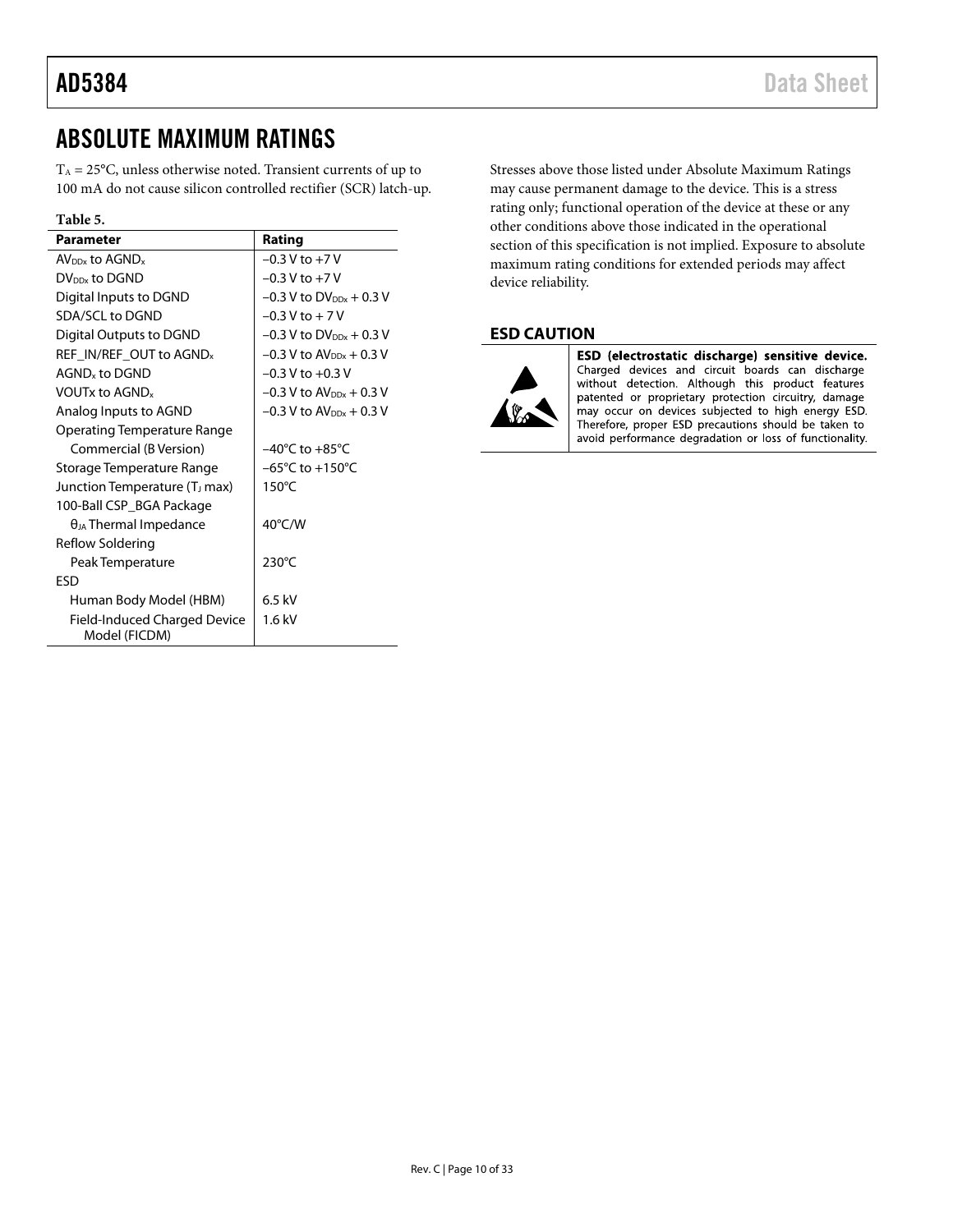# <span id="page-9-0"></span>ABSOLUTE MAXIMUM RATINGS

 $T_A = 25^{\circ}$ C, unless otherwise noted. Transient currents of up to 100 mA do not cause silicon controlled rectifier (SCR) latch-up.

## **Table 5.**

| <b>Parameter</b>                              | Rating                                |
|-----------------------------------------------|---------------------------------------|
| $AV_{DDx}$ to $AGND_{x}$                      | $-0.3$ V to $+7$ V                    |
| DV <sub>DDx</sub> to DGND                     | $-0.3$ V to $+7$ V                    |
| Digital Inputs to DGND                        | $-0.3$ V to DV <sub>DDx</sub> + 0.3 V |
| SDA/SCL to DGND                               | $-0.3$ V to $+7$ V                    |
| Digital Outputs to DGND                       | $-0.3$ V to DV <sub>DDx</sub> + 0.3 V |
| REF IN/REF OUT to AGND <sub>x</sub>           | $-0.3$ V to $AV_{DDx}$ + 0.3 V        |
| AGND <sub>v</sub> to DGND                     | $-0.3$ V to $+0.3$ V                  |
| <b>VOUTx to AGND</b>                          | $-0.3$ V to AV <sub>DDx</sub> + 0.3 V |
| Analog Inputs to AGND                         | $-0.3$ V to $AV_{DDx} + 0.3$ V        |
| Operating Temperature Range                   |                                       |
| Commercial (B Version)                        | $-40^{\circ}$ C to $+85^{\circ}$ C    |
| Storage Temperature Range                     | $-65^{\circ}$ C to $+150^{\circ}$ C   |
| Junction Temperature (T <sub>J</sub> max)     | $150^{\circ}$ C                       |
| 100-Ball CSP_BGA Package                      |                                       |
| $\theta_{JA}$ Thermal Impedance               | 40°C/W                                |
| Reflow Soldering                              |                                       |
| Peak Temperature                              | 230°C                                 |
| <b>FSD</b>                                    |                                       |
| Human Body Model (HBM)                        | $6.5$ kV                              |
| Field-Induced Charged Device<br>Model (FICDM) | $1.6$ kV                              |

Stresses above those listed under Absolute Maximum Ratings may cause permanent damage to the device. This is a stress rating only; functional operation of the device at these or any other conditions above those indicated in the operational section of this specification is not implied. Exposure to absolute maximum rating conditions for extended periods may affect device reliability.

# <span id="page-9-1"></span>**ESD CAUTION**



ESD (electrostatic discharge) sensitive device. Charged devices and circuit boards can discharge without detection. Although this product features patented or proprietary protection circuitry, damage may occur on devices subjected to high energy ESD. Therefore, proper ESD precautions should be taken to avoid performance degradation or loss of functionality.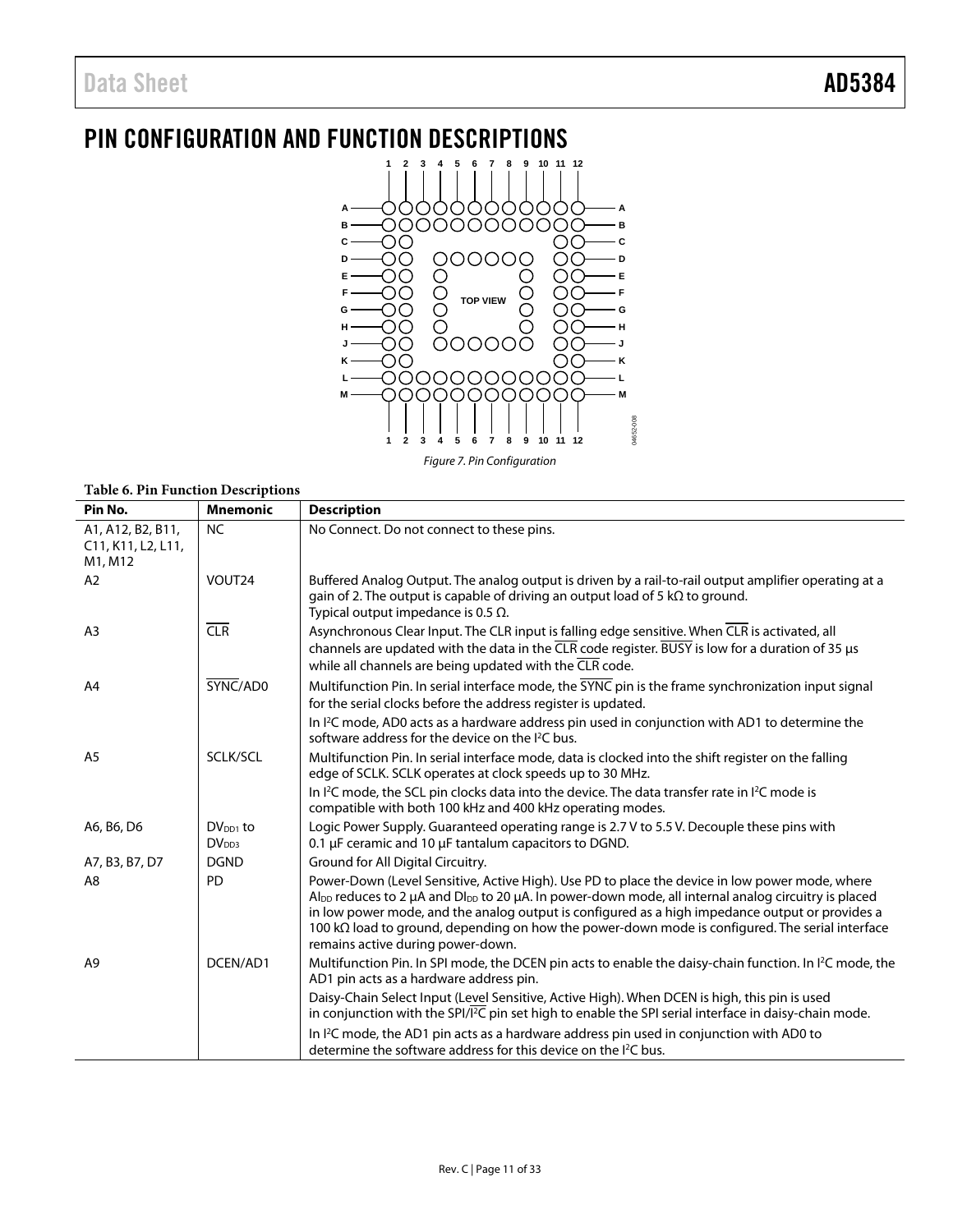# <span id="page-10-0"></span>PIN CONFIGURATION AND FUNCTION DESCRIPTIONS



*Figure 7. Pin Configuration*

| <b>Table 6. Pin Function Descriptions</b>                                                              |                                    |                                                                                                                                                                                                                                                                                                                                                                                                                                                                                            |  |  |  |  |
|--------------------------------------------------------------------------------------------------------|------------------------------------|--------------------------------------------------------------------------------------------------------------------------------------------------------------------------------------------------------------------------------------------------------------------------------------------------------------------------------------------------------------------------------------------------------------------------------------------------------------------------------------------|--|--|--|--|
| Pin No.                                                                                                | <b>Mnemonic</b>                    | <b>Description</b>                                                                                                                                                                                                                                                                                                                                                                                                                                                                         |  |  |  |  |
| A1, A12, B2, B11,<br>C <sub>11</sub> , K <sub>11</sub> , L <sub>2</sub> , L <sub>11</sub> ,<br>M1, M12 | <b>NC</b>                          | No Connect. Do not connect to these pins.                                                                                                                                                                                                                                                                                                                                                                                                                                                  |  |  |  |  |
| A <sub>2</sub>                                                                                         | VOUT24                             | Buffered Analog Output. The analog output is driven by a rail-to-rail output amplifier operating at a<br>gain of 2. The output is capable of driving an output load of 5 $k\Omega$ to ground.<br>Typical output impedance is 0.5 $\Omega$ .                                                                                                                                                                                                                                                |  |  |  |  |
| A <sub>3</sub>                                                                                         | CLR                                | Asynchronous Clear Input. The CLR input is falling edge sensitive. When CLR is activated, all<br>channels are updated with the data in the $\overline{\text{CLR}}$ code register. BUSY is low for a duration of 35 µs<br>while all channels are being updated with the CLR code.                                                                                                                                                                                                           |  |  |  |  |
| A <sub>4</sub>                                                                                         | SYNC/AD0                           | Multifunction Pin. In serial interface mode, the SYNC pin is the frame synchronization input signal<br>for the serial clocks before the address register is updated.                                                                                                                                                                                                                                                                                                                       |  |  |  |  |
|                                                                                                        |                                    | In <sup>12</sup> C mode, AD0 acts as a hardware address pin used in conjunction with AD1 to determine the<br>software address for the device on the I <sup>2</sup> C bus.                                                                                                                                                                                                                                                                                                                  |  |  |  |  |
| A <sub>5</sub>                                                                                         | SCLK/SCL                           | Multifunction Pin. In serial interface mode, data is clocked into the shift register on the falling<br>edge of SCLK. SCLK operates at clock speeds up to 30 MHz.                                                                                                                                                                                                                                                                                                                           |  |  |  |  |
|                                                                                                        |                                    | In $l^2C$ mode, the SCL pin clocks data into the device. The data transfer rate in $l^2C$ mode is<br>compatible with both 100 kHz and 400 kHz operating modes.                                                                                                                                                                                                                                                                                                                             |  |  |  |  |
| A6, B6, D6                                                                                             | $DV_{DD1}$ to<br>DV <sub>DD3</sub> | Logic Power Supply. Guaranteed operating range is 2.7 V to 5.5 V. Decouple these pins with<br>0.1 µF ceramic and 10 µF tantalum capacitors to DGND.                                                                                                                                                                                                                                                                                                                                        |  |  |  |  |
| A7, B3, B7, D7                                                                                         | <b>DGND</b>                        | Ground for All Digital Circuitry.                                                                                                                                                                                                                                                                                                                                                                                                                                                          |  |  |  |  |
| A8                                                                                                     | <b>PD</b>                          | Power-Down (Level Sensitive, Active High). Use PD to place the device in low power mode, where<br>Al <sub>DD</sub> reduces to 2 $\mu$ A and Dl <sub>DD</sub> to 20 $\mu$ A. In power-down mode, all internal analog circuitry is placed<br>in low power mode, and the analog output is configured as a high impedance output or provides a<br>100 k $\Omega$ load to ground, depending on how the power-down mode is configured. The serial interface<br>remains active during power-down. |  |  |  |  |
| A <sub>9</sub>                                                                                         | DCEN/AD1                           | Multifunction Pin. In SPI mode, the DCEN pin acts to enable the daisy-chain function. In I <sup>2</sup> C mode, the<br>AD1 pin acts as a hardware address pin.                                                                                                                                                                                                                                                                                                                             |  |  |  |  |
|                                                                                                        |                                    | Daisy-Chain Select Input (Level Sensitive, Active High). When DCEN is high, this pin is used<br>in conjunction with the SPI/I <sup>2</sup> C pin set high to enable the SPI serial interface in daisy-chain mode.                                                                                                                                                                                                                                                                          |  |  |  |  |
|                                                                                                        |                                    | In I <sup>2</sup> C mode, the AD1 pin acts as a hardware address pin used in conjunction with AD0 to<br>determine the software address for this device on the I <sup>2</sup> C bus.                                                                                                                                                                                                                                                                                                        |  |  |  |  |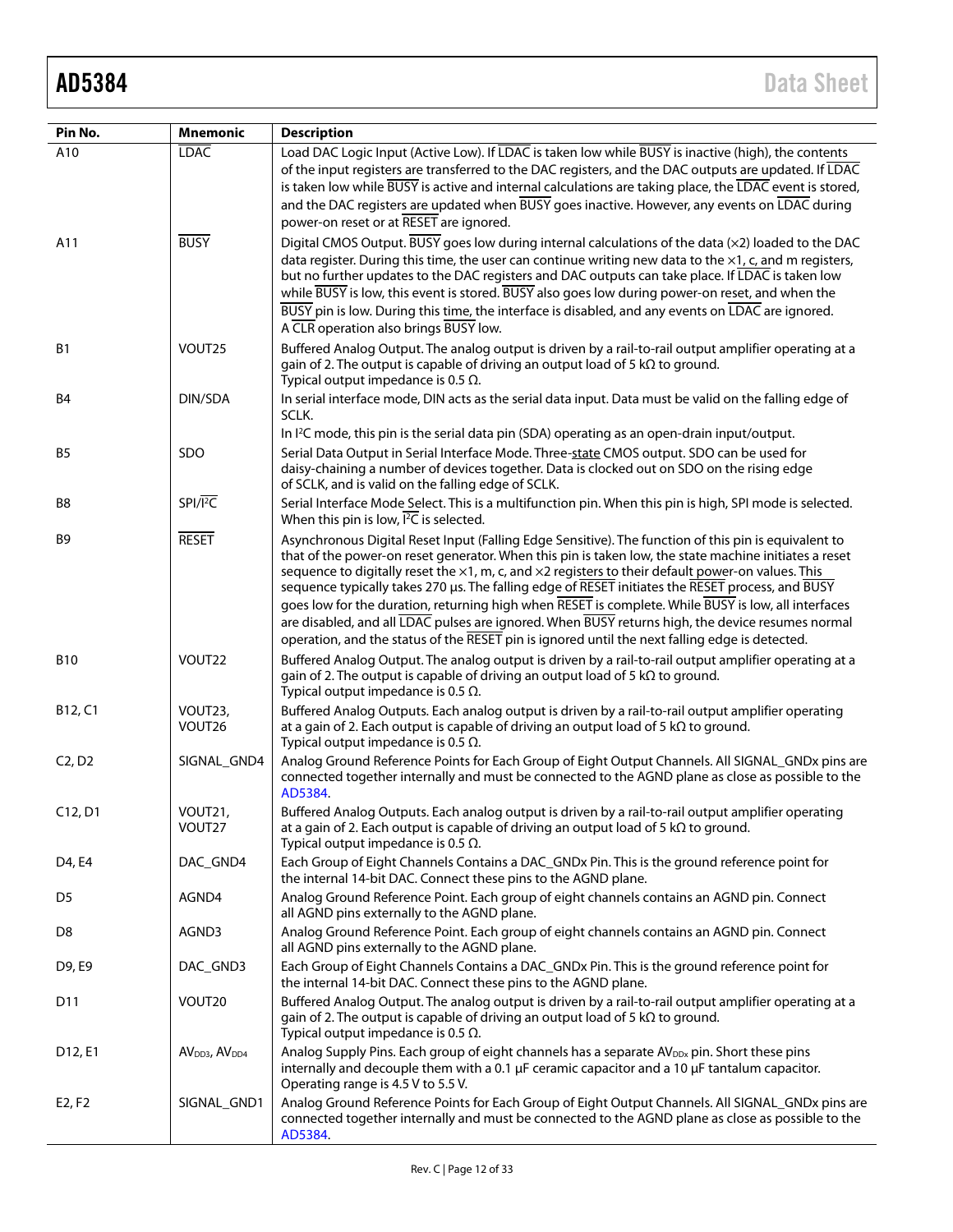| Pin No.                          | <b>Mnemonic</b>                       | <b>Description</b>                                                                                                                                                                                                                                                                                                                                                                                                                                                                                                                                                                                                                                                                                                                                   |
|----------------------------------|---------------------------------------|------------------------------------------------------------------------------------------------------------------------------------------------------------------------------------------------------------------------------------------------------------------------------------------------------------------------------------------------------------------------------------------------------------------------------------------------------------------------------------------------------------------------------------------------------------------------------------------------------------------------------------------------------------------------------------------------------------------------------------------------------|
| A10                              | <b>LDAC</b>                           | Load DAC Logic Input (Active Low). If LDAC is taken low while BUSY is inactive (high), the contents                                                                                                                                                                                                                                                                                                                                                                                                                                                                                                                                                                                                                                                  |
|                                  |                                       | of the input registers are transferred to the DAC registers, and the DAC outputs are updated. If LDAC<br>is taken low while BUSY is active and internal calculations are taking place, the LDAC event is stored,<br>and the DAC registers are updated when BUSY goes inactive. However, any events on LDAC during<br>power-on reset or at RESET are ignored.                                                                                                                                                                                                                                                                                                                                                                                         |
| A11                              | <b>BUSY</b>                           | Digital CMOS Output. BUSY goes low during internal calculations of the data (x2) loaded to the DAC                                                                                                                                                                                                                                                                                                                                                                                                                                                                                                                                                                                                                                                   |
|                                  |                                       | data register. During this time, the user can continue writing new data to the $\times$ 1, c, and m registers,<br>but no further updates to the DAC registers and DAC outputs can take place. If LDAC is taken low<br>while BUSY is low, this event is stored. BUSY also goes low during power-on reset, and when the<br>BUSY pin is low. During this time, the interface is disabled, and any events on LDAC are ignored.<br>A CLR operation also brings BUSY low.                                                                                                                                                                                                                                                                                  |
| <b>B1</b>                        | VOUT <sub>25</sub>                    | Buffered Analog Output. The analog output is driven by a rail-to-rail output amplifier operating at a<br>gain of 2. The output is capable of driving an output load of 5 $k\Omega$ to ground.<br>Typical output impedance is 0.5 $\Omega$ .                                                                                                                                                                                                                                                                                                                                                                                                                                                                                                          |
| B4                               | DIN/SDA                               | In serial interface mode, DIN acts as the serial data input. Data must be valid on the falling edge of<br>SCLK.                                                                                                                                                                                                                                                                                                                                                                                                                                                                                                                                                                                                                                      |
|                                  |                                       | In I <sup>2</sup> C mode, this pin is the serial data pin (SDA) operating as an open-drain input/output.                                                                                                                                                                                                                                                                                                                                                                                                                                                                                                                                                                                                                                             |
| B5                               | SDO                                   | Serial Data Output in Serial Interface Mode. Three-state CMOS output. SDO can be used for<br>daisy-chaining a number of devices together. Data is clocked out on SDO on the rising edge<br>of SCLK, and is valid on the falling edge of SCLK.                                                                                                                                                                                                                                                                                                                                                                                                                                                                                                        |
| B8                               | $SPI/\overline{I^2C}$                 | Serial Interface Mode Select. This is a multifunction pin. When this pin is high, SPI mode is selected.<br>When this pin is low, $\overline{PC}$ is selected.                                                                                                                                                                                                                                                                                                                                                                                                                                                                                                                                                                                        |
| B9                               | <b>RESET</b>                          | Asynchronous Digital Reset Input (Falling Edge Sensitive). The function of this pin is equivalent to<br>that of the power-on reset generator. When this pin is taken low, the state machine initiates a reset<br>sequence to digitally reset the $\times 1$ , m, c, and $\times 2$ registers to their default power-on values. This<br>sequence typically takes 270 µs. The falling edge of RESET initiates the RESET process, and BUSY<br>goes low for the duration, returning high when RESET is complete. While BUSY is low, all interfaces<br>are disabled, and all LDAC pulses are ignored. When BUSY returns high, the device resumes normal<br>operation, and the status of the RESET pin is ignored until the next falling edge is detected. |
| <b>B10</b>                       | VOUT22                                | Buffered Analog Output. The analog output is driven by a rail-to-rail output amplifier operating at a<br>gain of 2. The output is capable of driving an output load of 5 $k\Omega$ to ground.<br>Typical output impedance is 0.5 $\Omega$ .                                                                                                                                                                                                                                                                                                                                                                                                                                                                                                          |
| B12, C1                          | VOUT23,<br>VOUT26                     | Buffered Analog Outputs. Each analog output is driven by a rail-to-rail output amplifier operating<br>at a gain of 2. Each output is capable of driving an output load of 5 $k\Omega$ to ground.<br>Typical output impedance is 0.5 $\Omega$ .                                                                                                                                                                                                                                                                                                                                                                                                                                                                                                       |
| C <sub>2</sub> , D <sub>2</sub>  | SIGNAL_GND4                           | Analog Ground Reference Points for Each Group of Eight Output Channels. All SIGNAL_GNDx pins are<br>connected together internally and must be connected to the AGND plane as close as possible to the<br>AD5384.                                                                                                                                                                                                                                                                                                                                                                                                                                                                                                                                     |
| C <sub>12</sub> , D <sub>1</sub> | VOUT21,<br>VOUT27                     | Buffered Analog Outputs. Each analog output is driven by a rail-to-rail output amplifier operating<br>at a gain of 2. Each output is capable of driving an output load of 5 $k\Omega$ to ground.<br>Typical output impedance is 0.5 $\Omega$ .                                                                                                                                                                                                                                                                                                                                                                                                                                                                                                       |
| D4, E4                           | DAC_GND4                              | Each Group of Eight Channels Contains a DAC_GNDx Pin. This is the ground reference point for<br>the internal 14-bit DAC. Connect these pins to the AGND plane.                                                                                                                                                                                                                                                                                                                                                                                                                                                                                                                                                                                       |
| D <sub>5</sub>                   | AGND4                                 | Analog Ground Reference Point. Each group of eight channels contains an AGND pin. Connect<br>all AGND pins externally to the AGND plane.                                                                                                                                                                                                                                                                                                                                                                                                                                                                                                                                                                                                             |
| D8                               | AGND3                                 | Analog Ground Reference Point. Each group of eight channels contains an AGND pin. Connect<br>all AGND pins externally to the AGND plane.                                                                                                                                                                                                                                                                                                                                                                                                                                                                                                                                                                                                             |
| D9, E9                           | DAC_GND3                              | Each Group of Eight Channels Contains a DAC_GNDx Pin. This is the ground reference point for<br>the internal 14-bit DAC. Connect these pins to the AGND plane.                                                                                                                                                                                                                                                                                                                                                                                                                                                                                                                                                                                       |
| D <sub>11</sub>                  | VOUT20                                | Buffered Analog Output. The analog output is driven by a rail-to-rail output amplifier operating at a<br>gain of 2. The output is capable of driving an output load of 5 $k\Omega$ to ground.<br>Typical output impedance is 0.5 $\Omega$ .                                                                                                                                                                                                                                                                                                                                                                                                                                                                                                          |
| D12, E1                          | AV <sub>DD3</sub> , AV <sub>DD4</sub> | Analog Supply Pins. Each group of eight channels has a separate AV <sub>DDx</sub> pin. Short these pins<br>internally and decouple them with a 0.1 $\mu$ F ceramic capacitor and a 10 $\mu$ F tantalum capacitor.<br>Operating range is 4.5 V to 5.5 V.                                                                                                                                                                                                                                                                                                                                                                                                                                                                                              |
| E2, F2                           | SIGNAL_GND1                           | Analog Ground Reference Points for Each Group of Eight Output Channels. All SIGNAL_GNDx pins are<br>connected together internally and must be connected to the AGND plane as close as possible to the<br>AD5384.                                                                                                                                                                                                                                                                                                                                                                                                                                                                                                                                     |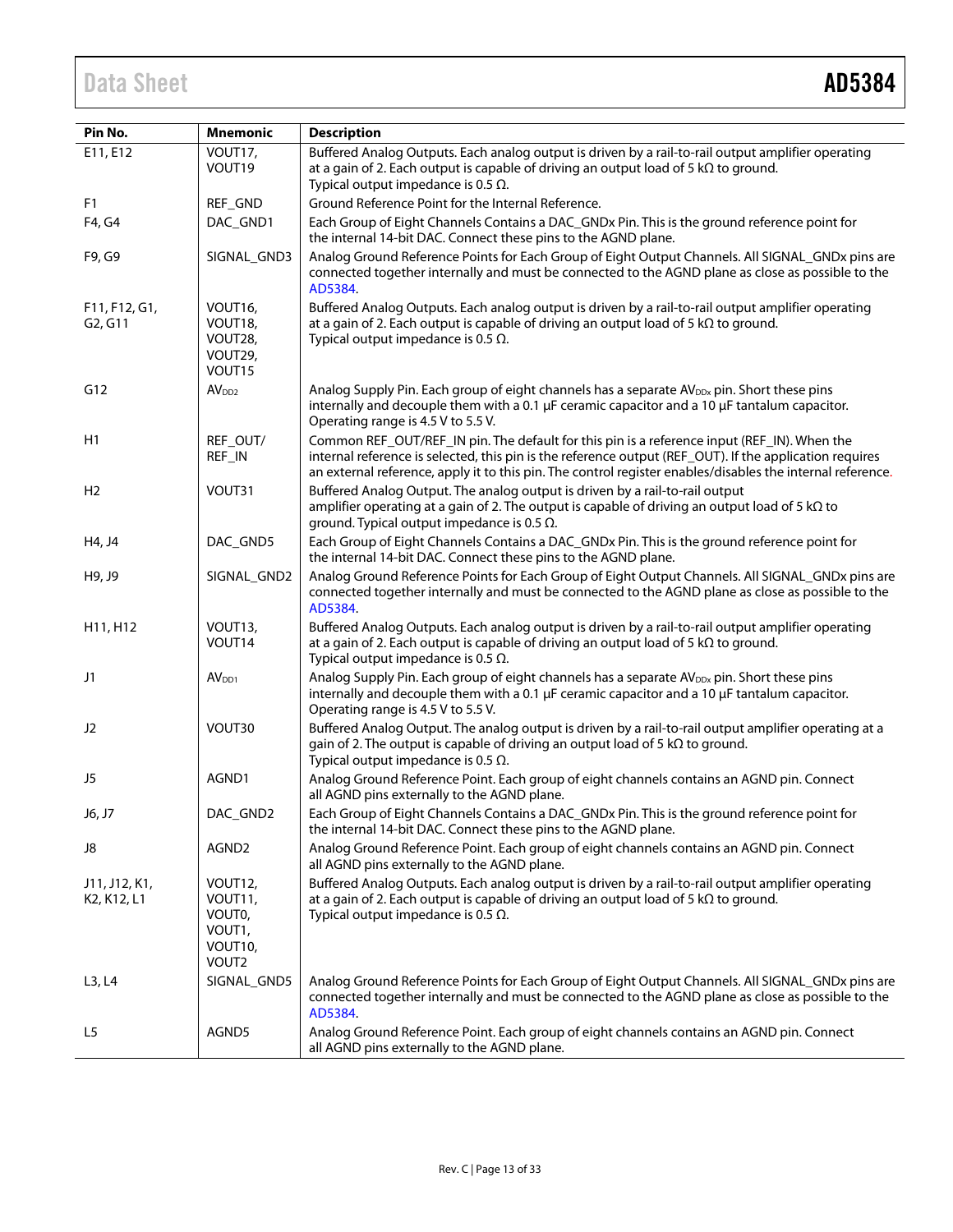# Data Sheet **AD5384**

| Pin No.                                                            | <b>Mnemonic</b>                                                         | <b>Description</b>                                                                                                                                                                                                                                                                                                   |  |  |  |  |  |
|--------------------------------------------------------------------|-------------------------------------------------------------------------|----------------------------------------------------------------------------------------------------------------------------------------------------------------------------------------------------------------------------------------------------------------------------------------------------------------------|--|--|--|--|--|
| E11, E12                                                           | VOUT17,                                                                 | Buffered Analog Outputs. Each analog output is driven by a rail-to-rail output amplifier operating                                                                                                                                                                                                                   |  |  |  |  |  |
|                                                                    | VOUT19                                                                  | at a gain of 2. Each output is capable of driving an output load of 5 $k\Omega$ to ground.                                                                                                                                                                                                                           |  |  |  |  |  |
|                                                                    |                                                                         | Typical output impedance is 0.5 $\Omega$ .                                                                                                                                                                                                                                                                           |  |  |  |  |  |
| F <sub>1</sub>                                                     | REF_GND                                                                 | Ground Reference Point for the Internal Reference.                                                                                                                                                                                                                                                                   |  |  |  |  |  |
| F4, G4                                                             | DAC_GND1                                                                | Each Group of Eight Channels Contains a DAC_GNDx Pin. This is the ground reference point for<br>the internal 14-bit DAC. Connect these pins to the AGND plane.                                                                                                                                                       |  |  |  |  |  |
| F9, G9                                                             | SIGNAL_GND3                                                             | Analog Ground Reference Points for Each Group of Eight Output Channels. All SIGNAL_GNDx pins are<br>connected together internally and must be connected to the AGND plane as close as possible to the<br>AD5384.                                                                                                     |  |  |  |  |  |
| F11, F12, G1,<br>G <sub>2</sub> , G <sub>11</sub>                  | VOUT <sub>16</sub><br>VOUT18,<br>VOUT28,<br>VOUT29,<br>VOUT15           | Buffered Analog Outputs. Each analog output is driven by a rail-to-rail output amplifier operating<br>at a gain of 2. Each output is capable of driving an output load of 5 $k\Omega$ to ground.<br>Typical output impedance is 0.5 $\Omega$ .                                                                       |  |  |  |  |  |
| G12                                                                | AV <sub>DD2</sub>                                                       | Analog Supply Pin. Each group of eight channels has a separate $AV_{\text{Dpx}}$ pin. Short these pins<br>internally and decouple them with a 0.1 µF ceramic capacitor and a 10 µF tantalum capacitor.<br>Operating range is 4.5 V to 5.5 V.                                                                         |  |  |  |  |  |
| H1                                                                 | REF_OUT/<br>REF_IN                                                      | Common REF_OUT/REF_IN pin. The default for this pin is a reference input (REF_IN). When the<br>internal reference is selected, this pin is the reference output (REF_OUT). If the application requires<br>an external reference, apply it to this pin. The control register enables/disables the internal reference. |  |  |  |  |  |
| H <sub>2</sub>                                                     | VOUT31                                                                  | Buffered Analog Output. The analog output is driven by a rail-to-rail output<br>amplifier operating at a gain of 2. The output is capable of driving an output load of 5 k $\Omega$ to<br>ground. Typical output impedance is 0.5 $\Omega$ .                                                                         |  |  |  |  |  |
| H4, J4                                                             | DAC_GND5                                                                | Each Group of Eight Channels Contains a DAC_GNDx Pin. This is the ground reference point for<br>the internal 14-bit DAC. Connect these pins to the AGND plane.                                                                                                                                                       |  |  |  |  |  |
| H9, J9                                                             | SIGNAL_GND2                                                             | Analog Ground Reference Points for Each Group of Eight Output Channels. All SIGNAL_GNDx pins are<br>connected together internally and must be connected to the AGND plane as close as possible to the<br>AD5384.                                                                                                     |  |  |  |  |  |
| H <sub>11</sub> , H <sub>12</sub>                                  | VOUT <sub>13</sub> ,<br>VOUT14                                          | Buffered Analog Outputs. Each analog output is driven by a rail-to-rail output amplifier operating<br>at a gain of 2. Each output is capable of driving an output load of 5 $k\Omega$ to ground.<br>Typical output impedance is 0.5 $\Omega$ .                                                                       |  |  |  |  |  |
| J1                                                                 | AV <sub>DD1</sub>                                                       | Analog Supply Pin. Each group of eight channels has a separate AV <sub>DDx</sub> pin. Short these pins<br>internally and decouple them with a 0.1 µF ceramic capacitor and a 10 µF tantalum capacitor.<br>Operating range is 4.5 V to 5.5 V.                                                                         |  |  |  |  |  |
| J2                                                                 | VOUT30                                                                  | Buffered Analog Output. The analog output is driven by a rail-to-rail output amplifier operating at a<br>gain of 2. The output is capable of driving an output load of 5 $k\Omega$ to ground.<br>Typical output impedance is 0.5 $\Omega$ .                                                                          |  |  |  |  |  |
| J5                                                                 | AGND1                                                                   | Analog Ground Reference Point. Each group of eight channels contains an AGND pin. Connect<br>all AGND pins externally to the AGND plane.                                                                                                                                                                             |  |  |  |  |  |
| J6, J7                                                             | DAC_GND2                                                                | Each Group of Eight Channels Contains a DAC_GNDx Pin. This is the ground reference point for<br>the internal 14-bit DAC. Connect these pins to the AGND plane.                                                                                                                                                       |  |  |  |  |  |
| J8                                                                 | AGND2                                                                   | Analog Ground Reference Point. Each group of eight channels contains an AGND pin. Connect<br>all AGND pins externally to the AGND plane.                                                                                                                                                                             |  |  |  |  |  |
| J11, J12, K1,<br>K <sub>2</sub> , K <sub>12</sub> , L <sub>1</sub> | VOUT <sub>12</sub> ,<br>VOUT11,<br>VOUT0,<br>VOUT1,<br>VOUT10,<br>VOUT2 | Buffered Analog Outputs. Each analog output is driven by a rail-to-rail output amplifier operating<br>at a gain of 2. Each output is capable of driving an output load of 5 $k\Omega$ to ground.<br>Typical output impedance is 0.5 $\Omega$ .                                                                       |  |  |  |  |  |
| L3, L4                                                             | SIGNAL_GND5                                                             | Analog Ground Reference Points for Each Group of Eight Output Channels. All SIGNAL_GNDx pins are<br>connected together internally and must be connected to the AGND plane as close as possible to the<br>AD5384.                                                                                                     |  |  |  |  |  |
| L <sub>5</sub>                                                     | AGND5                                                                   | Analog Ground Reference Point. Each group of eight channels contains an AGND pin. Connect<br>all AGND pins externally to the AGND plane.                                                                                                                                                                             |  |  |  |  |  |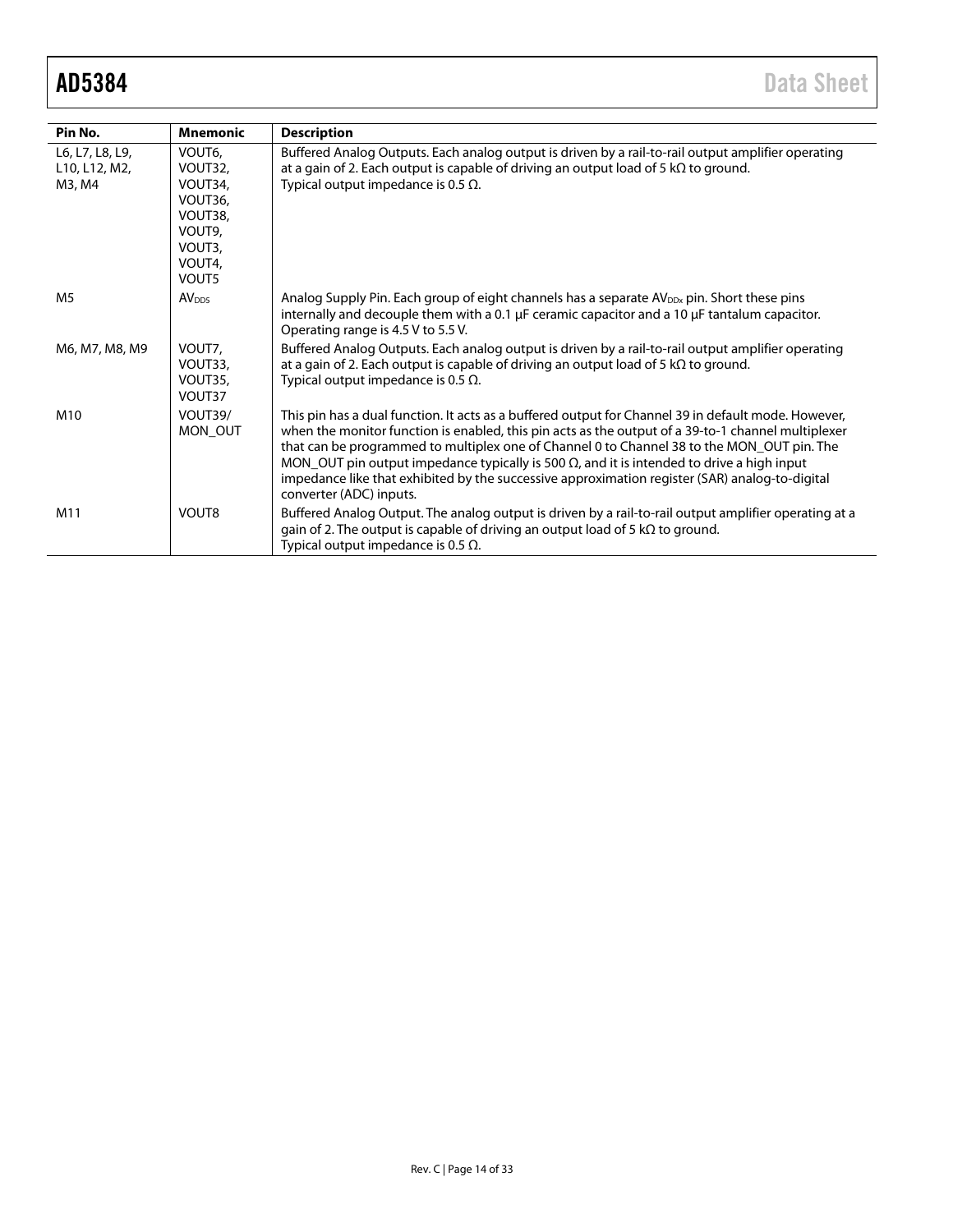| Pin No.                                    | <b>Mnemonic</b>                                                                           | <b>Description</b>                                                                                                                                                                                                                                                                                                                                                                                                                                                                                                                        |
|--------------------------------------------|-------------------------------------------------------------------------------------------|-------------------------------------------------------------------------------------------------------------------------------------------------------------------------------------------------------------------------------------------------------------------------------------------------------------------------------------------------------------------------------------------------------------------------------------------------------------------------------------------------------------------------------------------|
| L6, L7, L8, L9,<br>L10, L12, M2,<br>M3, M4 | VOUT6,<br>VOUT32,<br>VOUT34,<br>VOUT36,<br>VOUT38,<br>VOUT9,<br>VOUT3,<br>VOUT4,<br>VOUT5 | Buffered Analog Outputs. Each analog output is driven by a rail-to-rail output amplifier operating<br>at a gain of 2. Each output is capable of driving an output load of 5 $k\Omega$ to ground.<br>Typical output impedance is 0.5 $\Omega$ .                                                                                                                                                                                                                                                                                            |
| M <sub>5</sub>                             | AV <sub>DD5</sub>                                                                         | Analog Supply Pin. Each group of eight channels has a separate AV <sub>DDx</sub> pin. Short these pins<br>internally and decouple them with a 0.1 $\mu$ F ceramic capacitor and a 10 $\mu$ F tantalum capacitor.<br>Operating range is 4.5 V to 5.5 V.                                                                                                                                                                                                                                                                                    |
| M6, M7, M8, M9                             | VOUT7,<br>VOUT33,<br>VOUT35,<br>VOUT37                                                    | Buffered Analog Outputs. Each analog output is driven by a rail-to-rail output amplifier operating<br>at a gain of 2. Each output is capable of driving an output load of 5 k $\Omega$ to ground.<br>Typical output impedance is 0.5 $\Omega$ .                                                                                                                                                                                                                                                                                           |
| M10                                        | VOUT39/<br>MON OUT                                                                        | This pin has a dual function. It acts as a buffered output for Channel 39 in default mode. However,<br>when the monitor function is enabled, this pin acts as the output of a 39-to-1 channel multiplexer<br>that can be programmed to multiplex one of Channel 0 to Channel 38 to the MON_OUT pin. The<br>MON_OUT pin output impedance typically is 500 $\Omega$ , and it is intended to drive a high input<br>impedance like that exhibited by the successive approximation register (SAR) analog-to-digital<br>converter (ADC) inputs. |
| M11                                        | VOUT8                                                                                     | Buffered Analog Output. The analog output is driven by a rail-to-rail output amplifier operating at a<br>gain of 2. The output is capable of driving an output load of 5 $k\Omega$ to ground.<br>Typical output impedance is 0.5 $\Omega$ .                                                                                                                                                                                                                                                                                               |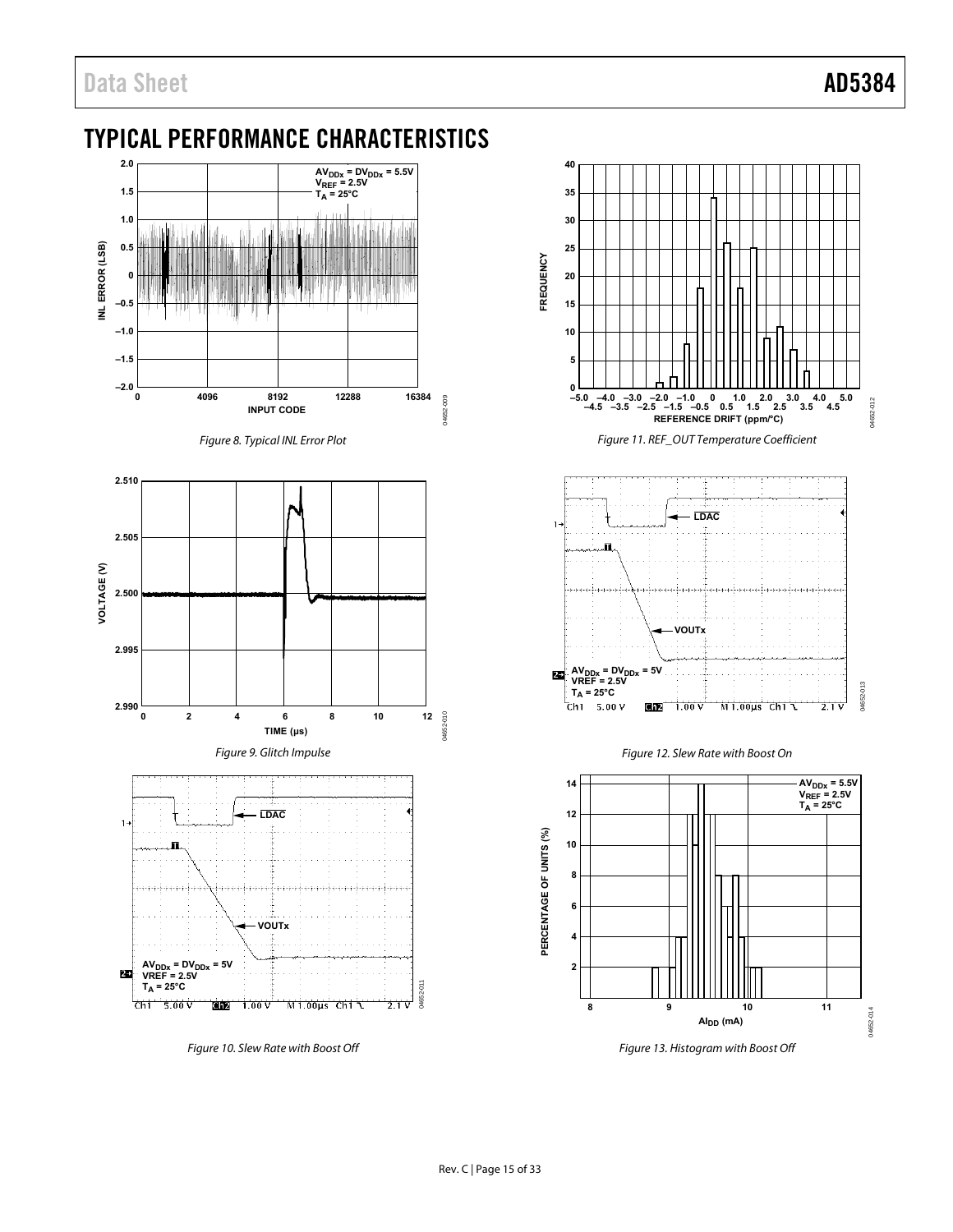# <span id="page-14-0"></span>TYPICAL PERFORMANCE CHARACTERISTICS



Figure 10. Slew Rate with Boost Off



Figure 11. REF\_OUT Temperature Coefficient







Figure 13. Histogram with Boost Off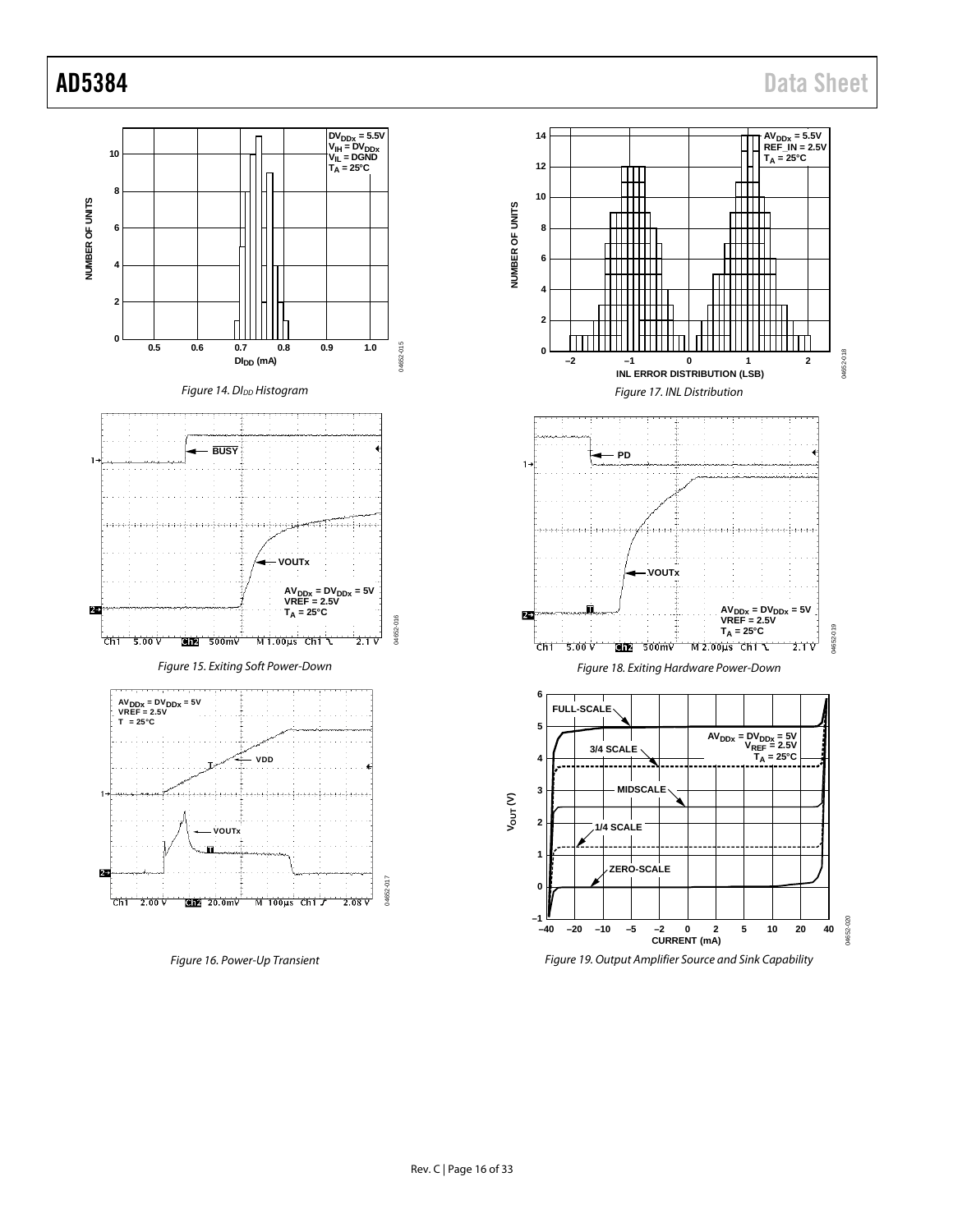

Figure 19. Output Amplifier Source and Sink Capability

Figure 16. Power-Up Transient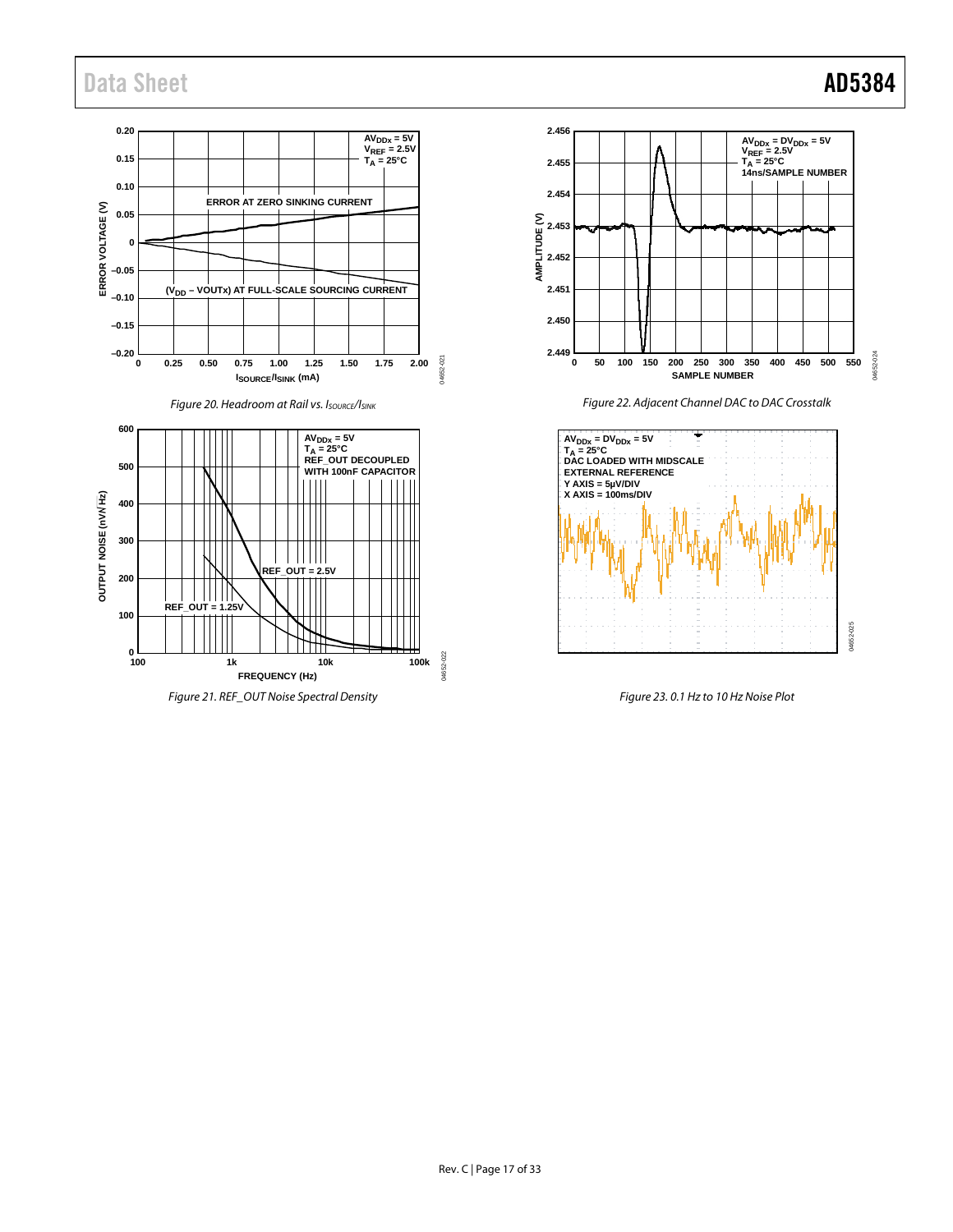# Data Sheet **AD5384**

#### **0.20 2.456 AVDDx = 5V VREF = 2.5V TA = 25°C 0.15 2.455 0.10 2.454 ERROR AT ZERO SINKING CURRENT** ERROR VOLTAGE (V) **ERROR VOLTAGE (V) 0.05 AMPLITUDE (V) 2.453 0 2.452 –0.05 (VDD – VOUTx) AT FULL-SCALE SOURCING CURRENT 2.451 –0.10 2.450 –0.15 –0.20 2.449** 04652-021 04652-021 **0 0.25 0.50 0.75 1.00 1.25 1.50 1.75 2.00 SAMPLE NUMBER ISOURCE/ISINK (mA) Figure 20. Headroom at Rail vs. ISOURCE/ISINK 600 AVDDx = 5V TA = 25°C REF\_OUT DECOUPLED** AV<sub>DDx</sub> = DV<sub>DDx</sub> = 5V<br>T<sub>A</sub> = 25°C<br>DAC LOADED WITH MIDSCALE **500 WITH 100nF CAPACITOR EXTERNAL REFERENCE Y AXIS = 5µV/DIV X AXIS = 100ms/DIV** OUTPUT NOISE (nWHz) **OUTPUT NOISE (nV/ Hz) 400 300** ШШ **REF\_OUT = 2.5V 200** HIIII **REF\_OUT = 1.25V 100** ــا 0<br>100 14652-022 04652-022 **100 1k 10k 100k FREQUENCY (Hz)**

*Figure 21. REF\_OUT Noise Spectral Density*

*Figure 23. 0.1 Hz to 10 Hz Noise Plot*

04652-025

04652-025



*Figure 22. Adjacent Channel DAC to DAC Crosstalk*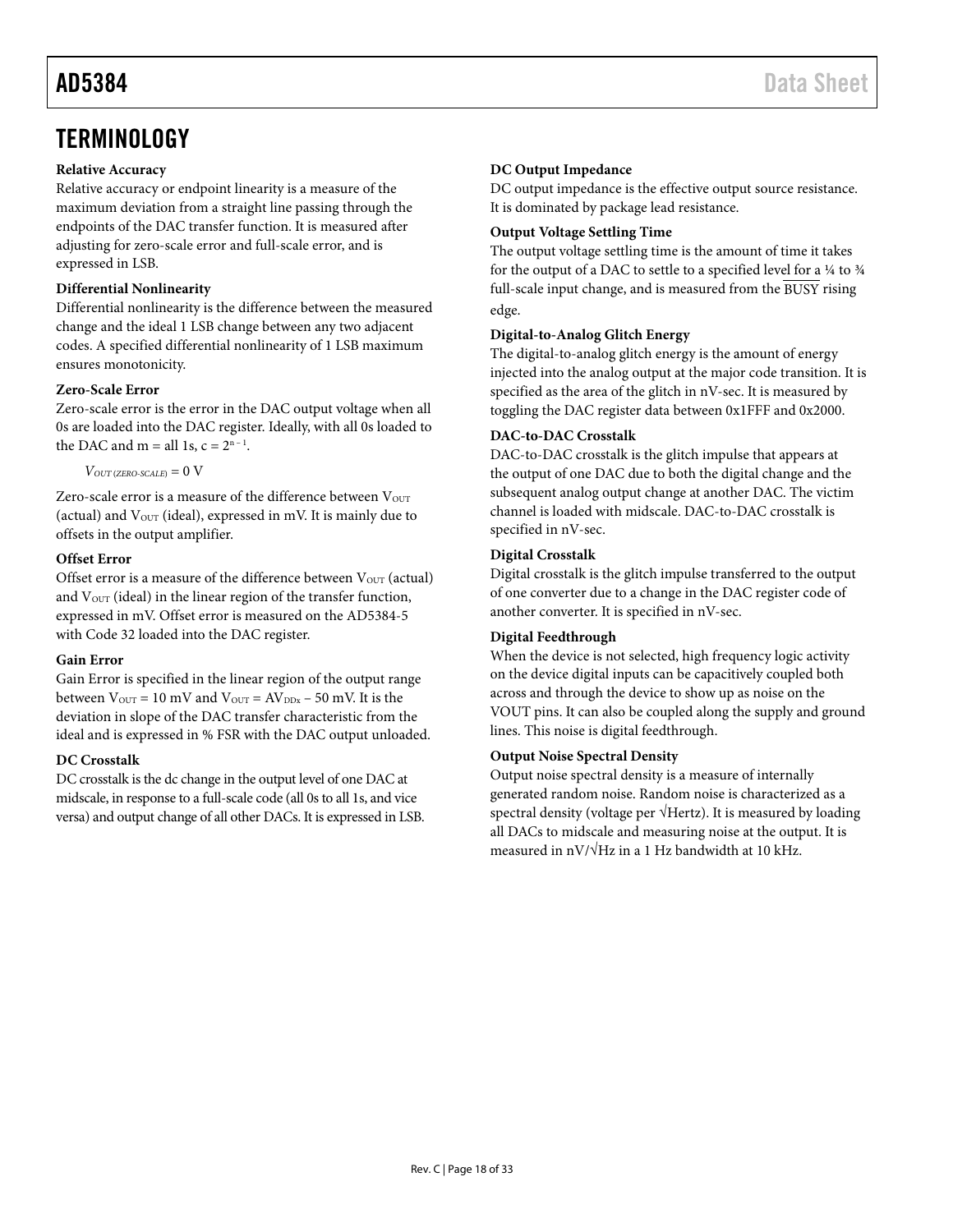### <span id="page-17-0"></span>**Relative Accuracy**

Relative accuracy or endpoint linearity is a measure of the maximum deviation from a straight line passing through the endpoints of the DAC transfer function. It is measured after adjusting for zero-scale error and full-scale error, and is expressed in LSB.

## **Differential Nonlinearity**

Differential nonlinearity is the difference between the measured change and the ideal 1 LSB change between any two adjacent codes. A specified differential nonlinearity of 1 LSB maximum ensures monotonicity.

### **Zero-Scale Error**

Zero-scale error is the error in the DAC output voltage when all 0s are loaded into the DAC register. Ideally, with all 0s loaded to the DAC and  $m =$  all 1s,  $c = 2<sup>n-1</sup>$ .

 $V_{OUT(ZERO-SCALE)} = 0 \text{ V}$ 

Zero-scale error is a measure of the difference between Vour (actual) and  $V_{\text{OUT}}$  (ideal), expressed in mV. It is mainly due to offsets in the output amplifier.

### **Offset Error**

Offset error is a measure of the difference between  $V_{\text{OUT}}$  (actual) and V<sub>OUT</sub> (ideal) in the linear region of the transfer function, expressed in mV. Offset error is measured on the AD5384-5 with Code 32 loaded into the DAC register.

### **Gain Error**

Gain Error is specified in the linear region of the output range between  $V_{\text{OUT}} = 10 \text{ mV}$  and  $V_{\text{OUT}} = AV_{\text{DDx}} - 50 \text{ mV}$ . It is the deviation in slope of the DAC transfer characteristic from the ideal and is expressed in % FSR with the DAC output unloaded.

### **DC Crosstalk**

DC crosstalk is the dc change in the output level of one DAC at midscale, in response to a full-scale code (all 0s to all 1s, and vice versa) and output change of all other DACs. It is expressed in LSB. DC output impedance is the effective output source resistance. It is dominated by package lead resistance.

### **Output Voltage Settling Time**

The output voltage settling time is the amount of time it takes for the output of a DAC to settle to a specified level for a ¼ to ¾ full-scale input change, and is measured from the BUSY rising edge.

### **Digital-to-Analog Glitch Energy**

The digital-to-analog glitch energy is the amount of energy injected into the analog output at the major code transition. It is specified as the area of the glitch in nV-sec. It is measured by toggling the DAC register data between 0x1FFF and 0x2000.

### **DAC-to-DAC Crosstalk**

DAC-to-DAC crosstalk is the glitch impulse that appears at the output of one DAC due to both the digital change and the subsequent analog output change at another DAC. The victim channel is loaded with midscale. DAC-to-DAC crosstalk is specified in nV-sec.

#### **Digital Crosstalk**

Digital crosstalk is the glitch impulse transferred to the output of one converter due to a change in the DAC register code of another converter. It is specified in nV-sec.

### **Digital Feedthrough**

When the device is not selected, high frequency logic activity on the device digital inputs can be capacitively coupled both across and through the device to show up as noise on the VOUT pins. It can also be coupled along the supply and ground lines. This noise is digital feedthrough.

#### **Output Noise Spectral Density**

Output noise spectral density is a measure of internally generated random noise. Random noise is characterized as a spectral density (voltage per √Hertz). It is measured by loading all DACs to midscale and measuring noise at the output. It is measured in nV/ $\sqrt{Hz}$  in a 1 Hz bandwidth at 10 kHz.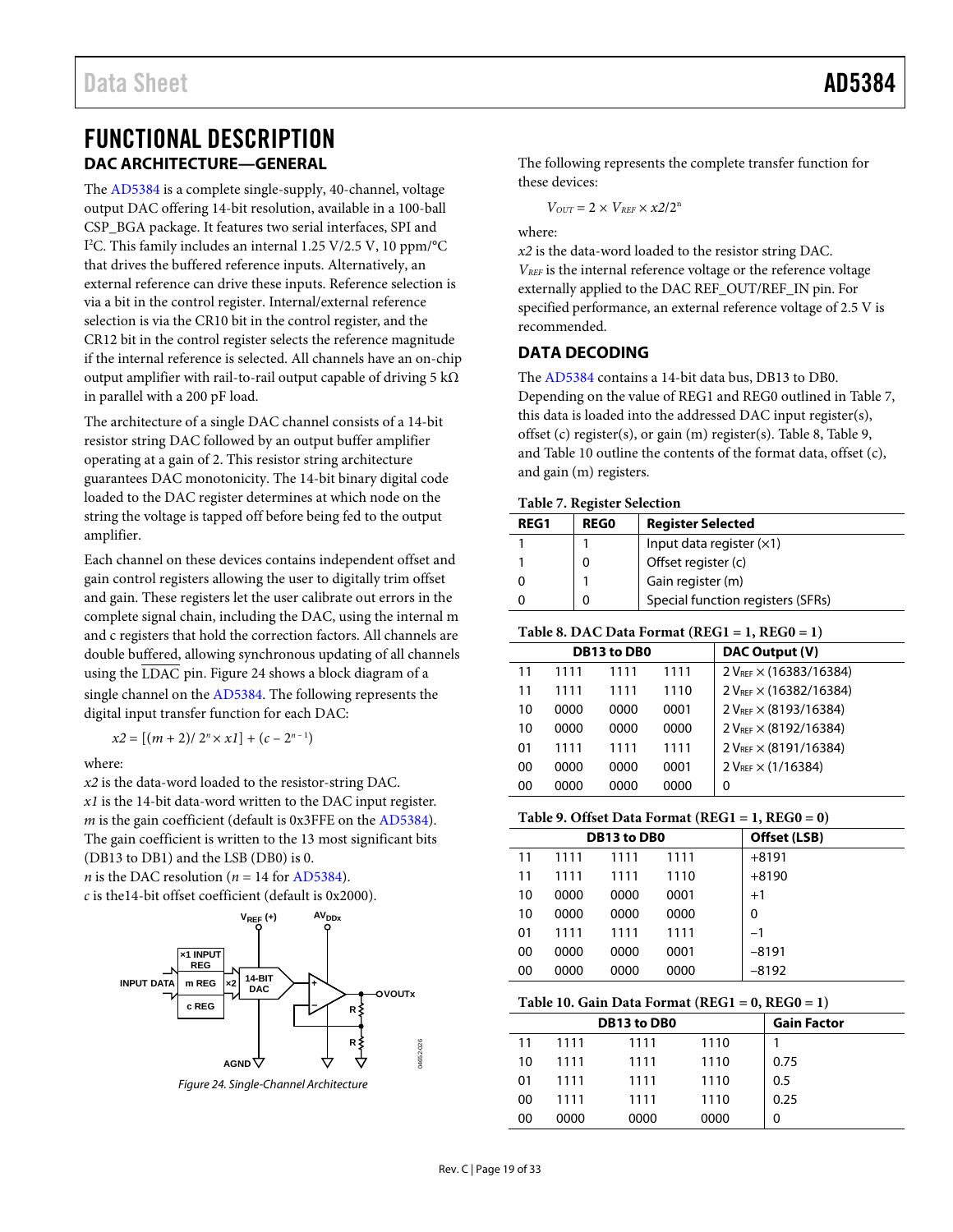# <span id="page-18-1"></span><span id="page-18-0"></span>FUNCTIONAL DESCRIPTION **DAC ARCHITECTURE—GENERAL**

The [AD5384](http://www.analog.com/AD5384?doc=AD5384.pdf) is a complete single-supply, 40-channel, voltage output DAC offering 14-bit resolution, available in a 100-ball CSP\_BGA package. It features two serial interfaces, SPI and I 2 C. This family includes an internal 1.25 V/2.5 V, 10 ppm/°C that drives the buffered reference inputs. Alternatively, an external reference can drive these inputs. Reference selection is via a bit in the control register. Internal/external reference selection is via the CR10 bit in the control register, and the CR12 bit in the control register selects the reference magnitude if the internal reference is selected. All channels have an on-chip output amplifier with rail-to-rail output capable of driving 5 k $\Omega$ in parallel with a 200 pF load.

The architecture of a single DAC channel consists of a 14-bit resistor string DAC followed by an output buffer amplifier operating at a gain of 2. This resistor string architecture guarantees DAC monotonicity. The 14-bit binary digital code loaded to the DAC register determines at which node on the string the voltage is tapped off before being fed to the output amplifier.

Each channel on these devices contains independent offset and gain control registers allowing the user to digitally trim offset and gain. These registers let the user calibrate out errors in the complete signal chain, including the DAC, using the internal m and c registers that hold the correction factors. All channels are double buffered, allowing synchronous updating of all channels using the LDAC pin. [Figure 24](#page-18-3) shows a block diagram of a single channel on the [AD5384.](http://www.analog.com/AD5384?doc=AD5384.pdf) The following represents the digital input transfer function for each DAC:

 $x2 = [(m + 2)/2<sup>n</sup> \times x1] + (c - 2<sup>n-1</sup>)$ 

where:

*x2* is the data-word loaded to the resistor-string DAC. *x1* is the 14-bit data-word written to the DAC input register. *m* is the gain coefficient (default is 0x3FFE on th[e AD5384\)](http://www.analog.com/AD5384?doc=AD5384.pdf). The gain coefficient is written to the 13 most significant bits (DB13 to DB1) and the LSB (DB0) is 0.

*n* is the DAC resolution ( $n = 14$  for [AD5384\)](http://www.analog.com/AD5384?doc=AD5384.pdf). *c* is the14-bit offset coefficient (default is 0x2000).



<span id="page-18-3"></span>*Figure 24. Single-Channel Architecture*

The following represents the complete transfer function for these devices:

 $V_{OUT} = 2 \times V_{REF} \times x2/2^n$ 

where:

*x2* is the data-word loaded to the resistor string DAC. *VREF* is the internal reference voltage or the reference voltage externally applied to the DAC REF\_OUT/REF\_IN pin. For specified performance, an external reference voltage of 2.5 V is recommended.

### <span id="page-18-2"></span>**DATA DECODING**

The [AD5384](http://www.analog.com/AD5384?doc=AD5384.pdf) contains a 14-bit data bus, DB13 to DB0. Depending on the value of REG1 and REG0 outlined in [Table 7,](#page-18-4) this data is loaded into the addressed DAC input register(s), offset (c) register(s), or gain (m) register(s). [Table 8,](#page-18-5) [Table 9,](#page-18-6) an[d Table 10](#page-18-7) outline the contents of the format data, offset (c), and gain (m) registers.

<span id="page-18-4"></span>

|  |  |  | Table 7. Register Selection |
|--|--|--|-----------------------------|
|--|--|--|-----------------------------|

| Tuble , , inventor oclection |             |                                   |  |  |  |  |  |
|------------------------------|-------------|-----------------------------------|--|--|--|--|--|
| <b>REG1</b>                  | <b>REGO</b> | <b>Register Selected</b>          |  |  |  |  |  |
|                              |             | Input data register $(x1)$        |  |  |  |  |  |
|                              |             | Offset register (c)               |  |  |  |  |  |
|                              |             | Gain register (m)                 |  |  |  |  |  |
|                              |             | Special function registers (SFRs) |  |  |  |  |  |

#### <span id="page-18-5"></span>**Table 8. DAC Data Format (REG1 = 1, REG0 = 1)**

|    |      | DB13 to DB0 |      | DAC Output (V)                     |
|----|------|-------------|------|------------------------------------|
| 11 | 1111 | 1111        | 1111 | 2 VREF × (16383/16384)             |
| 11 | 1111 | 1111        | 1110 | 2 V <sub>REF</sub> × (16382/16384) |
| 10 | 0000 | 0000        | 0001 | 2 VREE X (8193/16384)              |
| 10 | 0000 | 0000        | 0000 | $2 V_{RFF} \times (8192/16384)$    |
| 01 | 1111 | 1111        | 1111 | $2 V_{REF} \times (8191/16384)$    |
| 00 | 0000 | 0000        | 0001 | $2 V_{REF} \times (1/16384)$       |
| 00 | 0000 | 0000        | 0000 | 0                                  |
|    |      |             |      |                                    |

#### <span id="page-18-6"></span>**Table 9. Offset Data Format (REG1 = 1, REG0 = 0)**

|    |      | <b>DB13 to DB0</b> | Offset (LSB) |         |  |
|----|------|--------------------|--------------|---------|--|
| 11 | 1111 | 1111               | 1111         | $+8191$ |  |
| 11 | 1111 | 1111               | 1110         | $+8190$ |  |
| 10 | 0000 | 0000               | 0001         | $+1$    |  |
| 10 | 0000 | 0000               | 0000         | 0       |  |
| 01 | 1111 | 1111               | 1111         | $-1$    |  |
| 00 | 0000 | 0000               | 0001         | -8191   |  |
| 00 | 0000 | 0000               | 0000         | $-8192$ |  |
|    |      |                    |              |         |  |

<span id="page-18-7"></span>

| Table 10. Gain Data Format $(REG1 = 0, REG0 = 1)$ |             |                    |      |      |  |  |  |  |
|---------------------------------------------------|-------------|--------------------|------|------|--|--|--|--|
|                                                   | DB13 to DB0 | <b>Gain Factor</b> |      |      |  |  |  |  |
| 11                                                | 1111        | 1111               | 1110 |      |  |  |  |  |
| 10                                                | 1111        | 1111               | 1110 | 0.75 |  |  |  |  |
| 01                                                | 1111        | 1111               | 1110 | 0.5  |  |  |  |  |
| ΩO                                                | 1111        | 1111               | 1110 | 0.25 |  |  |  |  |
| ΩO                                                | იიიი        | 0000               | 0000 | 0    |  |  |  |  |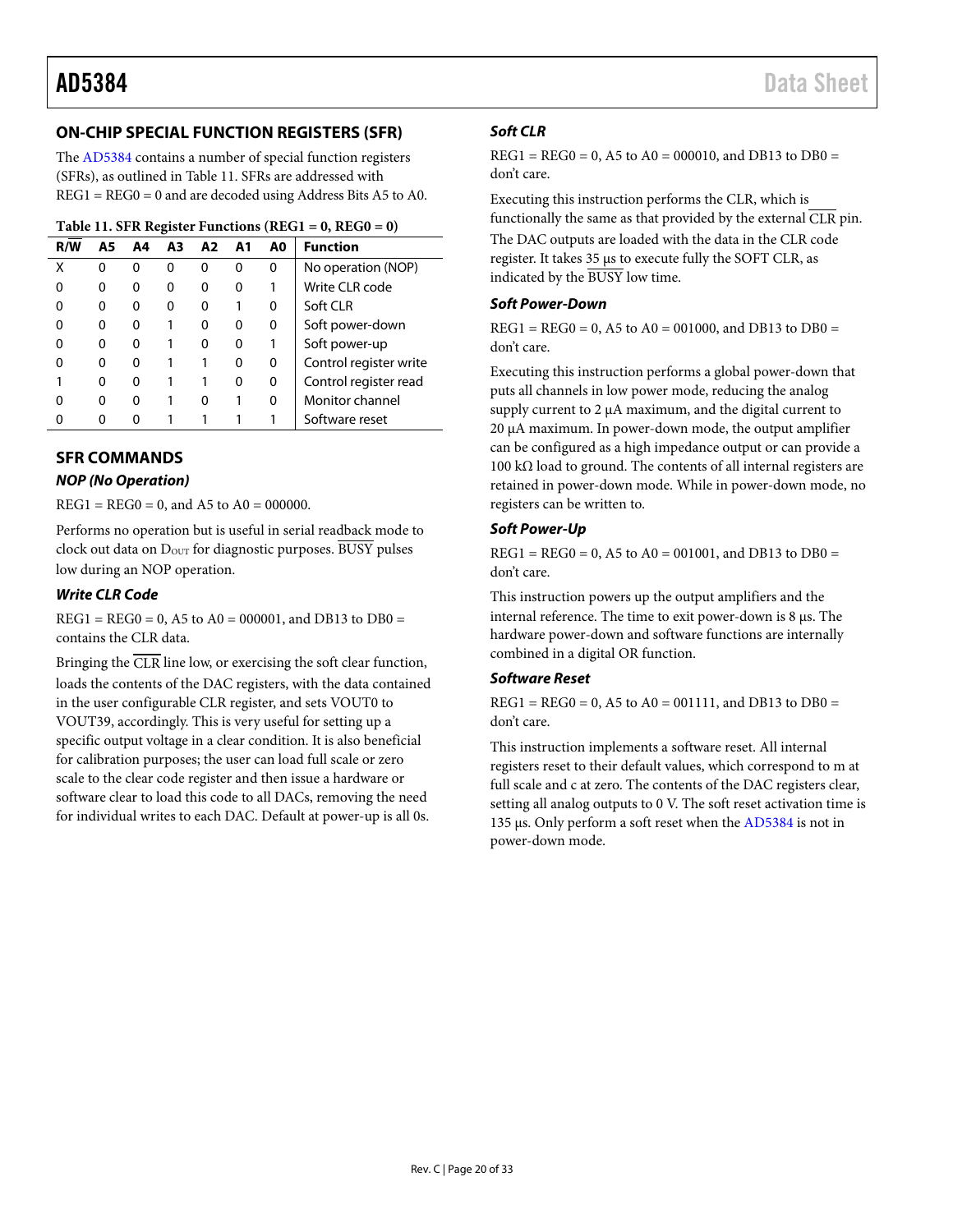# <span id="page-19-0"></span>**ON-CHIP SPECIAL FUNCTION REGISTERS (SFR)**

The [AD5384](http://www.analog.com/AD5384?doc=AD5384.pdf) contains a number of special function registers (SFRs), as outlined i[n Table 11.](#page-19-2) SFRs are addressed with REG1 = REG0 = 0 and are decoded using Address Bits A5 to A0.

#### <span id="page-19-2"></span>**Table 11. SFR Register Functions (REG1 = 0, REG0 = 0)**

| R/W | A5 | A4 | A3 | A2 | A1 | A0 | <b>Function</b>        |
|-----|----|----|----|----|----|----|------------------------|
| χ   | 0  | ŋ  | O  | O  | O  | 0  | No operation (NOP)     |
|     | o  | 0  |    | o  | O  |    | Write CLR code         |
|     | 0  | 0  | o  | O  |    | 0  | Soft CLR               |
|     | 0  | 0  |    | O  | 0  | 0  | Soft power-down        |
|     | o  | O  |    | O  |    |    | Soft power-up          |
|     | ŋ  | O  |    |    | o  | 0  | Control register write |
|     | 0  | O  |    |    | O  | 0  | Control register read  |
|     | o  | O  |    | O  |    | 0  | Monitor channel        |
|     |    | O  |    |    |    |    | Software reset         |

### <span id="page-19-1"></span>**SFR COMMANDS**

#### *NOP (No Operation)*

 $REG1 = REG0 = 0$ , and A5 to A0 = 000000.

Performs no operation but is useful in serial readback mode to clock out data on  $D_{\text{OUT}}$  for diagnostic purposes. BUSY pulses low during an NOP operation.

#### *Write CLR Code*

 $REG1 = REG0 = 0, A5$  to  $A0 = 000001$ , and DB13 to DB0 = contains the CLR data.

Bringing the  $\overline{CLR}$  line low, or exercising the soft clear function, loads the contents of the DAC registers, with the data contained in the user configurable CLR register, and sets VOUT0 to VOUT39, accordingly. This is very useful for setting up a specific output voltage in a clear condition. It is also beneficial for calibration purposes; the user can load full scale or zero scale to the clear code register and then issue a hardware or software clear to load this code to all DACs, removing the need for individual writes to each DAC. Default at power-up is all 0s.

#### *Soft CLR*

 $REG1 = REG0 = 0$ , A5 to A0 = 000010, and DB13 to DB0 = don't care.

Executing this instruction performs the CLR, which is functionally the same as that provided by the external  $\overline{\text{CLR}}$  pin. The DAC outputs are loaded with the data in the CLR code register. It takes 35 µs to execute fully the SOFT CLR, as indicated by the BUSY low time.

#### *Soft Power-Down*

 $REG1 = REG0 = 0$ , A5 to A0 = 001000, and DB13 to DB0 = don't care.

Executing this instruction performs a global power-down that puts all channels in low power mode, reducing the analog supply current to 2  $\mu$ A maximum, and the digital current to 20 µA maximum. In power-down mode, the output amplifier can be configured as a high impedance output or can provide a 100 kΩ load to ground. The contents of all internal registers are retained in power-down mode. While in power-down mode, no registers can be written to.

#### *Soft Power-Up*

 $REG1 = REG0 = 0$ , A5 to A0 = 001001, and DB13 to DB0 = don't care.

This instruction powers up the output amplifiers and the internal reference. The time to exit power-down is 8 µs. The hardware power-down and software functions are internally combined in a digital OR function.

### *Software Reset*

 $REG1 = REG0 = 0, A5$  to  $A0 = 001111$ , and DB13 to DB0 = don't care.

This instruction implements a software reset. All internal registers reset to their default values, which correspond to m at full scale and c at zero. The contents of the DAC registers clear, setting all analog outputs to 0 V. The soft reset activation time is 135 µs. Only perform a soft reset when the [AD5384](http://www.analog.com/AD5384?doc=AD5384.pdf) is not in power-down mode.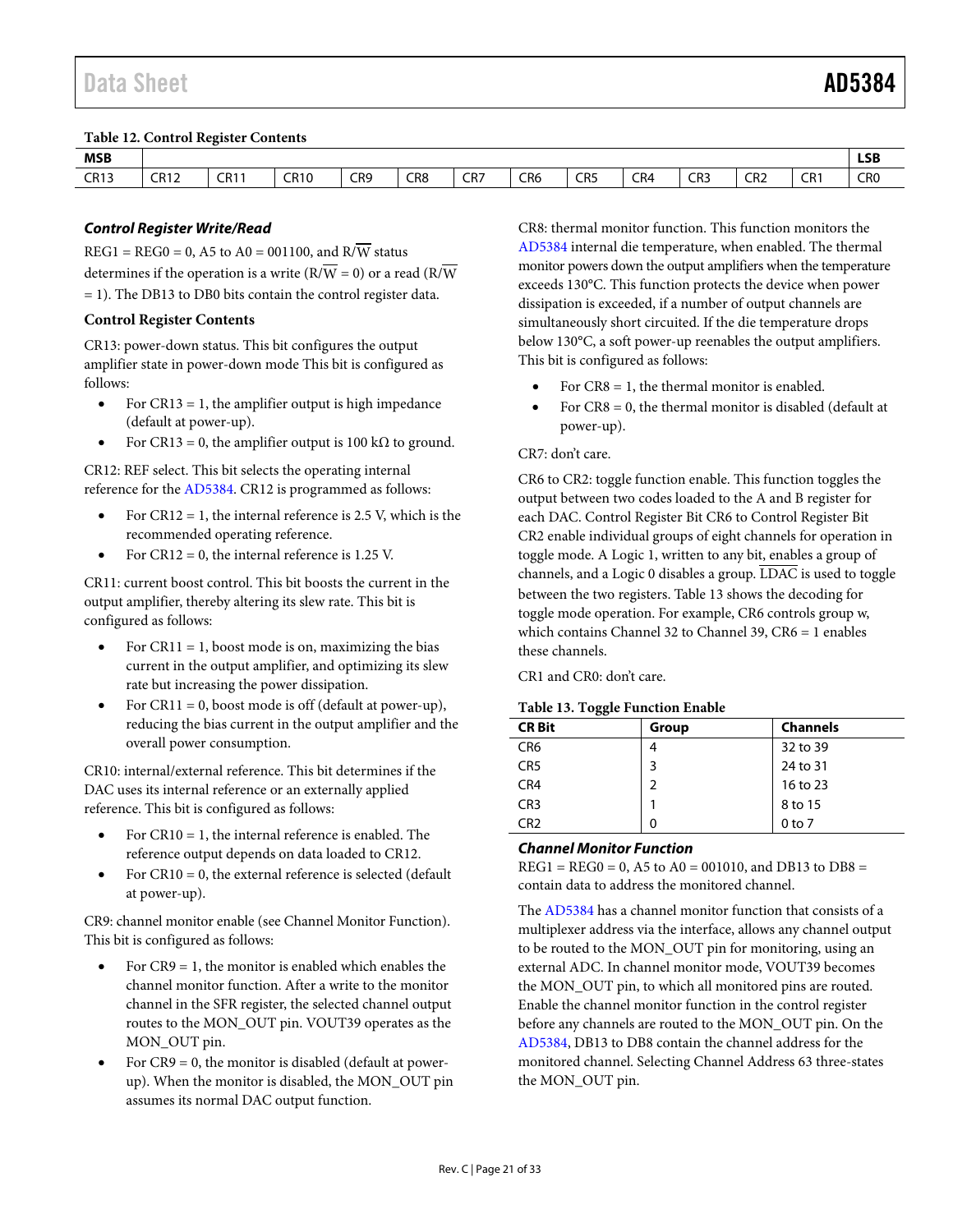#### <span id="page-20-3"></span>**Table 12. Control Register Contents**

| <b>MSB</b><br>$ -$ |             |             |                              |               |                      |                      |                                  |                                  |     |     |                             |     | <b>LSB</b><br>$ -$               |
|--------------------|-------------|-------------|------------------------------|---------------|----------------------|----------------------|----------------------------------|----------------------------------|-----|-----|-----------------------------|-----|----------------------------------|
| <b>CR13</b>        | <b>CR12</b> | <b>CR11</b> | <b>CR10</b><br>$\sim$ $\sim$ | CR9<br>$\sim$ | CR8<br>$\sim$ $\sim$ | CR7<br>$\sim$ $\sim$ | CR <sub>6</sub><br>$\sim$ $\sim$ | CR <sub>5</sub><br>$\sim$ $\sim$ | CR4 | CR3 | CD2<br>∟∩∠<br>$\sim$ $\sim$ | CR1 | CR <sub>0</sub><br>$\sim$ $\sim$ |

### *Control Register Write/Read*

 $REG1 = REG0 = 0$ , A5 to A0 = 001100, and R/W status determines if the operation is a write  $(R/\overline{W} = 0)$  or a read  $(R/\overline{W}$ = 1). The DB13 to DB0 bits contain the control register data.

#### **Control Register Contents**

CR13: power-down status. This bit configures the output amplifier state in power-down mode This bit is configured as follows:

- For CR13 = 1, the amplifier output is high impedance (default at power-up).
- For CR13 = 0, the amplifier output is 100 k $\Omega$  to ground.

CR12: REF select. This bit selects the operating internal reference for th[e AD5384.](http://www.analog.com/AD5384?doc=AD5384.pdf) CR12 is programmed as follows:

- For  $CR12 = 1$ , the internal reference is 2.5 V, which is the recommended operating reference.
- For  $CR12 = 0$ , the internal reference is 1.25 V.

CR11: current boost control. This bit boosts the current in the output amplifier, thereby altering its slew rate. This bit is configured as follows:

- For CR11 = 1, boost mode is on, maximizing the bias current in the output amplifier, and optimizing its slew rate but increasing the power dissipation.
- For CR11 = 0, boost mode is off (default at power-up), reducing the bias current in the output amplifier and the overall power consumption.

CR10: internal/external reference. This bit determines if the DAC uses its internal reference or an externally applied reference. This bit is configured as follows:

- For  $CR10 = 1$ , the internal reference is enabled. The reference output depends on data loaded to CR12.
- For  $CR10 = 0$ , the external reference is selected (default at power-up).

CR9: channel monitor enable (se[e Channel Monitor Function\)](#page-20-0). This bit is configured as follows:

- For  $CR9 = 1$ , the monitor is enabled which enables the channel monitor function. After a write to the monitor channel in the SFR register, the selected channel output routes to the MON\_OUT pin. VOUT39 operates as the MON\_OUT pin.
- <span id="page-20-2"></span>For  $CR9 = 0$ , the monitor is disabled (default at powerup). When the monitor is disabled, the MON\_OUT pin assumes its normal DAC output function.

CR8: thermal monitor function. This function monitors the [AD5384](http://www.analog.com/AD5384?doc=AD5384.pdf) internal die temperature, when enabled. The thermal monitor powers down the output amplifiers when the temperature exceeds 130°C. This function protects the device when power dissipation is exceeded, if a number of output channels are simultaneously short circuited. If the die temperature drops below 130°C, a soft power-up reenables the output amplifiers. This bit is configured as follows:

- For  $CR8 = 1$ , the thermal monitor is enabled.
- For  $CR8 = 0$ , the thermal monitor is disabled (default at power-up).

#### CR7: don't care.

CR6 to CR2: toggle function enable. This function toggles the output between two codes loaded to the A and B register for each DAC. Control Register Bit CR6 to Control Register Bit CR2 enable individual groups of eight channels for operation in toggle mode. A Logic 1, written to any bit, enables a group of channels, and a Logic 0 disables a group. LDAC is used to toggle between the two registers. [Table 13](#page-20-1) shows the decoding for toggle mode operation. For example, CR6 controls group w, which contains Channel 32 to Channel 39, CR6 = 1 enables these channels.

CR1 and CR0: don't care.

#### <span id="page-20-1"></span>**Table 13. Toggle Function Enable**

| ---             |       |                 |  |  |  |  |  |
|-----------------|-------|-----------------|--|--|--|--|--|
| <b>CR Bit</b>   | Group | <b>Channels</b> |  |  |  |  |  |
| CR <sub>6</sub> |       | 32 to 39        |  |  |  |  |  |
| CR <sub>5</sub> | 3     | 24 to 31        |  |  |  |  |  |
| CR4             |       | 16 to 23        |  |  |  |  |  |
| CR <sub>3</sub> |       | 8 to 15         |  |  |  |  |  |
| CR <sub>2</sub> | 0     | $0$ to $7$      |  |  |  |  |  |
|                 |       |                 |  |  |  |  |  |

#### <span id="page-20-0"></span>*Channel Monitor Function*

 $REG1 = REG0 = 0, A5$  to  $A0 = 001010$ , and DB13 to DB8 = contain data to address the monitored channel.

The [AD5384](http://www.analog.com/AD5384?doc=AD5384.pdf) has a channel monitor function that consists of a multiplexer address via the interface, allows any channel output to be routed to the MON\_OUT pin for monitoring, using an external ADC. In channel monitor mode, VOUT39 becomes the MON OUT pin, to which all monitored pins are routed. Enable the channel monitor function in the control register before any channels are routed to the MON\_OUT pin. On the [AD5384,](http://www.analog.com/AD5384?doc=AD5384.pdf) DB13 to DB8 contain the channel address for the monitored channel. Selecting Channel Address 63 three-states the MON\_OUT pin.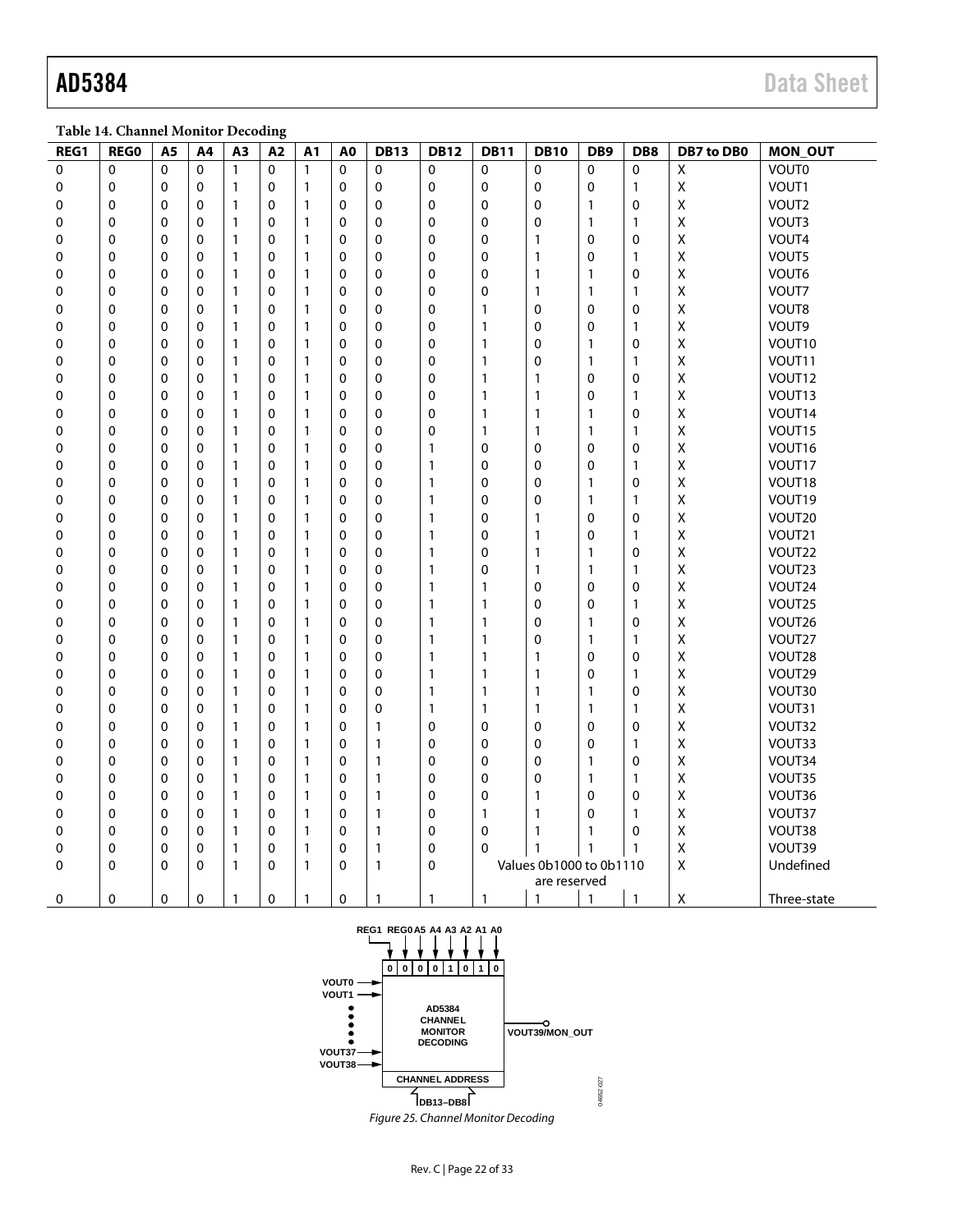**Table 14. Channel Monitor Decoding**

| REG1 | <b>REGO</b> | A5          | A4       | A <sub>3</sub> | A <sub>2</sub> | A1           | A <sub>0</sub> | <b>DB13</b>  | <b>DB12</b>  | <b>DB11</b>                  | <b>DB10</b>  | DB <sub>9</sub> | DB8          | DB7 to DB0  | <b>MON_OUT</b> |
|------|-------------|-------------|----------|----------------|----------------|--------------|----------------|--------------|--------------|------------------------------|--------------|-----------------|--------------|-------------|----------------|
| 0    | $\Omega$    | $\Omega$    | $\Omega$ | $\mathbf{1}$   | $\mathbf{0}$   | $\mathbf{1}$ | $\Omega$       | $\mathbf{0}$ | $\mathbf 0$  | $\mathbf 0$                  | 0            | $\Omega$        | $\Omega$     | X           | <b>VOUT0</b>   |
| 0    | 0           | 0           | 0        | 1              | 0              | 1            | 0              | 0            | $\mathbf 0$  | 0                            | 0            | 0               | 1            | $\mathsf X$ | VOUT1          |
| 0    | 0           | 0           | 0        | $\mathbf{1}$   | 0              | $\mathbf{1}$ | 0              | $\Omega$     | 0            | 0                            | 0            | $\mathbf{1}$    | 0            | Χ           | VOUT2          |
| 0    | 0           | 0           | 0        | 1              | 0              | 1            | 0              | 0            | 0            | 0                            | 0            | $\mathbf{1}$    | $\mathbf{1}$ | X           | VOUT3          |
| 0    | 0           | 0           | 0        | 1              | 0              | $\mathbf{1}$ | 0              | $\mathbf 0$  | 0            | 0                            | $\mathbf{1}$ | 0               | 0            | Χ           | VOUT4          |
| 0    | 0           | 0           | 0        | $\mathbf{1}$   | 0              | 1            | $\mathbf 0$    | 0            | 0            | 0                            | $\mathbf{1}$ | 0               | 1            | Χ           | VOUT5          |
| 0    | 0           | 0           | 0        | 1              | 0              | 1            | $\mathbf 0$    | 0            | $\mathbf 0$  | 0                            | $\mathbf{1}$ | 1               | 0            | Χ           | VOUT6          |
| 0    | 0           | 0           | 0        | $\mathbf{1}$   | $\mathbf 0$    | 1            | $\mathbf 0$    | 0            | $\mathbf 0$  | 0                            | $\mathbf{1}$ | $\mathbf{1}$    | 1            | Χ           | VOUT7          |
| 0    | 0           | 0           | 0        | $\mathbf{1}$   | 0              | 1            | $\mathbf 0$    | $\mathbf 0$  | $\mathbf 0$  | 1                            | 0            | 0               | 0            | Χ           | VOUT8          |
| 0    | 0           | 0           | 0        | $\mathbf{1}$   | 0              | 1            | 0              | 0            | 0            | 1                            | 0            | 0               | 1            | X           | VOUT9          |
| 0    | 0           | 0           | 0        | $\mathbf{1}$   | 0              | 1            | $\mathbf 0$    | 0            | $\mathbf 0$  | 1                            | 0            | 1               | 0            | X           | VOUT10         |
| 0    | 0           | 0           | 0        | $\mathbf{1}$   | 0              | $\mathbf{1}$ | $\mathbf 0$    | $\mathbf 0$  | 0            | 1                            | 0            | 1               | 1            | Χ           | VOUT11         |
| 0    | 0           | 0           | 0        | $\mathbf{1}$   | 0              | 1            | $\mathbf 0$    | 0            | 0            | 1                            | 1            | $\mathbf 0$     | 0            | Χ           | VOUT12         |
| 0    | 0           | 0           | 0        | 1              | 0              | 1            | $\mathbf 0$    | 0            | 0            | 1                            | $\mathbf{1}$ | 0               | 1            | Χ           | VOUT13         |
| 0    | 0           | 0           | 0        | $\mathbf{1}$   | 0              | 1            | 0              | 0            | 0            | 1                            | $\mathbf{1}$ | 1               | 0            | Χ           | VOUT14         |
| 0    | 0           | 0           | 0        | $\mathbf{1}$   | 0              | $\mathbf{1}$ | 0              | $\mathbf 0$  | 0            | 1                            | $\mathbf{1}$ | $\mathbf{1}$    | $\mathbf{1}$ | Χ           | VOUT15         |
| 0    | 0           | 0           | 0        | $\mathbf{1}$   | 0              | 1            | $\mathbf 0$    | 0            | 1            | 0                            | 0            | 0               | 0            | Χ           | VOUT16         |
| 0    | 0           | 0           | 0        | $\mathbf{1}$   | 0              | $\mathbf{1}$ | $\mathbf 0$    | 0            | 1            | 0                            | 0            | 0               | $\mathbf{1}$ | Χ           | VOUT17         |
| 0    | 0           | 0           | 0        | $\mathbf{1}$   | 0              | $\mathbf{1}$ | $\mathbf 0$    | 0            | 1            | 0                            | 0            | 1               | 0            | Χ           | VOUT18         |
| 0    | 0           | 0           | 0        | $\mathbf{1}$   | 0              | $\mathbf{1}$ | 0              | $\mathbf 0$  | 1            | 0                            | 0            | $\mathbf{1}$    | $\mathbf{1}$ | Χ           | VOUT19         |
| 0    | 0           | 0           | 0        | $\mathbf{1}$   | 0              | $\mathbf{1}$ | 0              | 0            | $\mathbf{1}$ | 0                            | $\mathbf{1}$ | 0               | 0            | X           | VOUT20         |
| 0    | 0           | 0           | 0        | $\mathbf{1}$   | 0              | 1            | 0              | $\mathbf 0$  | 1            | 0                            | $\mathbf{1}$ | 0               | 1            | Χ           | VOUT21         |
| 0    | 0           | 0           | 0        | $\mathbf{1}$   | $\mathbf 0$    | 1            | $\mathbf 0$    | 0            | 1            | 0                            | $\mathbf{1}$ | 1               | 0            | X           | VOUT22         |
| 0    | 0           | 0           | 0        | 1              | 0              | 1            | $\mathbf 0$    | 0            | 1            | 0                            | 1            | 1               | 1            | Χ           | VOUT23         |
| 0    | 0           | 0           | 0        | 1              | 0              | 1            | 0              | 0            | 1            | 1                            | 0            | 0               | 0            | Χ           | VOUT24         |
| 0    | 0           | 0           | 0        | $\mathbf{1}$   | 0              | 1            | $\mathbf 0$    | 0            | 1            | 1                            | 0            | 0               | $\mathbf{1}$ | x           | VOUT25         |
| 0    | 0           | 0           | 0        | 1              | 0              | 1            | 0              | 0            | 1            | 1                            | 0            | 1               | 0            | Χ           | VOUT26         |
| 0    | 0           | 0           | 0        | 1              | 0              | 1            | $\mathbf 0$    | 0            | 1            | 1                            | 0            | 1               | 1            | Χ           | VOUT27         |
| 0    | 0           | 0           | 0        | 1              | 0              | 1            | 0              | 0            | 1            | 1                            | $\mathbf{1}$ | 0               | 0            | Χ           | VOUT28         |
| 0    | $\mathbf 0$ | 0           | 0        | $\mathbf{1}$   | $\mathbf 0$    | 1            | 0              | 0            | 1            | 1                            | $\mathbf{1}$ | 0               | 1            | Χ           | VOUT29         |
| 0    | 0           | 0           | 0        | 1              | 0              | 1            | $\mathbf 0$    | 0            | 1            | 1                            | $\mathbf{1}$ | 1               | 0            | Χ           | VOUT30         |
| 0    | $\mathbf 0$ | 0           | 0        | $\mathbf{1}$   | 0              | 1            | 0              | 0            | 1            | 1                            | $\mathbf{1}$ | 1               | 1            | X           | VOUT31         |
| 0    | 0           | 0           | 0        | $\mathbf{1}$   | 0              | 1            | 0              | $\mathbf{1}$ | 0            | 0                            | 0            | 0               | 0            | Χ           | VOUT32         |
| 0    | 0           | 0           | 0        | $\mathbf{1}$   | 0              | 1            | $\mathbf 0$    | $\mathbf{1}$ | 0            | 0                            | 0            | 0               | $\mathbf{1}$ | Χ           | VOUT33         |
| 0    | 0           | 0           | 0        | $\mathbf{1}$   | 0              | 1            | $\mathbf 0$    | 1            | $\mathbf 0$  | 0                            | 0            | 1               | $\mathbf 0$  | Χ           | VOUT34         |
| 0    | 0           | 0           | 0        | 1              | 0              | 1            | 0              | 1            | 0            | 0                            | 0            | 1               | 1            | Χ           | VOUT35         |
| 0    | 0           | 0           | 0        | $\mathbf{1}$   | 0              | 1            | 0              | $\mathbf{1}$ | 0            | 0                            | 1            | 0               | 0            | Χ           | VOUT36         |
| 0    | 0           | 0           | 0        | 1              | 0              | 1            | 0              | $\mathbf{1}$ | 0            | 1                            | 1            | 0               | 1            | Χ           | VOUT37         |
| 0    | 0           | 0           | 0        | 1              | 0              | 1            | $\mathbf 0$    | 1            | 0            | 0                            | $\mathbf{1}$ | 1               | 0            | Χ           | VOUT38         |
| 0    | 0           | 0           | 0        | $\mathbf{1}$   | 0              | 1            | 0              | $\mathbf{1}$ | 0            | 0                            | $\mathbf{1}$ | $\mathbf{1}$    | 1            | Χ           | VOUT39         |
| 0    | $\mathbf 0$ | 0           | 0        | $\mathbf{1}$   | 0              | 1            | $\mathbf 0$    | $\mathbf{1}$ | $\mathbf 0$  | Values 0b1000 to 0b1110<br>Χ |              |                 |              |             | Undefined      |
|      |             |             |          |                |                |              |                |              |              |                              | are reserved |                 |              |             |                |
| 0    | $\Omega$    | $\mathbf 0$ | 0        | $\mathbf{1}$   | $\mathbf 0$    | 1            | $\Omega$       | $\mathbf{1}$ | 1            | $\mathbf{1}$                 | $\mathbf{1}$ | $\mathbf{1}$    | $\mathbf{1}$ | Χ           | Three-state    |



*Figure 25. Channel Monitor Decoding*

04652-027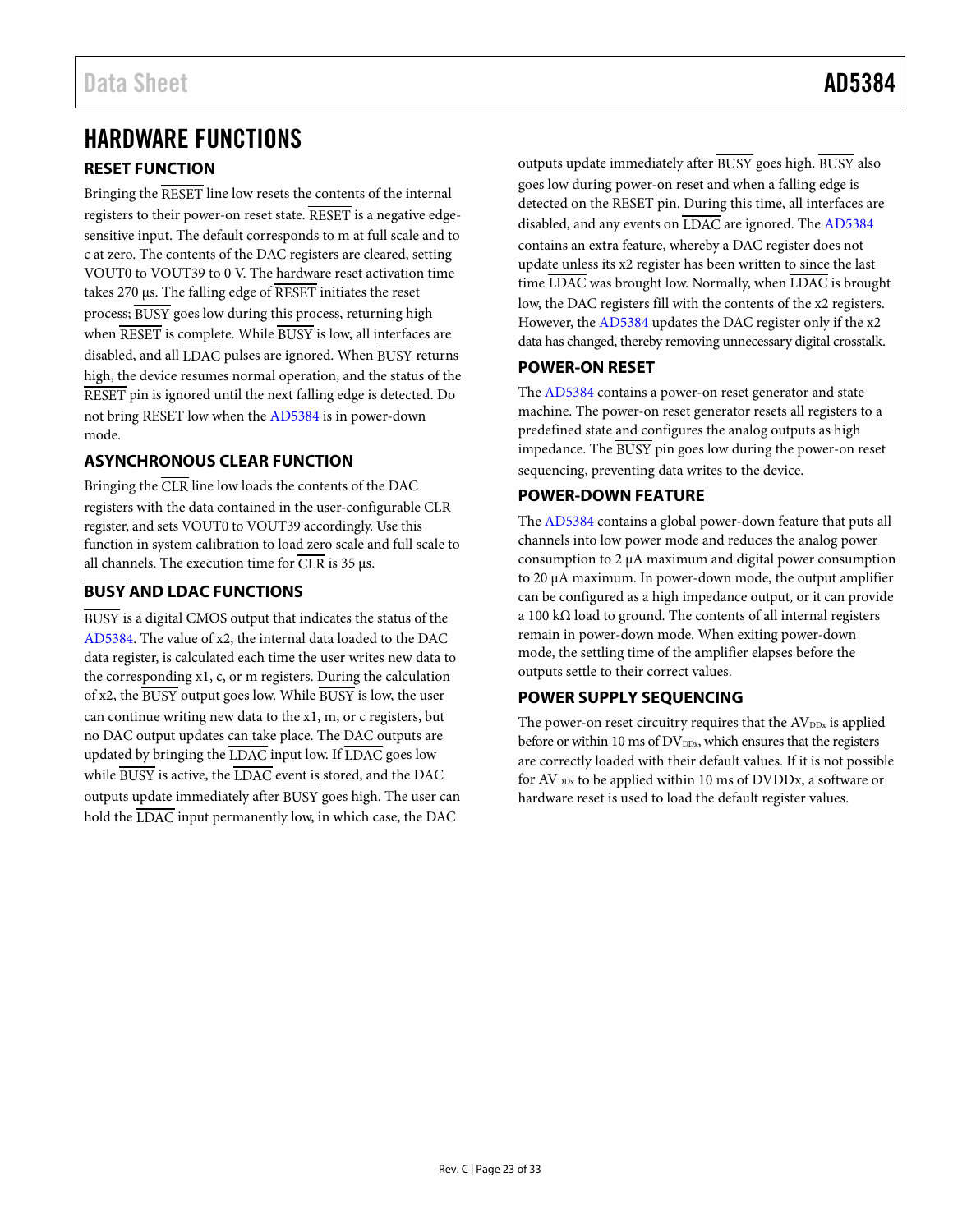# <span id="page-22-0"></span>HARDWARE FUNCTIONS

# <span id="page-22-1"></span>**RESET FUNCTION**

Bringing the RESET line low resets the contents of the internal registers to their power-on reset state. RESET is a negative edgesensitive input. The default corresponds to m at full scale and to c at zero. The contents of the DAC registers are cleared, setting VOUT0 to VOUT39 to 0 V. The hardware reset activation time takes 270 µs. The falling edge of RESET initiates the reset process; BUSY goes low during this process, returning high when RESET is complete. While BUSY is low, all interfaces are disabled, and all LDAC pulses are ignored. When BUSY returns high, the device resumes normal operation, and the status of the RESET pin is ignored until the next falling edge is detected. Do not bring RESET low when the [AD5384](http://www.analog.com/AD5384?doc=AD5384.pdf) is in power-down mode.

# <span id="page-22-2"></span>**ASYNCHRONOUS CLEAR FUNCTION**

Bringing the CLR line low loads the contents of the DAC registers with the data contained in the user-configurable CLR register, and sets VOUT0 to VOUT39 accordingly. Use this function in system calibration to load zero scale and full scale to all channels. The execution time for  $\overline{\text{CLR}}$  is 35  $\mu$ s.

# <span id="page-22-3"></span>**BUSY AND LDAC FUNCTIONS**

BUSY is a digital CMOS output that indicates the status of the [AD5384.](http://www.analog.com/AD5384?doc=AD5384.pdf) The value of x2, the internal data loaded to the DAC data register, is calculated each time the user writes new data to the corresponding x1, c, or m registers. During the calculation of x2, the  $\overline{BUSY}$  output goes low. While  $\overline{BUSY}$  is low, the user can continue writing new data to the x1, m, or c registers, but no DAC output updates can take place. The DAC outputs are updated by bringing the  $\overline{\text{LDAC}}$  input low. If  $\overline{\text{LDAC}}$  goes low while BUSY is active, the LDAC event is stored, and the DAC outputs update immediately after BUSY goes high. The user can hold the LDAC input permanently low, in which case, the DAC

outputs update immediately after BUSY goes high. BUSY also goes low during power-on reset and when a falling edge is detected on the RESET pin. During this time, all interfaces are disabled, and any events on LDAC are ignored. The [AD5384](http://www.analog.com/AD5384?doc=AD5384.pdf) contains an extra feature, whereby a DAC register does not update unless its x2 register has been written to since the last time LDAC was brought low. Normally, when LDAC is brought low, the DAC registers fill with the contents of the x2 registers. However, the [AD5384](http://www.analog.com/AD5384?doc=AD5384.pdf) updates the DAC register only if the x2 data has changed, thereby removing unnecessary digital crosstalk.

# <span id="page-22-4"></span>**POWER-ON RESET**

The [AD5384](http://www.analog.com/AD5384?doc=AD5384.pdf) contains a power-on reset generator and state machine. The power-on reset generator resets all registers to a predefined state and configures the analog outputs as high impedance. The BUSY pin goes low during the power-on reset sequencing, preventing data writes to the device.

# <span id="page-22-5"></span>**POWER-DOWN FEATURE**

The [AD5384](http://www.analog.com/AD5384?doc=AD5384.pdf) contains a global power-down feature that puts all channels into low power mode and reduces the analog power consumption to 2 µA maximum and digital power consumption to 20 µA maximum. In power-down mode, the output amplifier can be configured as a high impedance output, or it can provide a 100 kΩ load to ground. The contents of all internal registers remain in power-down mode. When exiting power-down mode, the settling time of the amplifier elapses before the outputs settle to their correct values.

# <span id="page-22-6"></span>**POWER SUPPLY SEQUENCING**

The power-on reset circuitry requires that the  $AV_{DDx}$  is applied before or within 10 ms of DV<sub>DDx</sub>, which ensures that the registers are correctly loaded with their default values. If it is not possible for  $AV_{DDx}$  to be applied within 10 ms of  $DVDDx$ , a software or hardware reset is used to load the default register values.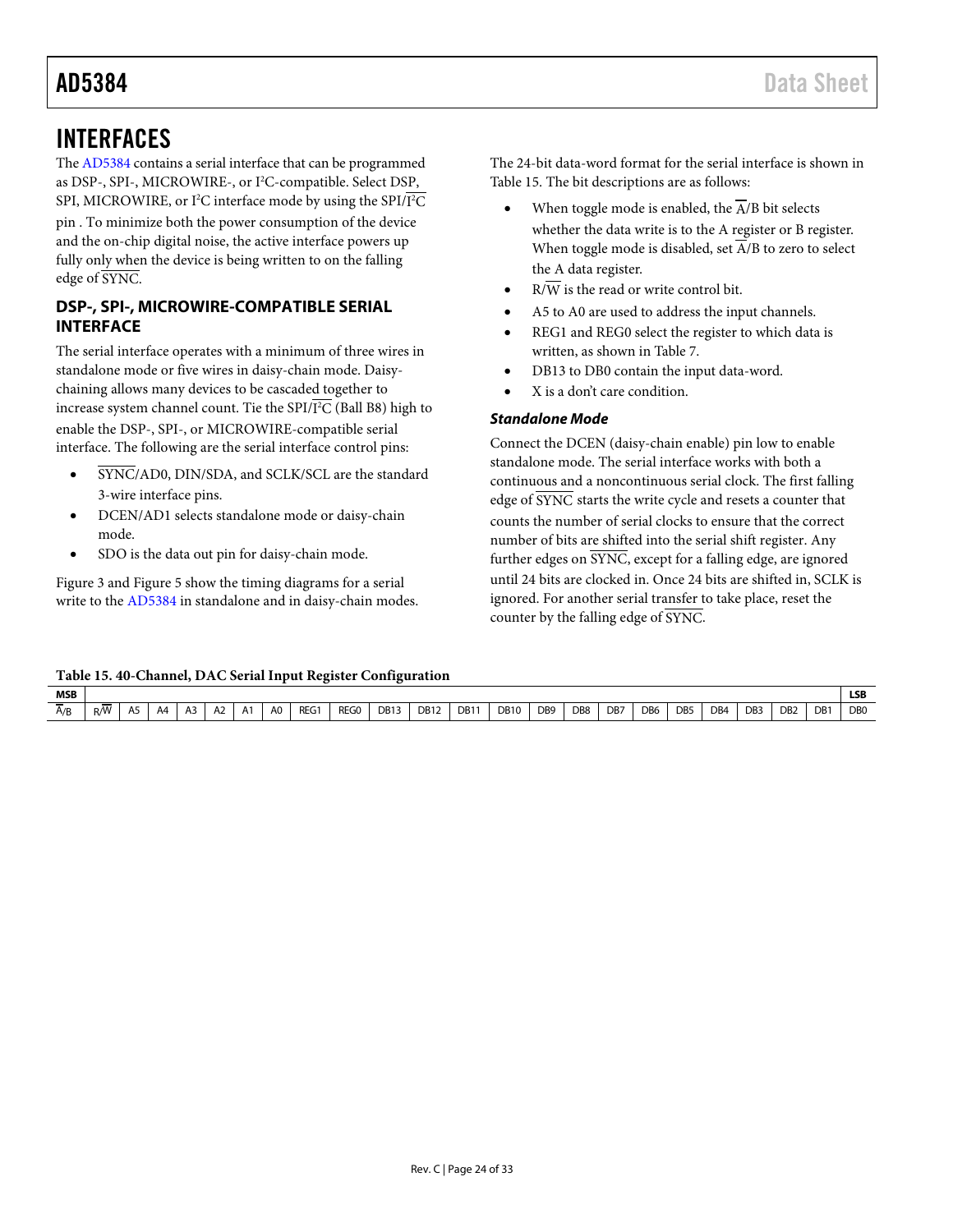# <span id="page-23-0"></span>INTERFACES

Th[e AD5384](http://www.analog.com/AD5384?doc=AD5384.pdf) contains a serial interface that can be programmed as DSP-, SPI-, MICROWIRE-, or I<sup>2</sup>C-compatible. Select DSP, SPI, MICROWIRE, or I<sup>2</sup>C interface mode by using the SPI/I<sup>2</sup>C pin . To minimize both the power consumption of the device and the on-chip digital noise, the active interface powers up fully only when the device is being written to on the falling edge of SYNC.

# <span id="page-23-1"></span>**DSP-, SPI-, MICROWIRE-COMPATIBLE SERIAL INTERFACE**

The serial interface operates with a minimum of three wires in standalone mode or five wires in daisy-chain mode. Daisychaining allows many devices to be cascaded together to increase system channel count. Tie the SPI/I 2 C (Ball B8) high to enable the DSP-, SPI-, or MICROWIRE-compatible serial interface. The following are the serial interface control pins:

- SYNC/AD0, DIN/SDA, and SCLK/SCL are the standard 3-wire interface pins.
- DCEN/AD1 selects standalone mode or daisy-chain mode.
- SDO is the data out pin for daisy-chain mode.

[Figure 3](#page-7-0) and [Figure 5](#page-7-2) show the timing diagrams for a serial write to th[e AD5384](http://www.analog.com/AD5384?doc=AD5384.pdf) in standalone and in daisy-chain modes. The 24-bit data-word format for the serial interface is shown in [Table 15.](#page-23-2) The bit descriptions are as follows:

- When toggle mode is enabled, the  $\overline{A}/B$  bit selects whether the data write is to the A register or B register. When toggle mode is disabled, set  $\overline{A}/B$  to zero to select the A data register.
- $R/\overline{W}$  is the read or write control bit.
- A5 to A0 are used to address the input channels.
- REG1 and REG0 select the register to which data is written, as shown in [Table 7.](#page-18-4)
- DB13 to DB0 contain the input data-word.
- X is a don't care condition.

# *Standalone Mode*

Connect the DCEN (daisy-chain enable) pin low to enable standalone mode. The serial interface works with both a continuous and a noncontinuous serial clock. The first falling edge of SYNC starts the write cycle and resets a counter that counts the number of serial clocks to ensure that the correct number of bits are shifted into the serial shift register. Any further edges on SYNC, except for a falling edge, are ignored until 24 bits are clocked in. Once 24 bits are shifted in, SCLK is ignored. For another serial transfer to take place, reset the counter by the falling edge of SYNC.

### <span id="page-23-2"></span>**Table 15. 40-Channel, DAC Serial Input Register Configuration**

| <b>MSB</b>    |     |     |    |    |                |                  |                |      |      |                  |             |                  |             |                 |                 |     |                 |                 |                 |                 |                 |     | <b>LSB</b>     |
|---------------|-----|-----|----|----|----------------|------------------|----------------|------|------|------------------|-------------|------------------|-------------|-----------------|-----------------|-----|-----------------|-----------------|-----------------|-----------------|-----------------|-----|----------------|
| $\sim$<br>A/B | R/W | A5. | A4 | A3 | A <sub>2</sub> | $\Lambda$ 1<br>. | A <sub>0</sub> | REG1 | REG0 | DB <sub>13</sub> | <b>DB12</b> | DB1 <sup>-</sup> | <b>DB10</b> | DB <sub>9</sub> | DB <sub>8</sub> | DB7 | DB <sub>6</sub> | DB <sub>5</sub> | DB <sub>4</sub> | DB <sub>3</sub> | D <sub>B2</sub> | DB1 | D <sub>B</sub> |
|               |     |     |    |    |                |                  |                |      |      |                  |             |                  |             |                 |                 |     |                 |                 |                 |                 |                 |     |                |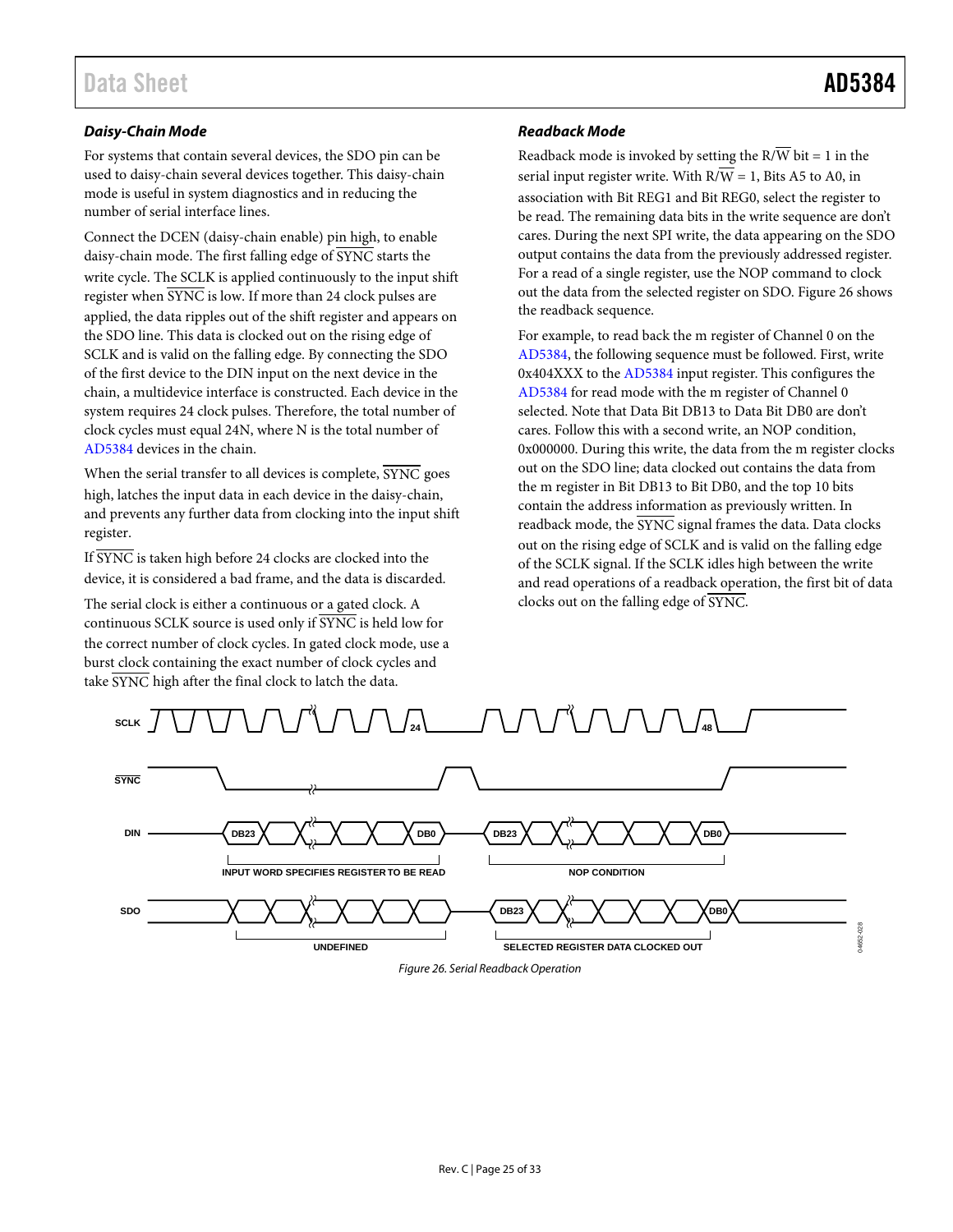# *Daisy-Chain Mode*

For systems that contain several devices, the SDO pin can be used to daisy-chain several devices together. This daisy-chain mode is useful in system diagnostics and in reducing the number of serial interface lines.

Connect the DCEN (daisy-chain enable) pin high, to enable daisy-chain mode. The first falling edge of SYNC starts the write cycle. The SCLK is applied continuously to the input shift register when SYNC is low. If more than 24 clock pulses are applied, the data ripples out of the shift register and appears on the SDO line. This data is clocked out on the rising edge of SCLK and is valid on the falling edge. By connecting the SDO of the first device to the DIN input on the next device in the chain, a multidevice interface is constructed. Each device in the system requires 24 clock pulses. Therefore, the total number of clock cycles must equal 24N, where N is the total number of [AD5384](http://www.analog.com/AD5384?doc=AD5384.pdf) devices in the chain.

When the serial transfer to all devices is complete,  $\overline{\text{SYNC}}$  goes high, latches the input data in each device in the daisy-chain, and prevents any further data from clocking into the input shift register.

If SYNC is taken high before 24 clocks are clocked into the device, it is considered a bad frame, and the data is discarded.

The serial clock is either a continuous or a gated clock. A continuous SCLK source is used only if SYNC is held low for the correct number of clock cycles. In gated clock mode, use a burst clock containing the exact number of clock cycles and take SYNC high after the final clock to latch the data.

# *Readback Mode*

Readback mode is invoked by setting the  $R/\overline{W}$  bit = 1 in the serial input register write. With  $R/\overline{W} = 1$ , Bits A5 to A0, in association with Bit REG1 and Bit REG0, select the register to be read. The remaining data bits in the write sequence are don't cares. During the next SPI write, the data appearing on the SDO output contains the data from the previously addressed register. For a read of a single register, use the NOP command to clock out the data from the selected register on SDO[. Figure 26](#page-24-0) shows the readback sequence.

For example, to read back the m register of Channel 0 on the [AD5384,](http://www.analog.com/AD5384?doc=AD5384.pdf) the following sequence must be followed. First, write 0x404XXX to the [AD5384](http://www.analog.com/AD5384?doc=AD5384.pdf) input register. This configures the [AD5384](http://www.analog.com/AD5384?doc=AD5384.pdf) for read mode with the m register of Channel 0 selected. Note that Data Bit DB13 to Data Bit DB0 are don't cares. Follow this with a second write, an NOP condition, 0x000000. During this write, the data from the m register clocks out on the SDO line; data clocked out contains the data from the m register in Bit DB13 to Bit DB0, and the top 10 bits contain the address information as previously written. In readback mode, the SYNC signal frames the data. Data clocks out on the rising edge of SCLK and is valid on the falling edge of the SCLK signal. If the SCLK idles high between the write and read operations of a readback operation, the first bit of data clocks out on the falling edge of SYNC.

<span id="page-24-0"></span>

*Figure 26. Serial Readback Operation*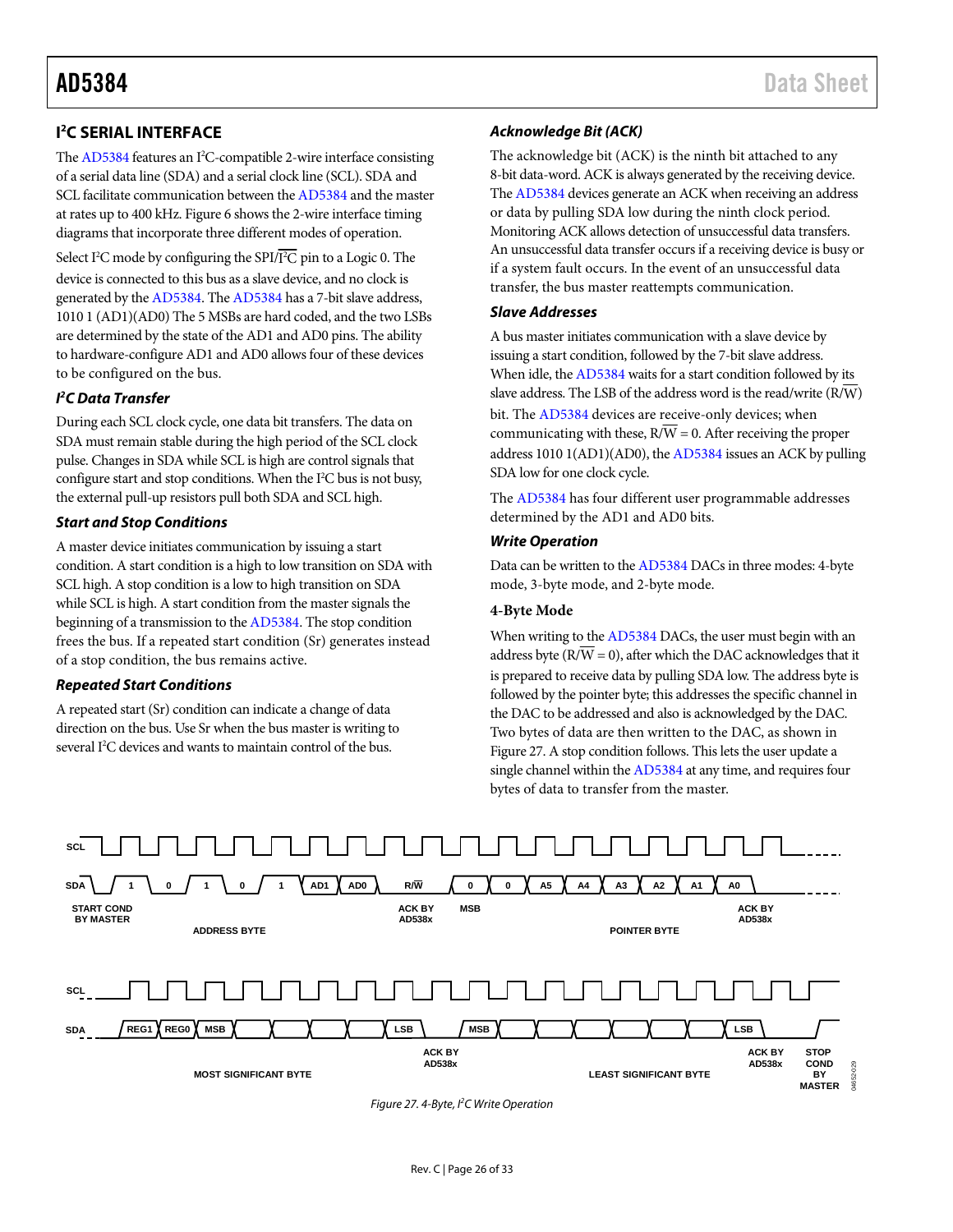<span id="page-25-0"></span>Th[e AD5384 f](http://www.analog.com/AD5384?doc=AD5384)eatures an I<sup>2</sup>C-compatible 2-wire interface consisting of a serial data line (SDA) and a serial clock line (SCL). SDA and SCL facilitate communication between th[e AD5384](http://www.analog.com/AD5384?doc=AD5384.pdf) and the master at rates up to 400 kHz[. Figure 6 s](#page-8-0)hows the 2-wire interface timing diagrams that incorporate three different modes of operation.

Select I<sup>2</sup>C mode by configuring the SPI/I<sup>2</sup>C pin to a Logic 0. The device is connected to this bus as a slave device, and no clock is generated by th[e AD5384.](http://www.analog.com/AD5384?doc=AD5384.pdf) Th[e AD5384 h](http://www.analog.com/AD5384?doc=AD5384.pdf)as a 7-bit slave address, 1010 1 (AD1)(AD0) The 5 MSBs are hard coded, and the two LSBs are determined by the state of the AD1 and AD0 pins. The ability to hardware-configure AD1 and AD0 allows four of these devices to be configured on the bus.

# **I 2 C Data Transfer**

During each SCL clock cycle, one data bit transfers. The data on SDA must remain stable during the high period of the SCL clock pulse. Changes in SDA while SCL is high are control signals that configure start and stop conditions. When the I<sup>2</sup>C bus is not busy, the external pull-up resistors pull both SDA and SCL high.

### **Start and Stop Conditions**

A master device initiates communication by issuing a start condition. A start condition is a high to low transition on SDA with SCL high. A stop condition is a low to high transition on SDA while SCL is high. A start condition from the master signals the beginning of a transmission to th[e AD5384.](http://www.analog.com/AD5384?doc=AD5384.pdf) The stop condition frees the bus. If a repeated start condition (Sr) generates instead of a stop condition, the bus remains active.

### **Repeated Start Conditions**

A repeated start (Sr) condition can indicate a change of data direction on the bus. Use Sr when the bus master is writing to several I<sup>2</sup>C devices and wants to maintain control of the bus.

# **Acknowledge Bit (ACK)**

The acknowledge bit (ACK) is the ninth bit attached to any 8-bit data-word. ACK is always generated by the receiving device. Th[e AD5384 d](http://www.analog.com/AD5384?doc=AD5384.pdf)evices generate an ACK when receiving an address or data by pulling SDA low during the ninth clock period. Monitoring ACK allows detection of unsuccessful data transfers. An unsuccessful data transfer occurs if a receiving device is busy or if a system fault occurs. In the event of an unsuccessful data transfer, the bus master reattempts communication.

### **Slave Addresses**

A bus master initiates communication with a slave device by issuing a start condition, followed by the 7-bit slave address. When idle, th[e AD5384 w](http://www.analog.com/AD5384?doc=AD5384.pdf)aits for a start condition followed by its slave address. The LSB of the address word is the read/write  $(R/\overline{W})$ bit. Th[e AD5384](http://www.analog.com/AD5384?doc=AD5384.pdf) devices are receive-only devices; when communicating with these,  $R/\overline{W} = 0$ . After receiving the proper address 1010 1(AD1)(AD0), th[e AD5384 i](http://www.analog.com/AD5384?doc=AD5384.pdf)ssues an ACK by pulling SDA low for one clock cycle.

The [AD5384 h](http://www.analog.com/AD5384?doc=AD5384.pdf)as four different user programmable addresses determined by the AD1 and AD0 bits.

### **Write Operation**

Data can be written to th[e AD5384 D](http://www.analog.com/AD5384?doc=AD5384.pdf)ACs in three modes: 4-byte mode, 3-byte mode, and 2-byte mode.

### **4-Byte Mode**

When writing to th[e AD5384](http://www.analog.com/AD5384?doc=AD5384.pdf) DACs, the user must begin with an address byte ( $\overline{RVW} = 0$ ), after which the DAC acknowledges that it is prepared to receive data by pulling SDA low. The address byte is followed by the pointer byte; this addresses the specific channel in the DAC to be addressed and also is acknowledged by the DAC. Two bytes of data are then written to the DAC, as shown in [Figure 27.](#page-25-1) A stop condition follows. This lets the user update a single channel within th[e AD5384 a](http://www.analog.com/AD5384?doc=AD5384.pdf)t any time, and requires four bytes of data to transfer from the master.

<span id="page-25-1"></span>

Figure 27. 4-Byte, I<sup>2</sup>C Write Operation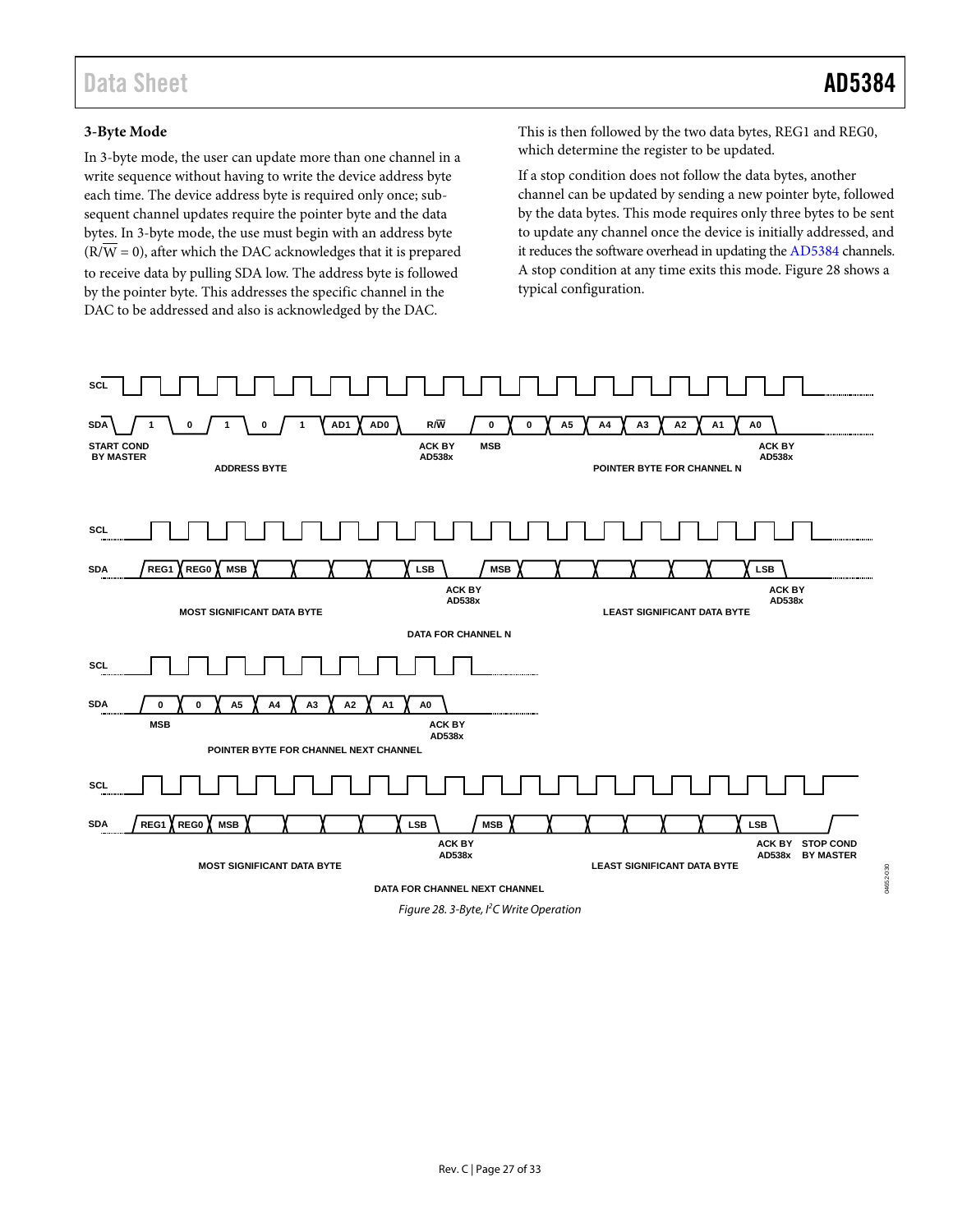04652-030

4652-030

# **3-Byte Mode**

In 3-byte mode, the user can update more than one channel in a write sequence without having to write the device address byte each time. The device address byte is required only once; subsequent channel updates require the pointer byte and the data bytes. In 3-byte mode, the use must begin with an address byte  $(R/\overline{W} = 0)$ , after which the DAC acknowledges that it is prepared to receive data by pulling SDA low. The address byte is followed by the pointer byte. This addresses the specific channel in the DAC to be addressed and also is acknowledged by the DAC.

This is then followed by the two data bytes, REG1 and REG0, which determine the register to be updated.

If a stop condition does not follow the data bytes, another channel can be updated by sending a new pointer byte, followed by the data bytes. This mode requires only three bytes to be sent to update any channel once the device is initially addressed, and it reduces the software overhead in updating th[e AD5384](http://www.analog.com/AD5384?doc=AD5384.pdf) channels. A stop condition at any time exits this mode[. Figure 28](#page-26-0) shows a typical configuration.



<span id="page-26-0"></span>*Figure 28. 3-Byte, I2 C Write Operation*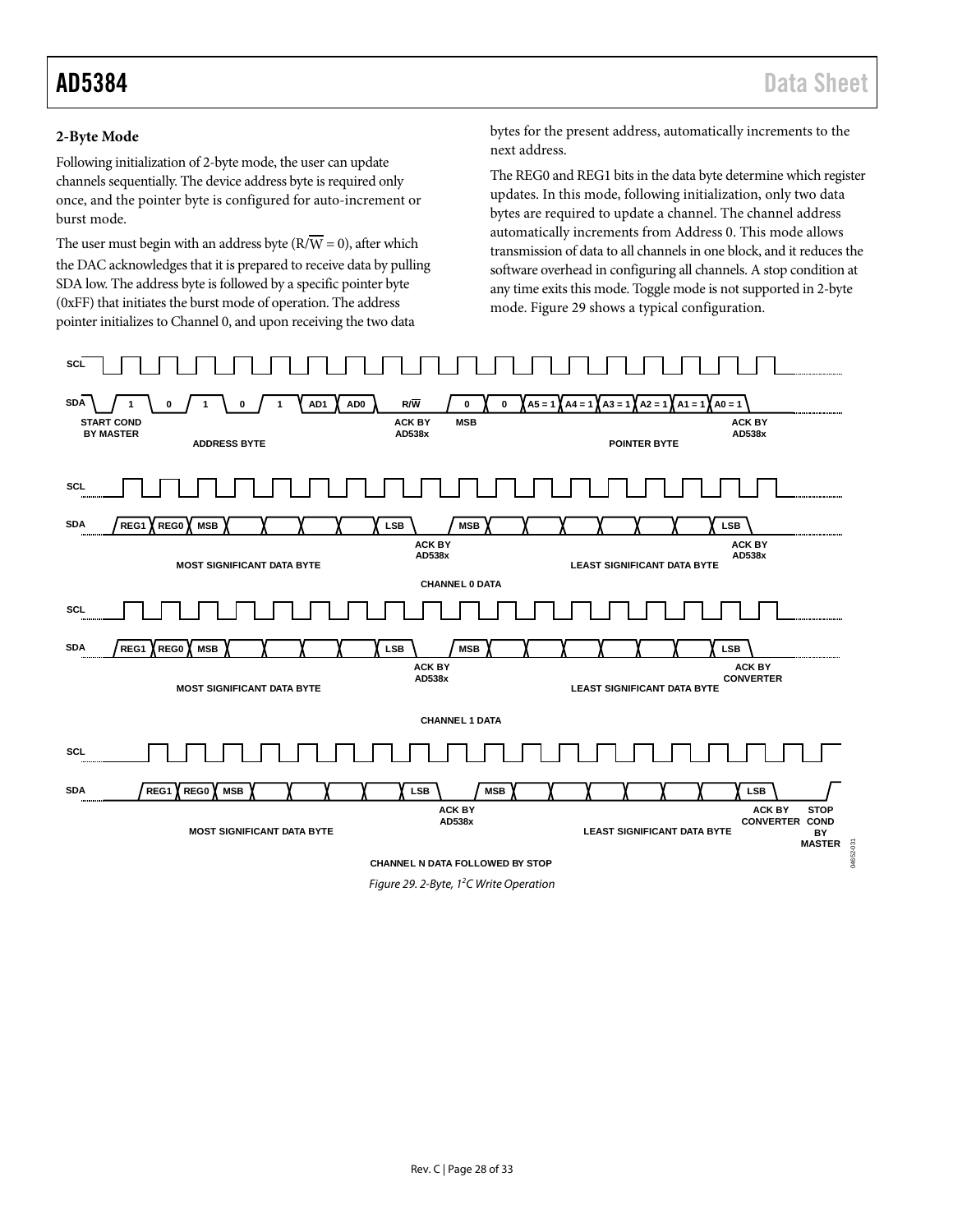### **2-Byte Mode**

Following initialization of 2-byte mode, the user can update channels sequentially. The device address byte is required only once, and the pointer byte is configured for auto-increment or burst mode.

The user must begin with an address byte ( $\overline{RVW} = 0$ ), after which the DAC acknowledges that it is prepared to receive data by pulling SDA low. The address byte is followed by a specific pointer byte (0xFF) that initiates the burst mode of operation. The address pointer initializes to Channel 0, and upon receiving the two data

bytes for the present address, automatically increments to the next address.

The REG0 and REG1 bits in the data byte determine which register updates. In this mode, following initialization, only two data bytes are required to update a channel. The channel address automatically increments from Address 0. This mode allows transmission of data to all channels in one block, and it reduces the software overhead in configuring all channels. A stop condition at any time exits this mode. Toggle mode is not supported in 2-byte mode. [Figure](#page-27-0) 29 shows a typical configuration.

<span id="page-27-0"></span>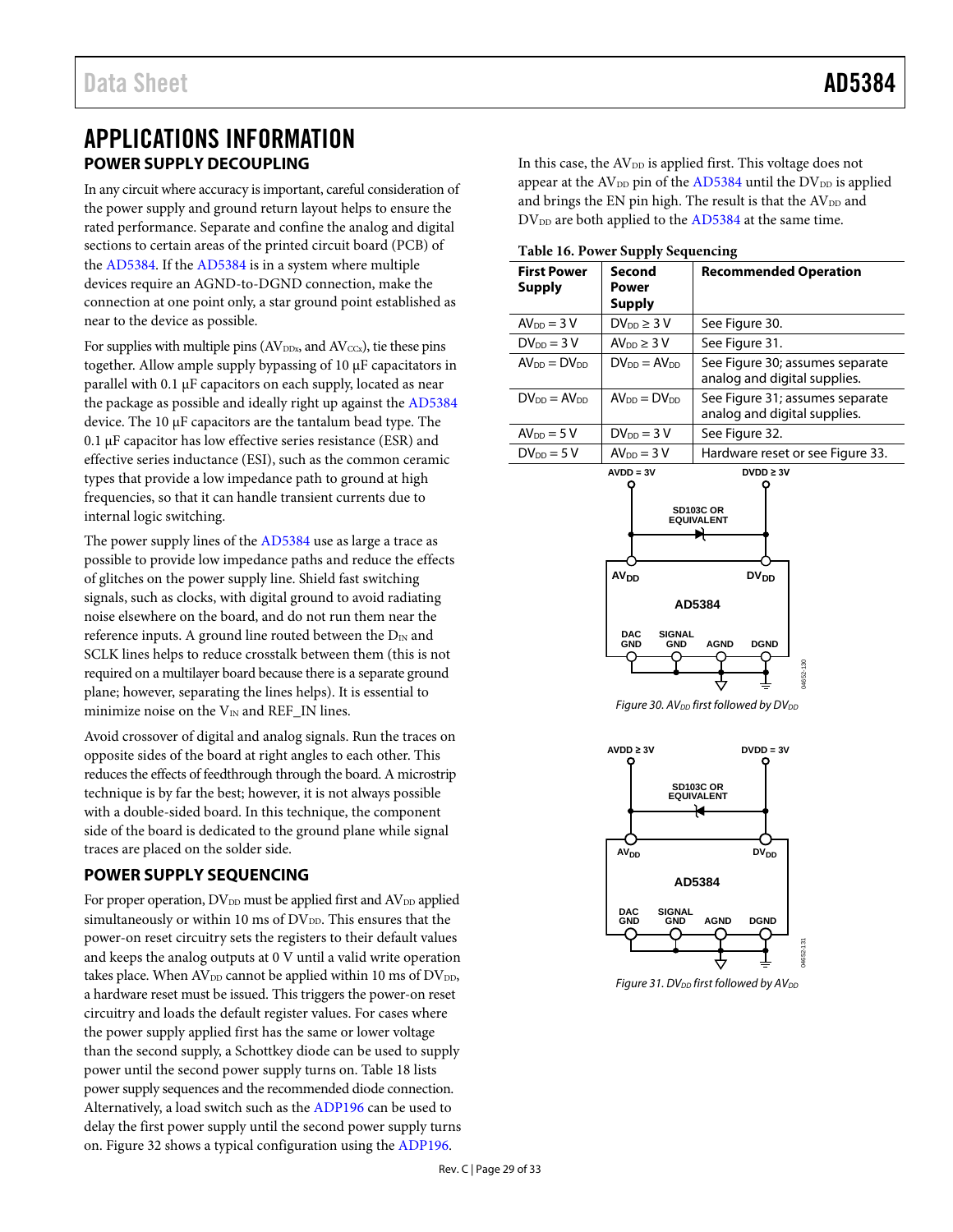# <span id="page-28-0"></span>APPLICATIONS INFORMATION **POWER SUPPLY DECOUPLING**

<span id="page-28-1"></span>In any circuit where accuracy is important, careful consideration of the power supply and ground return layout helps to ensure the rated performance. Separate and confine the analog and digital sections to certain areas of the printed circuit board (PCB) of the [AD5384.](http://www.analog.com/AD5384?doc=AD5384.pdf) If th[e AD5384](http://www.analog.com/AD5384?doc=AD5384.pdf) is in a system where multiple devices require an AGND-to-DGND connection, make the connection at one point only, a star ground point established as near to the device as possible.

For supplies with multiple pins ( $AV<sub>DDx</sub>$ , and  $AV<sub>CCx</sub>$ ), tie these pins together. Allow ample supply bypassing of 10 µF capacitators in parallel with 0.1 µF capacitors on each supply, located as near the package as possible and ideally right up against th[e AD5384](http://www.analog.com/AD5384?doc=AD5384.pdf) device. The 10 µF capacitors are the tantalum bead type. The 0.1 µF capacitor has low effective series resistance (ESR) and effective series inductance (ESI), such as the common ceramic types that provide a low impedance path to ground at high frequencies, so that it can handle transient currents due to internal logic switching.

The power supply lines of th[e AD5384](http://www.analog.com/AD5384?doc=AD5384.pdf) use as large a trace as possible to provide low impedance paths and reduce the effects of glitches on the power supply line. Shield fast switching signals, such as clocks, with digital ground to avoid radiating noise elsewhere on the board, and do not run them near the reference inputs. A ground line routed between the  $D_{IN}$  and SCLK lines helps to reduce crosstalk between them (this is not required on a multilayer board because there is a separate ground plane; however, separating the lines helps). It is essential to minimize noise on the  $\rm V_{IN}$  and REF\_IN lines.

Avoid crossover of digital and analog signals. Run the traces on opposite sides of the board at right angles to each other. This reduces the effects of feedthrough through the board. A microstrip technique is by far the best; however, it is not always possible with a double-sided board. In this technique, the component side of the board is dedicated to the ground plane while signal traces are placed on the solder side.

# <span id="page-28-2"></span>**POWER SUPPLY SEQUENCING**

For proper operation, DV<sub>DD</sub> must be applied first and AV<sub>DD</sub> applied simultaneously or within 10 ms of  $DV_{DD}$ . This ensures that the power-on reset circuitry sets the registers to their default values and keeps the analog outputs at 0 V until a valid write operation takes place. When  $AV_{DD}$  cannot be applied within 10 ms of  $DV_{DD}$ , a hardware reset must be issued. This triggers the power-on reset circuitry and loads the default register values. For cases where the power supply applied first has the same or lower voltage than the second supply, a Schottkey diode can be used to supply power until the second power supply turns on[. Table 18](#page-28-3) lists power supply sequences and the recommended diode connection. Alternatively, a load switch such as th[e ADP196](http://www.analog.com/ADP196?doc=AD5384.pdf) can be used to delay the first power supply until the second power supply turns on[. Figure 32](#page-29-2) shows a typical configuration using the [ADP196.](http://www.analog.com/ADP196?doc=AD5384.pdf) 

In this case, the AV<sub>DD</sub> is applied first. This voltage does not appear at the  $AV_{DD}$  pin of the  $AD5384$  until the  $DV_{DD}$  is applied and brings the EN pin high. The result is that the  $AV<sub>DD</sub>$  and  $DV_{DD}$  are both applied to the  $AD5384$  at the same time.

<span id="page-28-3"></span>**Table 16. Power Supply Sequencing**

| rable for fower supply sequencing   |                                         |                                                                 |  |  |  |  |  |  |  |
|-------------------------------------|-----------------------------------------|-----------------------------------------------------------------|--|--|--|--|--|--|--|
| <b>First Power</b><br><b>Supply</b> | Second<br><b>Power</b><br><b>Supply</b> | <b>Recommended Operation</b>                                    |  |  |  |  |  |  |  |
| $AV_{DD} = 3V$                      | $DV_{DD} \geq 3V$                       | See Figure 30.                                                  |  |  |  |  |  |  |  |
| $DV_{DD} = 3V$                      | AV <sub>DD</sub> $\geq$ 3 V             | See Figure 31.                                                  |  |  |  |  |  |  |  |
| $AV_{DD} = DV_{DD}$                 | $DV_{DD} = AV_{DD}$                     | See Figure 30; assumes separate<br>analog and digital supplies. |  |  |  |  |  |  |  |
| $DV_{DD} = AV_{DD}$                 | $AV_{DD} = DV_{DD}$                     | See Figure 31; assumes separate<br>analog and digital supplies. |  |  |  |  |  |  |  |
| $AV_{DD} = 5V$                      | $DV_{DD} = 3V$                          | See Figure 32.                                                  |  |  |  |  |  |  |  |
| $DV_{DD} = 5V$                      | $AV_{DD} = 3V$                          | Hardware reset or see Figure 33.                                |  |  |  |  |  |  |  |



*Figure 30. AV<sub>DD</sub> first followed by DV<sub>DD</sub>* 

<span id="page-28-4"></span>

<span id="page-28-5"></span>*Figure 31. DV<sub>DD</sub> first followed by AV*<sub>DD</sub>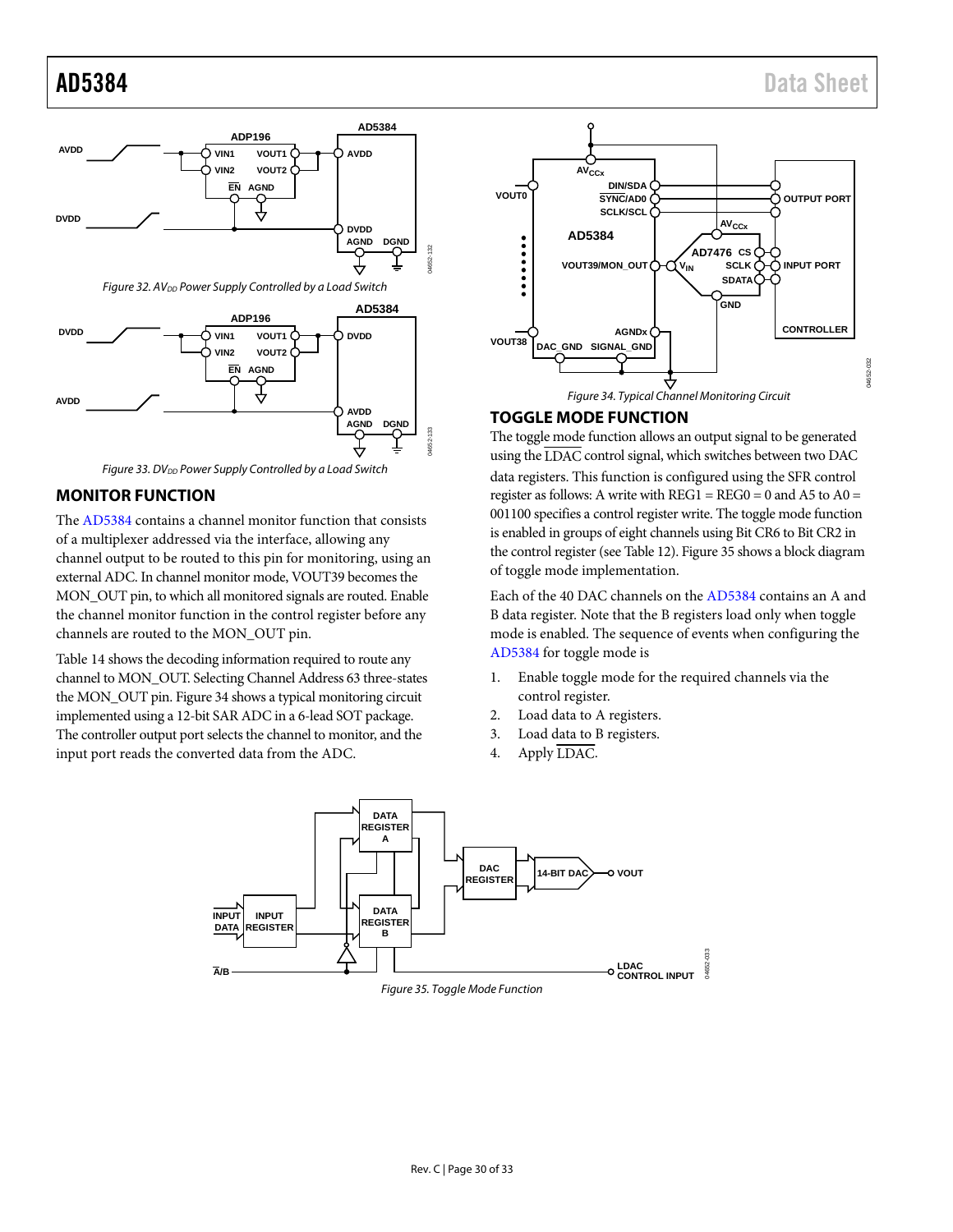

<span id="page-29-2"></span>

Figure 33. DV<sub>DD</sub> Power Supply Controlled by a Load Switch

# <span id="page-29-3"></span><span id="page-29-0"></span>**MONITOR FUNCTION**

The [AD5384 c](http://www.analog.com/AD5384?doc=AD5384.pdf)ontains a channel monitor function that consists of a multiplexer addressed via the interface, allowing any channel output to be routed to this pin for monitoring, using an external ADC. In channel monitor mode, VOUT39 becomes the MON OUT pin, to which all monitored signals are routed. Enable the channel monitor function in the control register before any channels are routed to the MON\_OUT pin[.](#page-20-2) 

[Table 14 s](#page-20-2)hows the decoding information required to route any channel to MON\_OUT. Selecting Channel Address 63 three-states the MON\_OUT pin[. Figure 34 s](#page-29-4)hows a typical monitoring circuit implemented using a 12-bit SAR ADC in a 6-lead SOT package. The controller output port selects the channel to monitor, and the input port reads the converted data from the ADC.



# <span id="page-29-4"></span><span id="page-29-1"></span>**TOGGLE MODE FUNCTION**

The toggle mode function allows an output signal to be generated using the  $\overline{\text{LDAC}}$  control signal, which switches between two DAC data registers. This function is configured using the SFR control register as follows: A write with  $REG1 = REG0 = 0$  and A5 to A0 = 001100 specifies a control register write. The toggle mode function is enabled in groups of eight channels using Bit CR6 to Bit CR2 in the control register (se[e Table 12\)](#page-20-3)[. Figure 35 s](#page-29-5)hows a block diagram of toggle mode implementation.

Each of the 40 DAC channels on th[e AD5384](http://www.analog.com/AD5384?doc=AD5384.pdf) contains an A and B data register. Note that the B registers load only when toggle mode is enabled. The sequence of events when configuring the [AD5384 f](http://www.analog.com/AD5384?doc=AD5384.pdf)or toggle mode is

- 1. Enable toggle mode for the required channels via the control register.
- 2. Load data to A registers.
- 3. Load data to B registers.
- 4. Apply LDAC.

<span id="page-29-5"></span>

Figure 35. Toggle Mode Function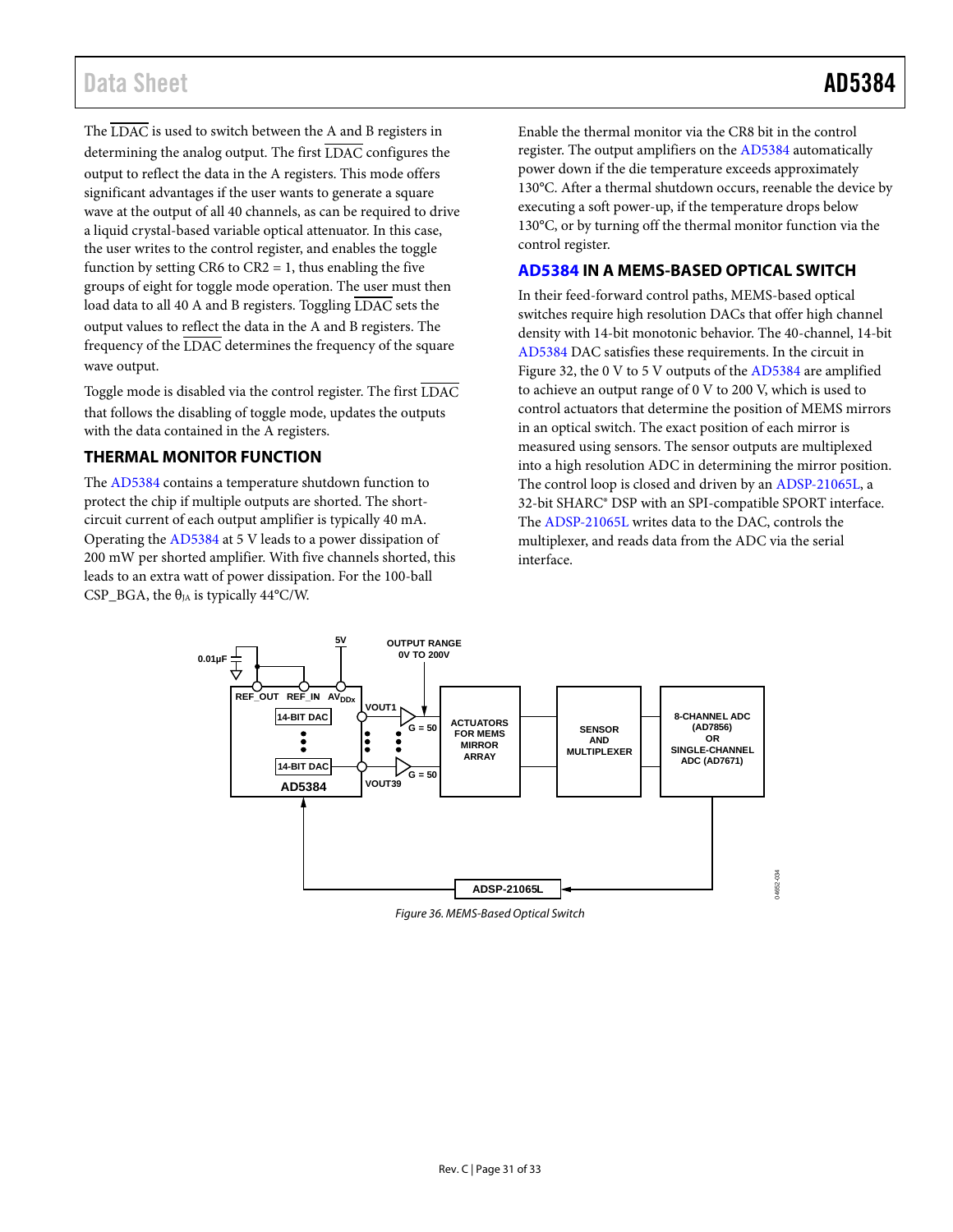# Data Sheet **AD5384**

The LDAC is used to switch between the A and B registers in determining the analog output. The first LDAC configures the output to reflect the data in the A registers. This mode offers significant advantages if the user wants to generate a square wave at the output of all 40 channels, as can be required to drive a liquid crystal-based variable optical attenuator. In this case, the user writes to the control register, and enables the toggle function by setting CR6 to  $CR2 = 1$ , thus enabling the five groups of eight for toggle mode operation. The user must then load data to all 40 A and B registers. Toggling LDAC sets the output values to reflect the data in the A and B registers. The frequency of the  $\overline{\text{LDAC}}$  determines the frequency of the square wave output.

Toggle mode is disabled via the control register. The first LDAC that follows the disabling of toggle mode, updates the outputs with the data contained in the A registers.

# <span id="page-30-0"></span>**THERMAL MONITOR FUNCTION**

The [AD5384](http://www.analog.com/AD5384?doc=AD5384.pdf) contains a temperature shutdown function to protect the chip if multiple outputs are shorted. The shortcircuit current of each output amplifier is typically 40 mA. Operating the [AD5384](http://www.analog.com/AD5384?doc=AD5384.pdf) at 5 V leads to a power dissipation of 200 mW per shorted amplifier. With five channels shorted, this leads to an extra watt of power dissipation. For the 100-ball CSP\_BGA, the  $\theta_{IA}$  is typically 44°C/W.

Enable the thermal monitor via the CR8 bit in the control register. The output amplifiers on the [AD5384](http://www.analog.com/AD5384?doc=AD5384.pdf) automatically power down if the die temperature exceeds approximately 130°C. After a thermal shutdown occurs, reenable the device by executing a soft power-up, if the temperature drops below 130°C, or by turning off the thermal monitor function via the control register.

# <span id="page-30-1"></span>**[AD5384](http://www.analog.com/AD5384?doc=AD5384.pdf) IN A MEMS-BASED OPTICAL SWITCH**

In their feed-forward control paths, MEMS-based optical switches require high resolution DACs that offer high channel density with 14-bit monotonic behavior. The 40-channel, 14-bit [AD5384](http://www.analog.com/AD5384?doc=AD5384.pdf) DAC satisfies these requirements. In the circuit in [Figure 32,](#page-30-2) the 0 V to 5 V outputs of the [AD5384](http://www.analog.com/AD5384?doc=AD5384.pdf) are amplified to achieve an output range of 0 V to 200 V, which is used to control actuators that determine the position of MEMS mirrors in an optical switch. The exact position of each mirror is measured using sensors. The sensor outputs are multiplexed into a high resolution ADC in determining the mirror position. The control loop is closed and driven by a[n ADSP-21065L,](http://www.analog.com/ADSP-21065L?doc=AD5384.pdf) a 32-bit SHARC® DSP with an SPI-compatible SPORT interface. The [ADSP-21065L](http://www.analog.com/ADSP-21065L?doc=AD5384.pdf) writes data to the DAC, controls the multiplexer, and reads data from the ADC via the serial interface.

<span id="page-30-2"></span>

*Figure 36. MEMS-Based Optical Switch*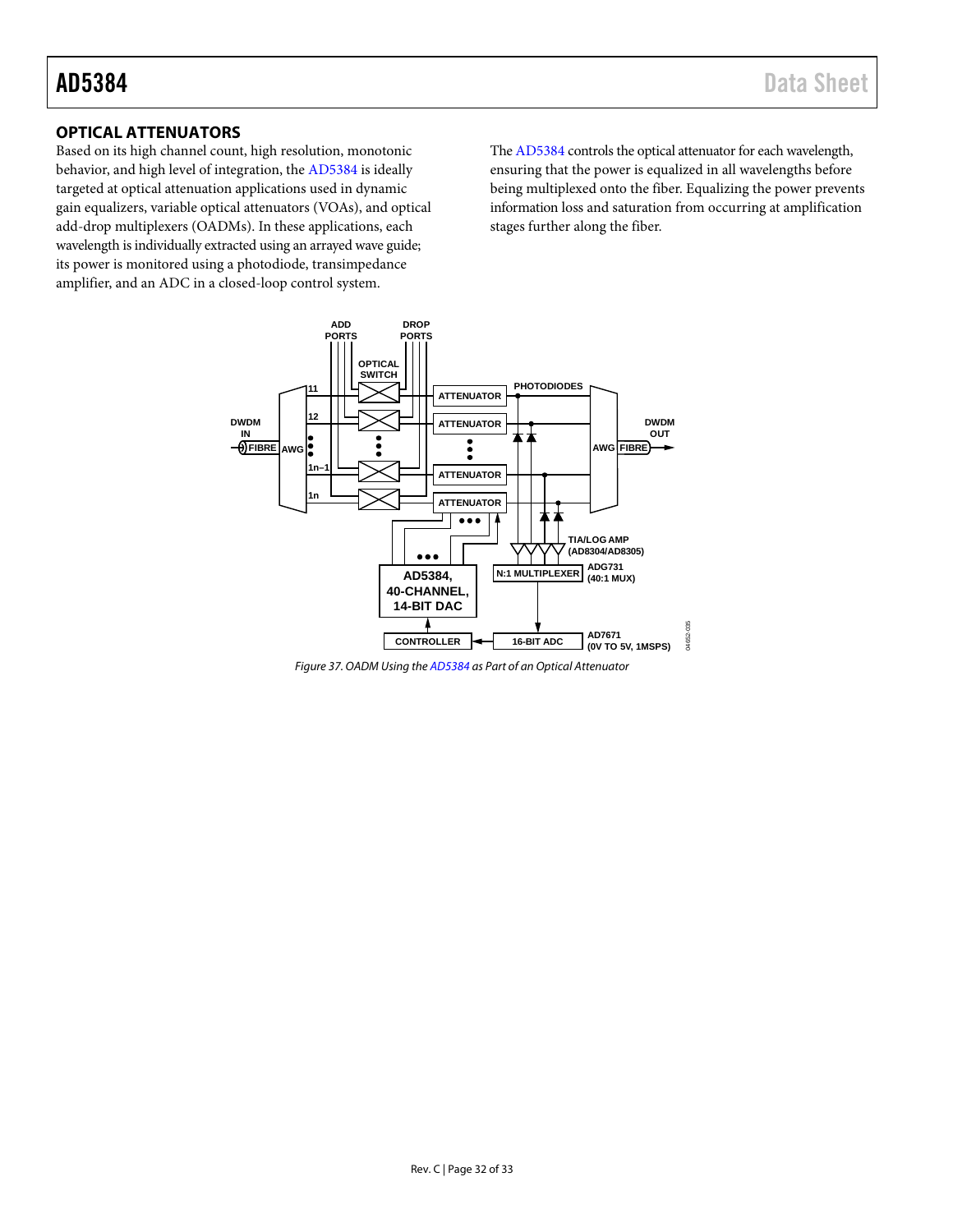# <span id="page-31-0"></span>**OPTICAL ATTENUATORS**

Based on its high channel count, high resolution, monotonic behavior, and high level of integration, the [AD5384](http://www.analog.com/AD5384?doc=AD5384.pdf) is ideally targeted at optical attenuation applications used in dynamic gain equalizers, variable optical attenuators (VOAs), and optical add-drop multiplexers (OADMs). In these applications, each wavelength is individually extracted using an arrayed wave guide; its power is monitored using a photodiode, transimpedance amplifier, and an ADC in a closed-loop control system.

Th[e AD5384](http://www.analog.com/AD5384?doc=AD5384.pdf) controls the optical attenuator for each wavelength, ensuring that the power is equalized in all wavelengths before being multiplexed onto the fiber. Equalizing the power prevents information loss and saturation from occurring at amplification stages further along the fiber.



*Figure 37. OADM Using th[e AD5384](http://www.analog.com/AD5384?doc=AD5384.pdf) as Part of an Optical Attenuator*